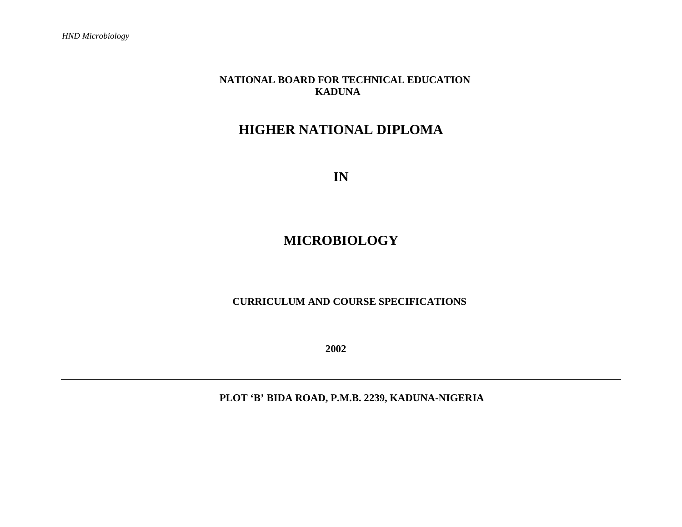## **NATIONAL BOARD FOR TECHNICAL EDUCATION KADUNA**

# **HIGHER NATIONAL DIPLOMA**

**IN** 

# **MICROBIOLOGY**

#### **CURRICULUM AND COURSE SPECIFICATIONS**

**2002** 

 **PLOT 'B' BIDA ROAD, P.M.B. 2239, KADUNA-NIGERIA**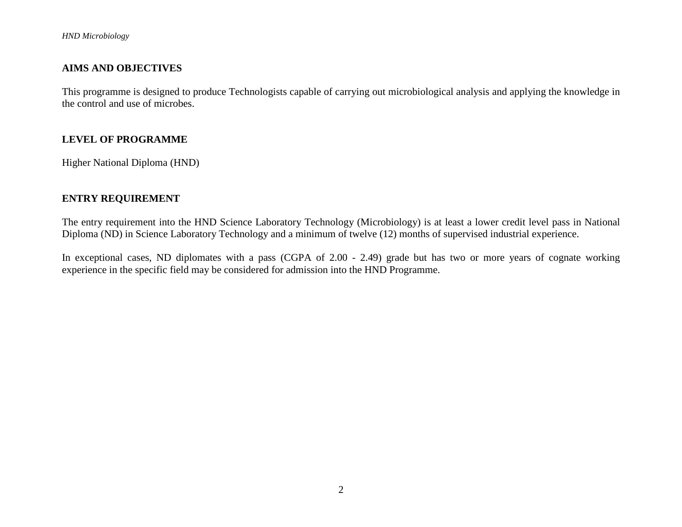#### **AIMS AND OBJECTIVES**

This programme is designed to produce Technologists capable of carrying out microbiological analysis and applying the knowledge in the control and use of microbes.

#### **LEVEL OF PROGRAMME**

Higher National Diploma (HND)

#### **ENTRY REQUIREMENT**

The entry requirement into the HND Science Laboratory Technology (Microbiology) is at least a lower credit level pass in National Diploma (ND) in Science Laboratory Technology and a minimum of twelve (12) months of supervised industrial experience.

In exceptional cases, ND diplomates with a pass (CGPA of 2.00 - 2.49) grade but has two or more years of cognate working experience in the specific field may be considered for admission into the HND Programme.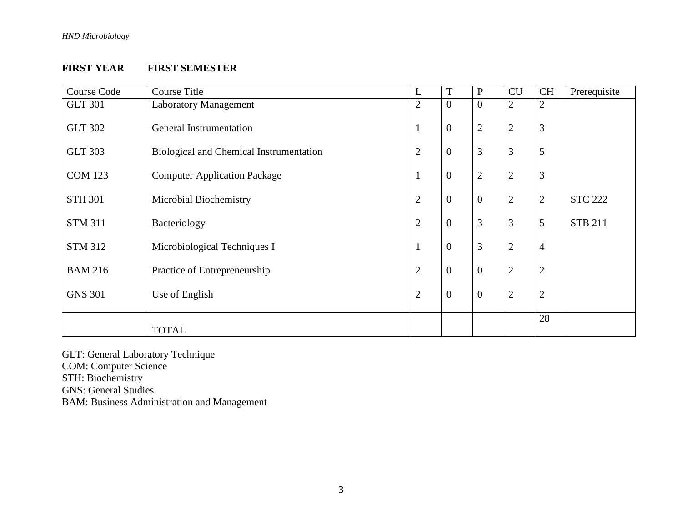#### **FIRST YEAR FIRST SEMESTER**

| <b>Course Code</b> | <b>Course Title</b>                     | L              | T              | P                | <b>CU</b>      | <b>CH</b>      | Prerequisite   |
|--------------------|-----------------------------------------|----------------|----------------|------------------|----------------|----------------|----------------|
| <b>GLT 301</b>     | <b>Laboratory Management</b>            | $\overline{2}$ | $\overline{0}$ | $\mathbf{0}$     | $\overline{2}$ | $\overline{2}$ |                |
| <b>GLT 302</b>     | General Instrumentation                 | 1              | $\mathbf{0}$   | $\overline{2}$   | $\overline{2}$ | 3              |                |
| <b>GLT 303</b>     | Biological and Chemical Instrumentation | $\overline{2}$ | $\mathbf{0}$   | 3                | 3              | 5              |                |
| <b>COM 123</b>     | <b>Computer Application Package</b>     | $\mathbf{1}$   | $\overline{0}$ | $\mathbf{2}$     | $\overline{2}$ | 3              |                |
| <b>STH 301</b>     | Microbial Biochemistry                  | $\overline{2}$ | $\mathbf{0}$   | $\overline{0}$   | $\mathbf{2}$   | $\overline{2}$ | <b>STC 222</b> |
| <b>STM 311</b>     | Bacteriology                            | $\overline{2}$ | $\mathbf{0}$   | 3                | 3              | 5              | <b>STB 211</b> |
| <b>STM 312</b>     | Microbiological Techniques I            | $\mathbf{1}$   | $\mathbf{0}$   | 3                | $\mathbf{2}$   | $\overline{4}$ |                |
| <b>BAM 216</b>     | Practice of Entrepreneurship            | $\overline{2}$ | $\overline{0}$ | $\boldsymbol{0}$ | $\overline{2}$ | $\overline{2}$ |                |
| <b>GNS 301</b>     | Use of English                          | $\overline{2}$ | $\overline{0}$ | $\boldsymbol{0}$ | $\mathbf{2}$   | $\mathbf{2}$   |                |
|                    | <b>TOTAL</b>                            |                |                |                  |                | 28             |                |

GLT: General Laboratory Technique

COM: Computer Science STH: Biochemistry

GNS: General Studies

BAM: Business Administration and Management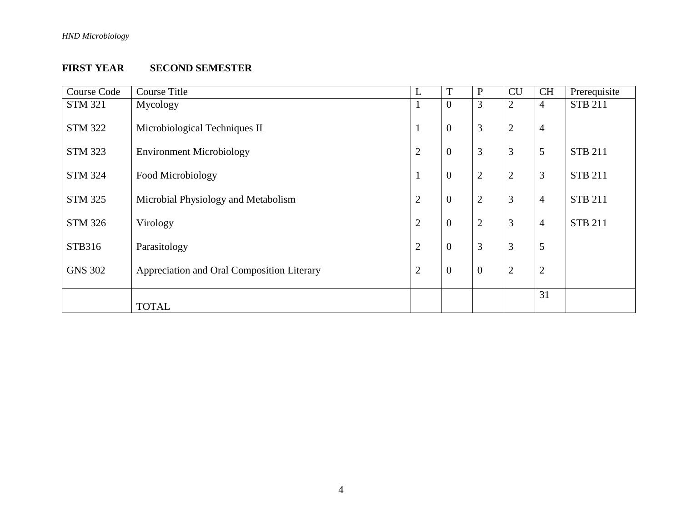## **FIRST YEAR SECOND SEMESTER**

| Course Code    | <b>Course Title</b>                        | L              | T                | $\mathbf{P}$   | <b>CU</b>      | <b>CH</b>      | Prerequisite   |
|----------------|--------------------------------------------|----------------|------------------|----------------|----------------|----------------|----------------|
| <b>STM 321</b> | Mycology                                   | 1              | $\overline{0}$   | 3              | $\overline{2}$ | $\overline{4}$ | <b>STB 211</b> |
| <b>STM 322</b> | Microbiological Techniques II              | 1              | $\boldsymbol{0}$ | 3              | $\mathbf{2}$   | $\overline{4}$ |                |
| <b>STM 323</b> | <b>Environment Microbiology</b>            | $\overline{2}$ | $\boldsymbol{0}$ | $\mathfrak{Z}$ | 3              | 5              | <b>STB 211</b> |
| <b>STM 324</b> | Food Microbiology                          | $\mathbf{1}$   | $\overline{0}$   | $\overline{2}$ | $\overline{2}$ | 3              | <b>STB 211</b> |
| <b>STM 325</b> | Microbial Physiology and Metabolism        | $\mathbf{2}$   | $\boldsymbol{0}$ | $\overline{2}$ | 3              | $\overline{4}$ | <b>STB 211</b> |
| <b>STM 326</b> | Virology                                   | $\overline{2}$ | $\boldsymbol{0}$ | $\overline{2}$ | 3              | $\overline{4}$ | <b>STB 211</b> |
| STB316         | Parasitology                               | $\mathbf{2}$   | $\boldsymbol{0}$ | 3              | 3              | 5              |                |
| <b>GNS 302</b> | Appreciation and Oral Composition Literary | $\overline{2}$ | $\boldsymbol{0}$ | $\overline{0}$ | $\overline{2}$ | $\overline{2}$ |                |
|                | <b>TOTAL</b>                               |                |                  |                |                | 31             |                |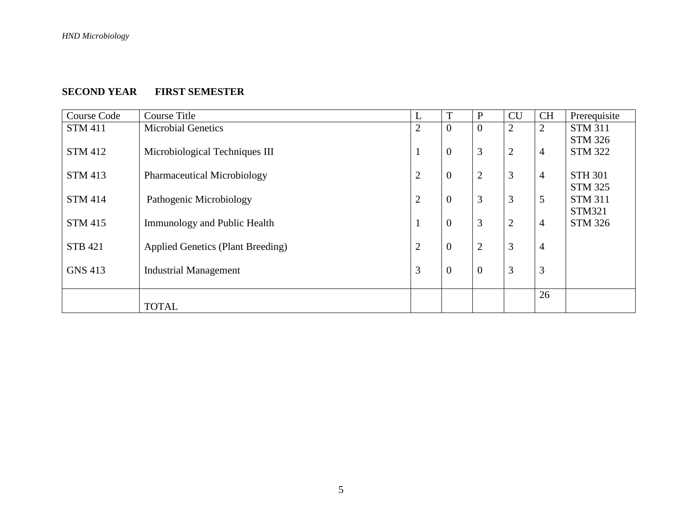### **SECOND YEAR FIRST SEMESTER**

| Course Code    | <b>Course Title</b>                      | L              | T                | $\mathbf{P}$     | <b>CU</b>      | <b>CH</b>      | Prerequisite   |
|----------------|------------------------------------------|----------------|------------------|------------------|----------------|----------------|----------------|
| <b>STM 411</b> | <b>Microbial Genetics</b>                | $\overline{2}$ | $\boldsymbol{0}$ | $\overline{0}$   | $\overline{2}$ | 2              | <b>STM 311</b> |
|                |                                          |                |                  |                  |                |                | <b>STM 326</b> |
| <b>STM 412</b> | Microbiological Techniques III           |                | $\boldsymbol{0}$ | 3                | $\overline{2}$ | $\overline{4}$ | <b>STM 322</b> |
|                |                                          |                |                  |                  |                |                |                |
| <b>STM 413</b> | <b>Pharmaceutical Microbiology</b>       | $\overline{2}$ | $\boldsymbol{0}$ | $\mathfrak{2}$   | 3              | $\overline{4}$ | <b>STH 301</b> |
|                |                                          |                |                  |                  |                |                | <b>STM 325</b> |
| <b>STM 414</b> | Pathogenic Microbiology                  | $\overline{2}$ | $\boldsymbol{0}$ | 3                | 3              | $\mathfrak{S}$ | <b>STM 311</b> |
|                |                                          |                |                  |                  |                |                | <b>STM321</b>  |
| <b>STM 415</b> | <b>Immunology and Public Health</b>      | $\bf{I}$       | $\boldsymbol{0}$ | 3                | $\overline{2}$ | $\overline{4}$ | <b>STM 326</b> |
| <b>STB 421</b> | <b>Applied Genetics (Plant Breeding)</b> | $\overline{2}$ | $\boldsymbol{0}$ | $\overline{2}$   | 3              | $\overline{4}$ |                |
|                |                                          |                |                  |                  |                |                |                |
| <b>GNS 413</b> | <b>Industrial Management</b>             | $\mathfrak{Z}$ | $\boldsymbol{0}$ | $\boldsymbol{0}$ | 3              | 3              |                |
|                |                                          |                |                  |                  |                |                |                |
|                |                                          |                |                  |                  |                | 26             |                |
|                | <b>TOTAL</b>                             |                |                  |                  |                |                |                |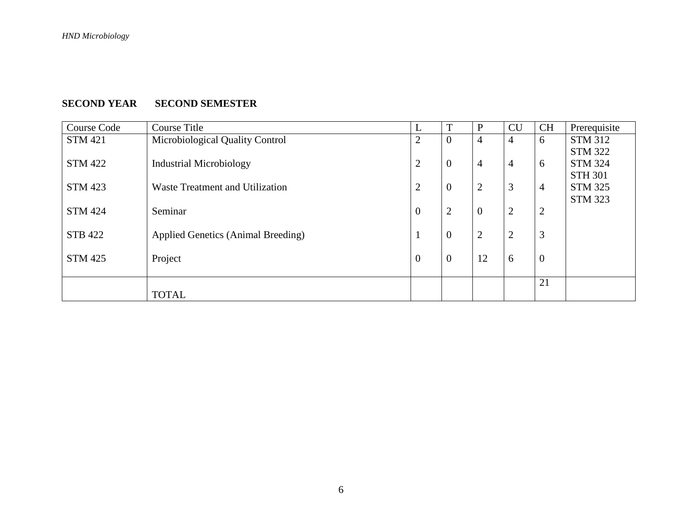# **SECOND YEAR SECOND SEMESTER**

| Course Code    | Course Title                       | L                | T                | $\mathbf{P}$   | CU             | <b>CH</b>      | Prerequisite   |
|----------------|------------------------------------|------------------|------------------|----------------|----------------|----------------|----------------|
| <b>STM 421</b> | Microbiological Quality Control    | 2                | $\overline{0}$   | $\overline{4}$ | 4              | 6              | <b>STM 312</b> |
|                |                                    |                  |                  |                |                |                | <b>STM 322</b> |
| <b>STM 422</b> | <b>Industrial Microbiology</b>     | $\overline{2}$   | $\mathbf{0}$     | $\overline{4}$ | $\overline{4}$ | 6              | <b>STM 324</b> |
|                |                                    |                  |                  |                |                |                | <b>STH 301</b> |
| <b>STM 423</b> | Waste Treatment and Utilization    | 2                | $\overline{0}$   | $\overline{2}$ | 3              | $\overline{4}$ | <b>STM 325</b> |
|                |                                    |                  |                  |                |                |                | <b>STM 323</b> |
| <b>STM 424</b> | Seminar                            | $\boldsymbol{0}$ | $\overline{2}$   | $\overline{0}$ | $\overline{2}$ | $\overline{2}$ |                |
|                |                                    |                  |                  |                |                |                |                |
| <b>STB 422</b> | Applied Genetics (Animal Breeding) | 1                | $\boldsymbol{0}$ | $\overline{2}$ | $\overline{2}$ | 3              |                |
| <b>STM 425</b> | Project                            | $\overline{0}$   | $\mathbf{0}$     | 12             | 6              | $\overline{0}$ |                |
|                |                                    |                  |                  |                |                |                |                |
|                |                                    |                  |                  |                |                | 21             |                |
|                | <b>TOTAL</b>                       |                  |                  |                |                |                |                |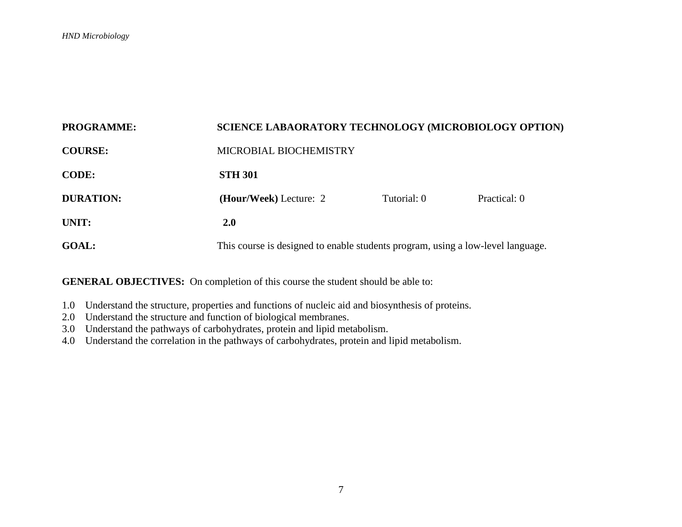| <b>PROGRAMME:</b> | <b>SCIENCE LABAORATORY TECHNOLOGY (MICROBIOLOGY OPTION)</b>                     |             |              |  |  |
|-------------------|---------------------------------------------------------------------------------|-------------|--------------|--|--|
| <b>COURSE:</b>    | MICROBIAL BIOCHEMISTRY                                                          |             |              |  |  |
| <b>CODE:</b>      | <b>STH 301</b>                                                                  |             |              |  |  |
| <b>DURATION:</b>  | (Hour/Week) Lecture: 2                                                          | Tutorial: 0 | Practical: 0 |  |  |
| UNIT:             | <b>2.0</b>                                                                      |             |              |  |  |
| <b>GOAL:</b>      | This course is designed to enable students program, using a low-level language. |             |              |  |  |

- 1.0 Understand the structure, properties and functions of nucleic aid and biosynthesis of proteins.
- 2.0 Understand the structure and function of biological membranes.
- 3.0 Understand the pathways of carbohydrates, protein and lipid metabolism.
- 4.0 Understand the correlation in the pathways of carbohydrates, protein and lipid metabolism.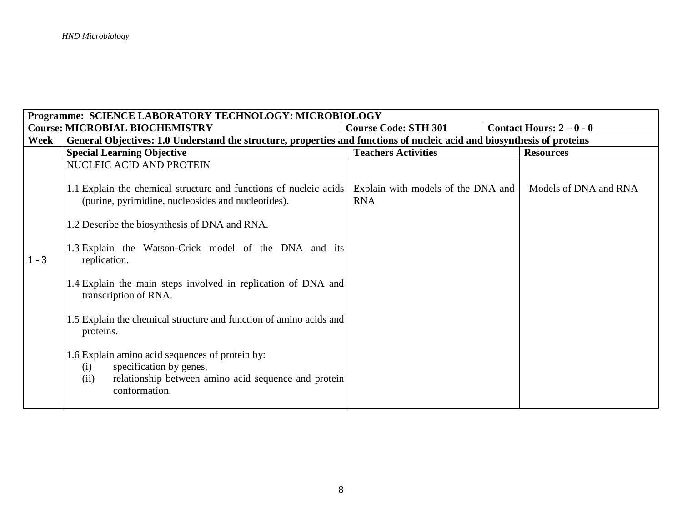| Programme: SCIENCE LABORATORY TECHNOLOGY: MICROBIOLOGY |                                                                                                                                                                    |                                                  |  |                        |  |  |  |
|--------------------------------------------------------|--------------------------------------------------------------------------------------------------------------------------------------------------------------------|--------------------------------------------------|--|------------------------|--|--|--|
|                                                        | <b>Course: MICROBIAL BIOCHEMISTRY</b>                                                                                                                              | <b>Course Code: STH 301</b>                      |  | Contact Hours: $2-0-0$ |  |  |  |
| Week                                                   | General Objectives: 1.0 Understand the structure, properties and functions of nucleic acid and biosynthesis of proteins                                            |                                                  |  |                        |  |  |  |
|                                                        | <b>Special Learning Objective</b>                                                                                                                                  | <b>Teachers Activities</b>                       |  | <b>Resources</b>       |  |  |  |
|                                                        | NUCLEIC ACID AND PROTEIN                                                                                                                                           |                                                  |  |                        |  |  |  |
|                                                        | 1.1 Explain the chemical structure and functions of nucleic acids<br>(purine, pyrimidine, nucleosides and nucleotides).                                            | Explain with models of the DNA and<br><b>RNA</b> |  | Models of DNA and RNA  |  |  |  |
|                                                        | 1.2 Describe the biosynthesis of DNA and RNA.                                                                                                                      |                                                  |  |                        |  |  |  |
| $1 - 3$                                                | 1.3 Explain the Watson-Crick model of the DNA and its<br>replication.                                                                                              |                                                  |  |                        |  |  |  |
|                                                        | 1.4 Explain the main steps involved in replication of DNA and<br>transcription of RNA.                                                                             |                                                  |  |                        |  |  |  |
|                                                        | 1.5 Explain the chemical structure and function of amino acids and<br>proteins.                                                                                    |                                                  |  |                        |  |  |  |
|                                                        | 1.6 Explain amino acid sequences of protein by:<br>specification by genes.<br>(i)<br>relationship between amino acid sequence and protein<br>(ii)<br>conformation. |                                                  |  |                        |  |  |  |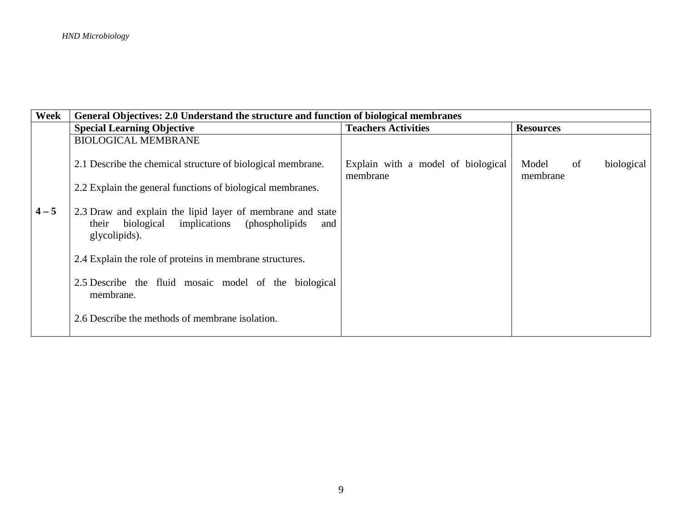| Week    | General Objectives: 2.0 Understand the structure and function of biological membranes                                                        |                                                |                                       |  |  |  |  |
|---------|----------------------------------------------------------------------------------------------------------------------------------------------|------------------------------------------------|---------------------------------------|--|--|--|--|
|         | <b>Special Learning Objective</b>                                                                                                            | <b>Teachers Activities</b>                     | <b>Resources</b>                      |  |  |  |  |
|         | <b>BIOLOGICAL MEMBRANE</b>                                                                                                                   |                                                |                                       |  |  |  |  |
|         | 2.1 Describe the chemical structure of biological membrane.                                                                                  | Explain with a model of biological<br>membrane | biological<br>Model<br>of<br>membrane |  |  |  |  |
|         | 2.2 Explain the general functions of biological membranes.                                                                                   |                                                |                                       |  |  |  |  |
| $4 - 5$ | 2.3 Draw and explain the lipid layer of membrane and state<br>implications<br>biological<br>(phospholipids)<br>their<br>and<br>glycolipids). |                                                |                                       |  |  |  |  |
|         | 2.4 Explain the role of proteins in membrane structures.                                                                                     |                                                |                                       |  |  |  |  |
|         | 2.5 Describe the fluid mosaic model of the biological<br>membrane.                                                                           |                                                |                                       |  |  |  |  |
|         | 2.6 Describe the methods of membrane isolation.                                                                                              |                                                |                                       |  |  |  |  |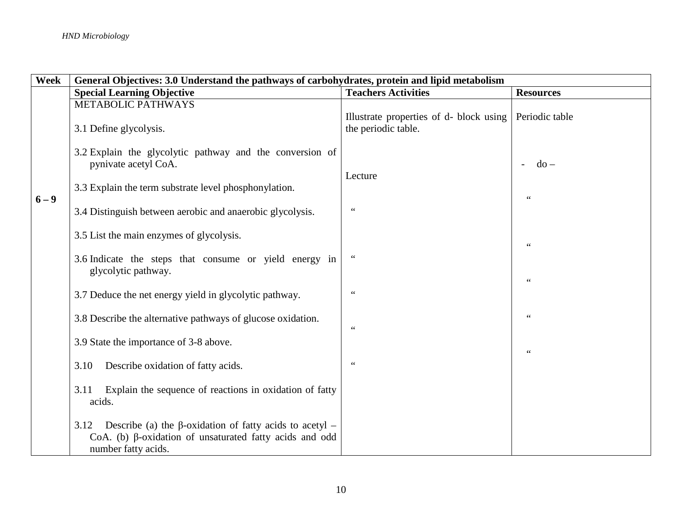| <b>Week</b> | General Objectives: 3.0 Understand the pathways of carbohydrates, protein and lipid metabolism                                                                  |                                                                |                               |  |  |  |
|-------------|-----------------------------------------------------------------------------------------------------------------------------------------------------------------|----------------------------------------------------------------|-------------------------------|--|--|--|
|             | <b>Special Learning Objective</b>                                                                                                                               | <b>Teachers Activities</b>                                     | <b>Resources</b>              |  |  |  |
|             | METABOLIC PATHWAYS<br>3.1 Define glycolysis.                                                                                                                    | Illustrate properties of d- block using<br>the periodic table. | Periodic table                |  |  |  |
|             | 3.2 Explain the glycolytic pathway and the conversion of<br>pynivate acetyl CoA.                                                                                | Lecture                                                        | $do -$                        |  |  |  |
| $6 - 9$     | 3.3 Explain the term substrate level phosphonylation.<br>3.4 Distinguish between aerobic and anaerobic glycolysis.                                              | $\mbox{\bf 6}$ $\mbox{\bf 6}$                                  | $\zeta$ $\zeta$               |  |  |  |
|             | 3.5 List the main enzymes of glycolysis.                                                                                                                        |                                                                | $\zeta$ $\zeta$               |  |  |  |
|             | 3.6 Indicate the steps that consume or yield energy in<br>glycolytic pathway.                                                                                   | $\,$ 6 6 $\,$                                                  | $\zeta$ $\zeta$               |  |  |  |
|             | 3.7 Deduce the net energy yield in glycolytic pathway.                                                                                                          |                                                                | $\zeta$ $\zeta$               |  |  |  |
|             | 3.8 Describe the alternative pathways of glucose oxidation.<br>3.9 State the importance of 3-8 above.                                                           | $\mbox{\bf 6}$ $\mbox{\bf 6}$                                  |                               |  |  |  |
|             | Describe oxidation of fatty acids.<br>3.10                                                                                                                      | $\zeta \zeta$                                                  | $\mbox{\bf 6}$ $\mbox{\bf 6}$ |  |  |  |
|             | Explain the sequence of reactions in oxidation of fatty<br>3.11<br>acids.                                                                                       |                                                                |                               |  |  |  |
|             | Describe (a) the $\beta$ -oxidation of fatty acids to acetyl –<br>3.12<br>CoA. (b) $\beta$ -oxidation of unsaturated fatty acids and odd<br>number fatty acids. |                                                                |                               |  |  |  |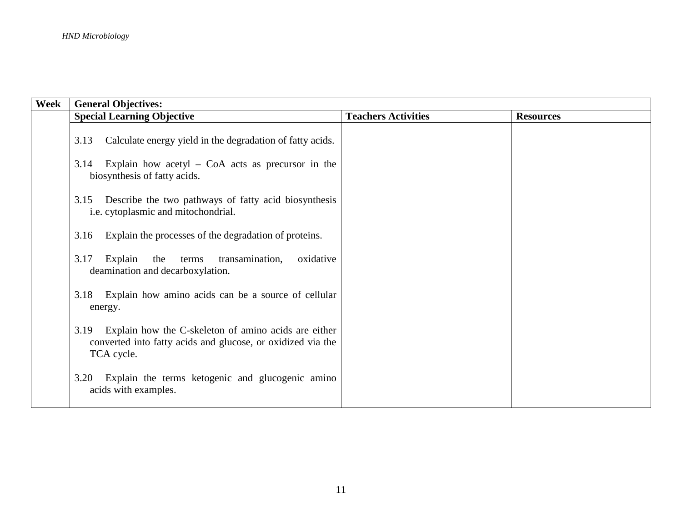| Week | <b>General Objectives:</b>                                                                                                                |                            |                  |
|------|-------------------------------------------------------------------------------------------------------------------------------------------|----------------------------|------------------|
|      | <b>Special Learning Objective</b>                                                                                                         | <b>Teachers Activities</b> | <b>Resources</b> |
|      | Calculate energy yield in the degradation of fatty acids.<br>3.13                                                                         |                            |                  |
|      | Explain how acetyl $-$ CoA acts as precursor in the<br>3.14<br>biosynthesis of fatty acids.                                               |                            |                  |
|      | Describe the two pathways of fatty acid biosynthesis<br>3.15<br>i.e. cytoplasmic and mitochondrial.                                       |                            |                  |
|      | Explain the processes of the degradation of proteins.<br>3.16                                                                             |                            |                  |
|      | 3.17<br>Explain the terms<br>transamination,<br>oxidative<br>deamination and decarboxylation.                                             |                            |                  |
|      | 3.18 Explain how amino acids can be a source of cellular<br>energy.                                                                       |                            |                  |
|      | Explain how the C-skeleton of amino acids are either<br>3.19<br>converted into fatty acids and glucose, or oxidized via the<br>TCA cycle. |                            |                  |
|      | Explain the terms ketogenic and glucogenic amino<br>3.20<br>acids with examples.                                                          |                            |                  |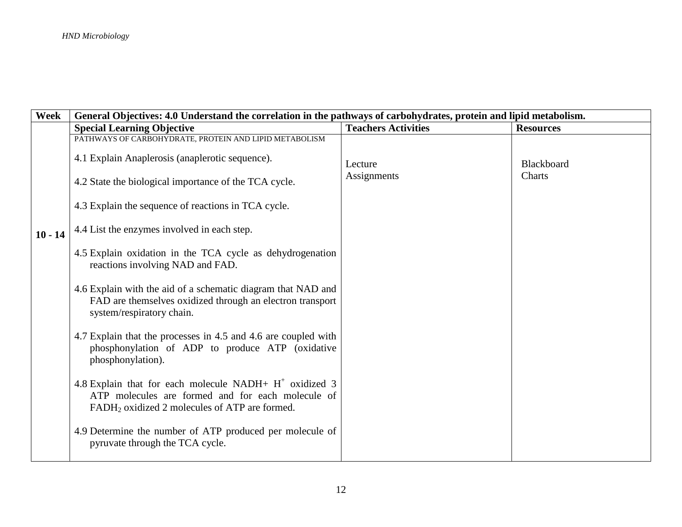| Week      |                                                                                                                                                                             | General Objectives: 4.0 Understand the correlation in the pathways of carbohydrates, protein and lipid metabolism. |                  |  |  |  |  |
|-----------|-----------------------------------------------------------------------------------------------------------------------------------------------------------------------------|--------------------------------------------------------------------------------------------------------------------|------------------|--|--|--|--|
|           | <b>Special Learning Objective</b>                                                                                                                                           | <b>Teachers Activities</b>                                                                                         | <b>Resources</b> |  |  |  |  |
|           | PATHWAYS OF CARBOHYDRATE, PROTEIN AND LIPID METABOLISM<br>4.1 Explain Anaplerosis (anaplerotic sequence).                                                                   | Lecture                                                                                                            | Blackboard       |  |  |  |  |
|           | 4.2 State the biological importance of the TCA cycle.                                                                                                                       | Assignments                                                                                                        | Charts           |  |  |  |  |
|           | 4.3 Explain the sequence of reactions in TCA cycle.                                                                                                                         |                                                                                                                    |                  |  |  |  |  |
| $10 - 14$ | 4.4 List the enzymes involved in each step.                                                                                                                                 |                                                                                                                    |                  |  |  |  |  |
|           | 4.5 Explain oxidation in the TCA cycle as dehydrogenation<br>reactions involving NAD and FAD.                                                                               |                                                                                                                    |                  |  |  |  |  |
|           | 4.6 Explain with the aid of a schematic diagram that NAD and<br>FAD are themselves oxidized through an electron transport<br>system/respiratory chain.                      |                                                                                                                    |                  |  |  |  |  |
|           | 4.7 Explain that the processes in 4.5 and 4.6 are coupled with<br>phosphonylation of ADP to produce ATP (oxidative<br>phosphonylation).                                     |                                                                                                                    |                  |  |  |  |  |
|           | 4.8 Explain that for each molecule NADH+ $H^+$ oxidized 3<br>ATP molecules are formed and for each molecule of<br>FADH <sub>2</sub> oxidized 2 molecules of ATP are formed. |                                                                                                                    |                  |  |  |  |  |
|           | 4.9 Determine the number of ATP produced per molecule of<br>pyruvate through the TCA cycle.                                                                                 |                                                                                                                    |                  |  |  |  |  |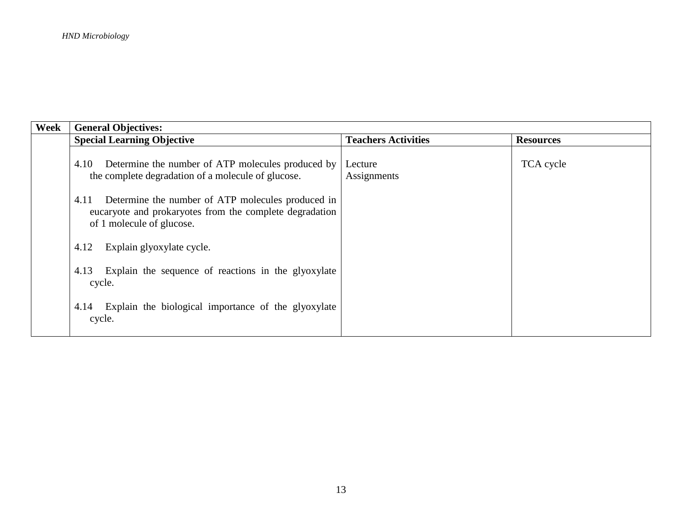| Week | <b>General Objectives:</b>                                                                                                                        |                            |                  |
|------|---------------------------------------------------------------------------------------------------------------------------------------------------|----------------------------|------------------|
|      | <b>Special Learning Objective</b>                                                                                                                 | <b>Teachers Activities</b> | <b>Resources</b> |
|      | Determine the number of ATP molecules produced by<br>4.10<br>the complete degradation of a molecule of glucose.                                   | Lecture<br>Assignments     | TCA cycle        |
|      | Determine the number of ATP molecules produced in<br>4.11<br>eucaryote and prokaryotes from the complete degradation<br>of 1 molecule of glucose. |                            |                  |
|      | Explain glyoxylate cycle.<br>4.12                                                                                                                 |                            |                  |
|      | Explain the sequence of reactions in the glyoxylate<br>4.13<br>cycle.                                                                             |                            |                  |
|      | Explain the biological importance of the glyoxylate<br>4.14<br>cycle.                                                                             |                            |                  |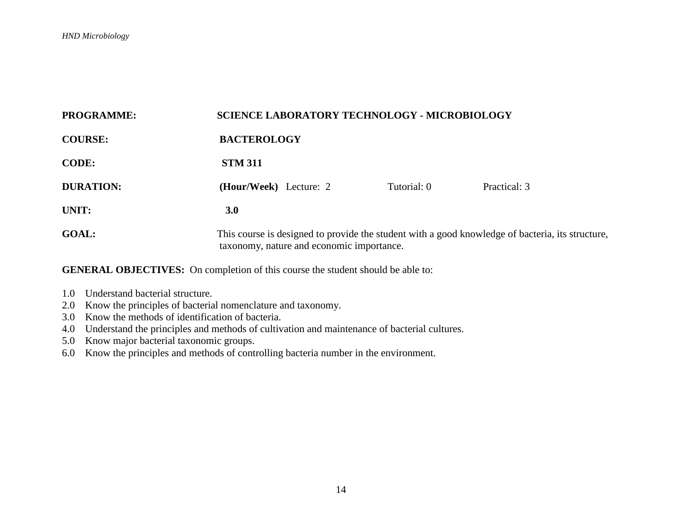| <b>PROGRAMME:</b> | <b>SCIENCE LABORATORY TECHNOLOGY - MICROBIOLOGY</b>                                                                                           |             |              |  |  |
|-------------------|-----------------------------------------------------------------------------------------------------------------------------------------------|-------------|--------------|--|--|
| <b>COURSE:</b>    | <b>BACTEROLOGY</b>                                                                                                                            |             |              |  |  |
| <b>CODE:</b>      | <b>STM 311</b>                                                                                                                                |             |              |  |  |
| <b>DURATION:</b>  | (Hour/Week) Lecture: 2                                                                                                                        | Tutorial: 0 | Practical: 3 |  |  |
| UNIT:             | 3.0                                                                                                                                           |             |              |  |  |
| <b>GOAL:</b>      | This course is designed to provide the student with a good knowledge of bacteria, its structure,<br>taxonomy, nature and economic importance. |             |              |  |  |

- 1.0 Understand bacterial structure.
- 2.0 Know the principles of bacterial nomenclature and taxonomy.
- 3.0 Know the methods of identification of bacteria.
- 4.0 Understand the principles and methods of cultivation and maintenance of bacterial cultures.
- 5.0 Know major bacterial taxonomic groups.
- 6.0 Know the principles and methods of controlling bacteria number in the environment.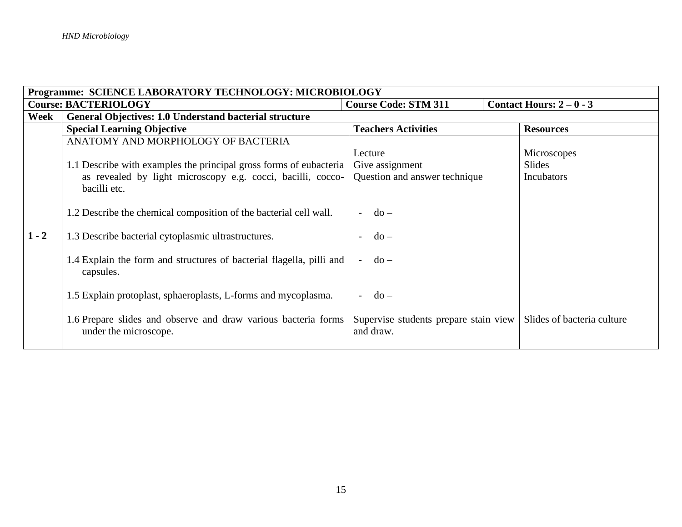| Programme: SCIENCE LABORATORY TECHNOLOGY: MICROBIOLOGY |                                                                                         |                                                    |                            |
|--------------------------------------------------------|-----------------------------------------------------------------------------------------|----------------------------------------------------|----------------------------|
|                                                        | <b>Course: BACTERIOLOGY</b>                                                             | <b>Course Code: STM 311</b>                        | Contact Hours: $2-0-3$     |
| Week                                                   | General Objectives: 1.0 Understand bacterial structure                                  |                                                    |                            |
|                                                        | <b>Special Learning Objective</b>                                                       | <b>Teachers Activities</b>                         | <b>Resources</b>           |
|                                                        | ANATOMY AND MORPHOLOGY OF BACTERIA                                                      |                                                    |                            |
|                                                        |                                                                                         | Lecture                                            | Microscopes                |
|                                                        | 1.1 Describe with examples the principal gross forms of eubacteria                      | Give assignment                                    | Slides                     |
|                                                        | as revealed by light microscopy e.g. cocci, bacilli, cocco-<br>bacilli etc.             | Question and answer technique                      | Incubators                 |
|                                                        | 1.2 Describe the chemical composition of the bacterial cell wall.                       | $d\Omega -$                                        |                            |
| $1 - 2$                                                | 1.3 Describe bacterial cytoplasmic ultrastructures.                                     | $do -$                                             |                            |
|                                                        | 1.4 Explain the form and structures of bacterial flagella, pilli and<br>capsules.       | $do -$                                             |                            |
|                                                        | 1.5 Explain protoplast, sphaeroplasts, L-forms and mycoplasma.                          | $do -$                                             |                            |
|                                                        | 1.6 Prepare slides and observe and draw various bacteria forms<br>under the microscope. | Supervise students prepare stain view<br>and draw. | Slides of bacteria culture |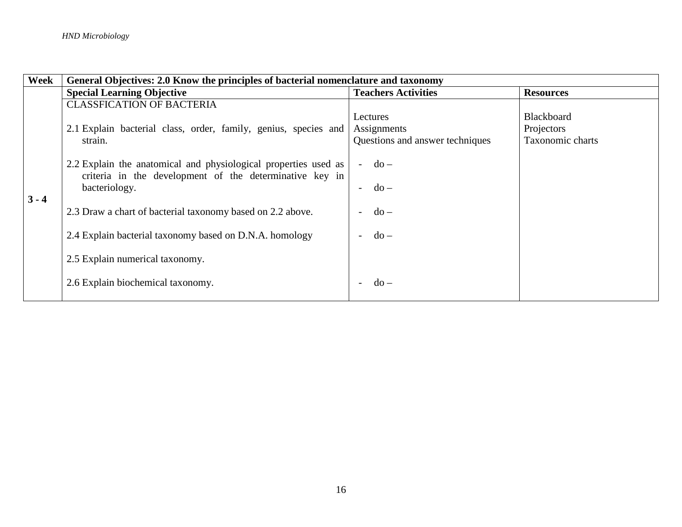| Week    | General Objectives: 2.0 Know the principles of bacterial nomenclature and taxonomy                                                          |                                                            |                                                     |
|---------|---------------------------------------------------------------------------------------------------------------------------------------------|------------------------------------------------------------|-----------------------------------------------------|
|         | <b>Special Learning Objective</b>                                                                                                           | <b>Teachers Activities</b>                                 | <b>Resources</b>                                    |
|         | <b>CLASSFICATION OF BACTERIA</b>                                                                                                            |                                                            |                                                     |
| $3 - 4$ | 2.1 Explain bacterial class, order, family, genius, species and<br>strain.                                                                  | Lectures<br>Assignments<br>Questions and answer techniques | <b>Blackboard</b><br>Projectors<br>Taxonomic charts |
|         | 2.2 Explain the anatomical and physiological properties used as<br>criteria in the development of the determinative key in<br>bacteriology. | $do -$<br>$-do-$                                           |                                                     |
|         | 2.3 Draw a chart of bacterial taxonomy based on 2.2 above.                                                                                  | $do -$                                                     |                                                     |
|         | 2.4 Explain bacterial taxonomy based on D.N.A. homology                                                                                     | $do -$                                                     |                                                     |
|         | 2.5 Explain numerical taxonomy.                                                                                                             |                                                            |                                                     |
|         | 2.6 Explain biochemical taxonomy.                                                                                                           | $do -$                                                     |                                                     |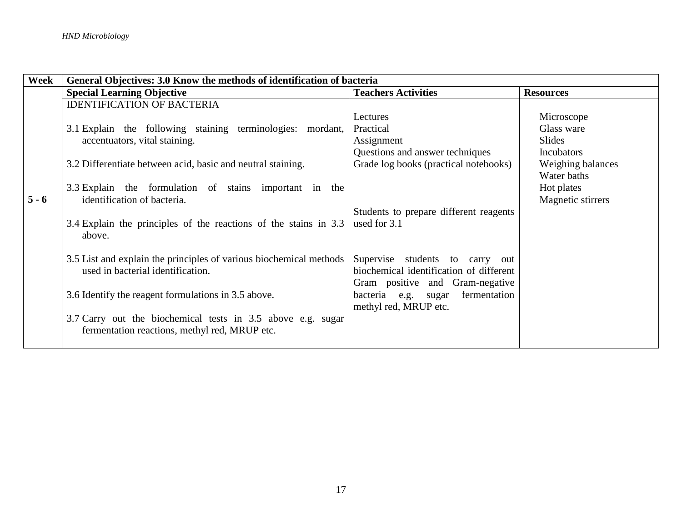| Week    | General Objectives: 3.0 Know the methods of identification of bacteria     |                                         |                   |
|---------|----------------------------------------------------------------------------|-----------------------------------------|-------------------|
|         | <b>Special Learning Objective</b>                                          | <b>Teachers Activities</b>              | <b>Resources</b>  |
|         | <b>IDENTIFICATION OF BACTERIA</b>                                          |                                         |                   |
|         |                                                                            | Lectures                                | Microscope        |
|         | 3.1 Explain the following staining terminologies: mordant,                 | Practical                               | Glass ware        |
|         | accentuators, vital staining.                                              | Assignment                              | <b>Slides</b>     |
|         |                                                                            | Questions and answer techniques         | Incubators        |
|         | 3.2 Differentiate between acid, basic and neutral staining.                | Grade log books (practical notebooks)   | Weighing balances |
|         |                                                                            |                                         | Water baths       |
|         | 3.3 Explain the formulation of stains important in the                     |                                         | Hot plates        |
| $5 - 6$ | identification of bacteria.                                                |                                         | Magnetic stirrers |
|         |                                                                            | Students to prepare different reagents  |                   |
|         | 3.4 Explain the principles of the reactions of the stains in 3.3<br>above. | used for 3.1                            |                   |
|         |                                                                            |                                         |                   |
|         | 3.5 List and explain the principles of various biochemical methods         | Supervise students to carry out         |                   |
|         | used in bacterial identification.                                          | biochemical identification of different |                   |
|         |                                                                            | Gram positive and Gram-negative         |                   |
|         | 3.6 Identify the reagent formulations in 3.5 above.                        | fermentation<br>bacteria e.g. sugar     |                   |
|         |                                                                            | methyl red, MRUP etc.                   |                   |
|         | 3.7 Carry out the biochemical tests in 3.5 above e.g. sugar                |                                         |                   |
|         | fermentation reactions, methyl red, MRUP etc.                              |                                         |                   |
|         |                                                                            |                                         |                   |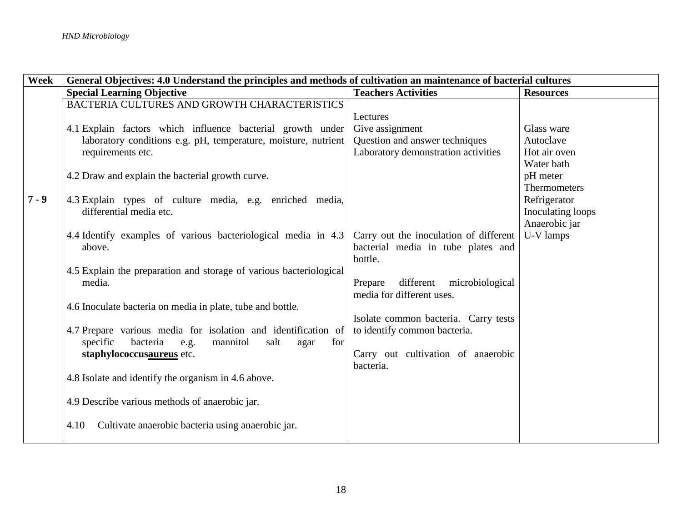| Week    | General Objectives: 4.0 Understand the principles and methods of cultivation an maintenance of bacterial cultures |                                               |                   |
|---------|-------------------------------------------------------------------------------------------------------------------|-----------------------------------------------|-------------------|
|         | <b>Special Learning Objective</b>                                                                                 | <b>Teachers Activities</b>                    | <b>Resources</b>  |
|         | BACTERIA CULTURES AND GROWTH CHARACTERISTICS                                                                      |                                               |                   |
|         |                                                                                                                   | Lectures                                      |                   |
|         | 4.1 Explain factors which influence bacterial growth under                                                        | Give assignment                               | Glass ware        |
|         | laboratory conditions e.g. pH, temperature, moisture, nutrient                                                    | Question and answer techniques                | Autoclave         |
|         | requirements etc.                                                                                                 | Laboratory demonstration activities           | Hot air oven      |
|         |                                                                                                                   |                                               | Water bath        |
|         | 4.2 Draw and explain the bacterial growth curve.                                                                  |                                               | pH meter          |
|         |                                                                                                                   |                                               | Thermometers      |
| $7 - 9$ | 4.3 Explain types of culture media, e.g. enriched media,                                                          |                                               | Refrigerator      |
|         | differential media etc.                                                                                           |                                               | Inoculating loops |
|         |                                                                                                                   |                                               | Anaerobic jar     |
|         | 4.4 Identify examples of various bacteriological media in 4.3                                                     | Carry out the inoculation of different        | U-V lamps         |
|         | above.                                                                                                            | bacterial media in tube plates and<br>bottle. |                   |
|         | 4.5 Explain the preparation and storage of various bacteriological                                                |                                               |                   |
|         | media.                                                                                                            | different<br>Prepare<br>microbiological       |                   |
|         |                                                                                                                   | media for different uses.                     |                   |
|         | 4.6 Inoculate bacteria on media in plate, tube and bottle.                                                        |                                               |                   |
|         |                                                                                                                   | Isolate common bacteria. Carry tests          |                   |
|         | 4.7 Prepare various media for isolation and identification of                                                     | to identify common bacteria.                  |                   |
|         | bacteria<br>specific<br>e.g.<br>mannitol<br>salt<br>for<br>agar                                                   |                                               |                   |
|         | staphylococcusaureus etc.                                                                                         | Carry out cultivation of anaerobic            |                   |
|         |                                                                                                                   | bacteria.                                     |                   |
|         | 4.8 Isolate and identify the organism in 4.6 above.                                                               |                                               |                   |
|         |                                                                                                                   |                                               |                   |
|         | 4.9 Describe various methods of anaerobic jar.                                                                    |                                               |                   |
|         |                                                                                                                   |                                               |                   |
|         | Cultivate anaerobic bacteria using anaerobic jar.<br>4.10                                                         |                                               |                   |
|         |                                                                                                                   |                                               |                   |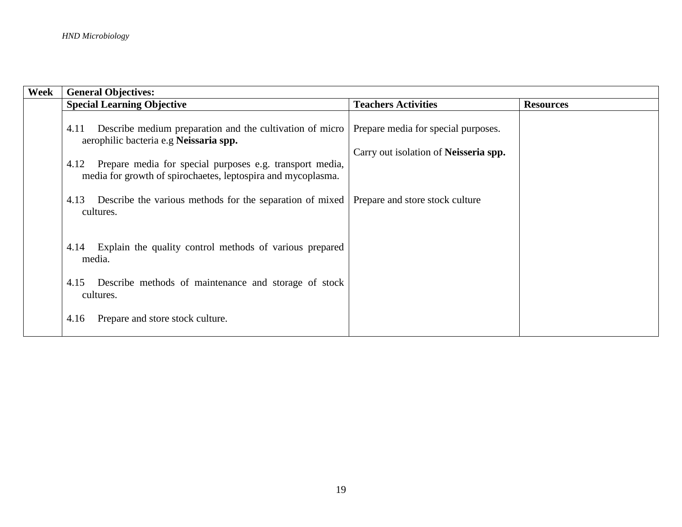| Week | <b>General Objectives:</b>                                                                                                                                                                                                                     |                                                                                     |                  |
|------|------------------------------------------------------------------------------------------------------------------------------------------------------------------------------------------------------------------------------------------------|-------------------------------------------------------------------------------------|------------------|
|      | <b>Special Learning Objective</b>                                                                                                                                                                                                              | <b>Teachers Activities</b>                                                          | <b>Resources</b> |
|      | Describe medium preparation and the cultivation of micro<br>4.11<br>aerophilic bacteria e.g Neissaria spp.<br>Prepare media for special purposes e.g. transport media,<br>4.12<br>media for growth of spirochaetes, leptospira and mycoplasma. | Prepare media for special purposes.<br>Carry out isolation of <b>Neisseria spp.</b> |                  |
|      | Describe the various methods for the separation of mixed<br>4.13<br>cultures.                                                                                                                                                                  | Prepare and store stock culture                                                     |                  |
|      | Explain the quality control methods of various prepared<br>4.14<br>media.                                                                                                                                                                      |                                                                                     |                  |
|      | Describe methods of maintenance and storage of stock<br>4.15<br>cultures.                                                                                                                                                                      |                                                                                     |                  |
|      | Prepare and store stock culture.<br>4.16                                                                                                                                                                                                       |                                                                                     |                  |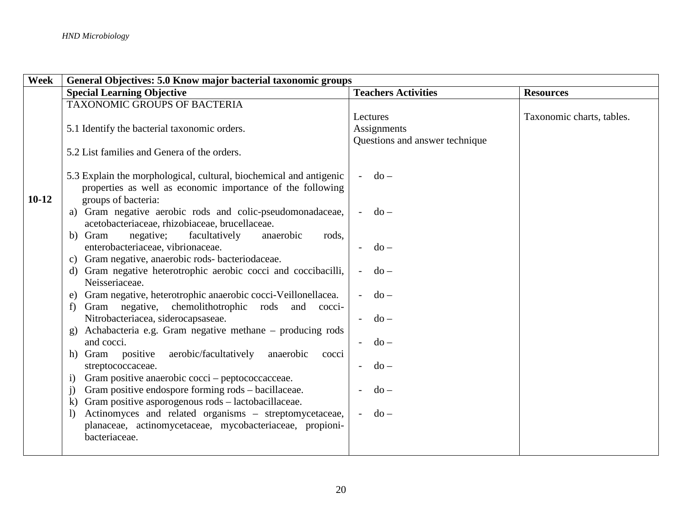| Week    | General Objectives: 5.0 Know major bacterial taxonomic groups      |                                    |                           |
|---------|--------------------------------------------------------------------|------------------------------------|---------------------------|
|         | <b>Special Learning Objective</b>                                  | <b>Teachers Activities</b>         | <b>Resources</b>          |
|         | TAXONOMIC GROUPS OF BACTERIA                                       |                                    |                           |
|         |                                                                    | Lectures                           | Taxonomic charts, tables. |
|         | 5.1 Identify the bacterial taxonomic orders.                       | Assignments                        |                           |
|         |                                                                    | Questions and answer technique     |                           |
|         | 5.2 List families and Genera of the orders.                        |                                    |                           |
|         |                                                                    |                                    |                           |
|         | 5.3 Explain the morphological, cultural, biochemical and antigenic | $do -$<br>$\overline{a}$           |                           |
|         | properties as well as economic importance of the following         |                                    |                           |
| $10-12$ | groups of bacteria:                                                |                                    |                           |
|         | a) Gram negative aerobic rods and colic-pseudomonadaceae,          | $do -$                             |                           |
|         | acetobacteriaceae, rhizobiaceae, brucellaceae.                     |                                    |                           |
|         | negative;<br>facultatively<br>b) Gram<br>anaerobic<br>rods,        |                                    |                           |
|         | enterobacteriaceae, vibrionaceae.                                  | $do -$                             |                           |
|         | c) Gram negative, anaerobic rods-bacteriodaceae.                   |                                    |                           |
|         | d) Gram negative heterotrophic aerobic cocci and coccibacilli,     | $do -$<br>$\sim$                   |                           |
|         | Neisseriaceae.                                                     |                                    |                           |
|         | Gram negative, heterotrophic anaerobic cocci-Veillonellacea.<br>e) | $do -$                             |                           |
|         | Gram negative, chemolithotrophic rods<br>and cocci-<br>f           |                                    |                           |
|         | Nitrobacteriacea, siderocapsaseae.                                 | $do -$                             |                           |
|         | g) Achabacteria e.g. Gram negative methane – producing rods        |                                    |                           |
|         | and cocci.                                                         | $do -$<br>$\sim 100$               |                           |
|         | aerobic/facultatively<br>h) Gram positive<br>anaerobic<br>cocci    |                                    |                           |
|         | streptococcaceae.                                                  | $do -$                             |                           |
|         | Gram positive anaerobic cocci – peptococcacceae.<br>$\bf{1)}$      |                                    |                           |
|         | Gram positive endospore forming rods – bacillaceae.<br>j)          | $do -$                             |                           |
|         | k) Gram positive asporogenous rods - lactobacillaceae.             |                                    |                           |
|         | Actinomyces and related organisms - streptomycetaceae,<br>$\bf{I}$ | $do -$<br>$\overline{\phantom{a}}$ |                           |
|         | planaceae, actinomycetaceae, mycobacteriaceae, propioni-           |                                    |                           |
|         | bacteriaceae.                                                      |                                    |                           |
|         |                                                                    |                                    |                           |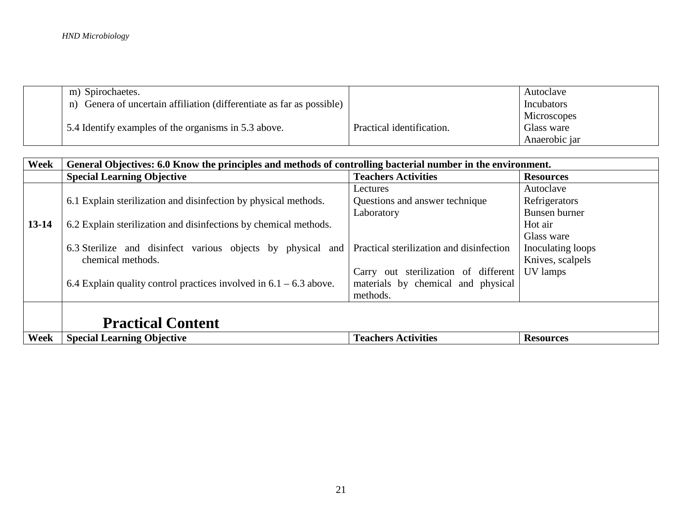| m) Spirochaetes.                                                         |                           | Autoclave     |
|--------------------------------------------------------------------------|---------------------------|---------------|
| Genera of uncertain affiliation (differentiate as far as possible)<br>n) |                           | Incubators    |
|                                                                          |                           | Microscopes   |
| 5.4 Identify examples of the organisms in 5.3 above.                     | Practical identification. | Glass ware    |
|                                                                          |                           | Anaerobic jar |

| Week      | General Objectives: 6.0 Know the principles and methods of controlling bacterial number in the environment. |                                          |                   |  |
|-----------|-------------------------------------------------------------------------------------------------------------|------------------------------------------|-------------------|--|
|           | <b>Special Learning Objective</b>                                                                           | <b>Teachers Activities</b>               | <b>Resources</b>  |  |
|           |                                                                                                             | Lectures                                 | Autoclave         |  |
|           | 6.1 Explain sterilization and disinfection by physical methods.                                             | Questions and answer technique           | Refrigerators     |  |
|           |                                                                                                             | Laboratory                               | Bunsen burner     |  |
| $13 - 14$ | 6.2 Explain sterilization and disinfections by chemical methods.                                            |                                          | Hot air           |  |
|           |                                                                                                             |                                          | Glass ware        |  |
|           | 6.3 Sterilize and disinfect various objects by physical and                                                 | Practical sterilization and disinfection | Inoculating loops |  |
|           | chemical methods.                                                                                           |                                          | Knives, scalpels  |  |
|           |                                                                                                             | Carry out sterilization of different     | UV lamps          |  |
|           | 6.4 Explain quality control practices involved in $6.1 - 6.3$ above.                                        | materials by chemical and physical       |                   |  |
|           |                                                                                                             | methods.                                 |                   |  |
|           |                                                                                                             |                                          |                   |  |
|           | <b>Practical Content</b>                                                                                    |                                          |                   |  |
| Week      | <b>Special Learning Objective</b>                                                                           | <b>Teachers Activities</b>               | <b>Resources</b>  |  |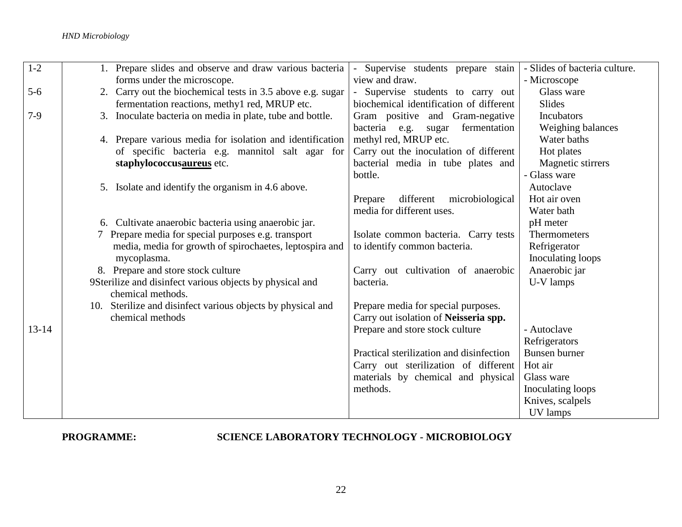| $1 - 2$   | 1. Prepare slides and observe and draw various bacteria     | Supervise students prepare stain         | - Slides of bacteria culture. |
|-----------|-------------------------------------------------------------|------------------------------------------|-------------------------------|
|           | forms under the microscope.                                 | view and draw.                           | - Microscope                  |
| $5-6$     | 2. Carry out the biochemical tests in 3.5 above e.g. sugar  | Supervise students to carry out          | Glass ware                    |
|           | fermentation reactions, methyl red, MRUP etc.               | biochemical identification of different  | <b>Slides</b>                 |
| $7-9$     | 3. Inoculate bacteria on media in plate, tube and bottle.   | Gram positive and Gram-negative          | Incubators                    |
|           |                                                             | fermentation<br>bacteria e.g.<br>sugar   | Weighing balances             |
|           | 4. Prepare various media for isolation and identification   | methyl red, MRUP etc.                    | Water baths                   |
|           | of specific bacteria e.g. mannitol salt agar for            | Carry out the inoculation of different   | Hot plates                    |
|           | staphylococcusaureus etc.                                   | bacterial media in tube plates and       | Magnetic stirrers             |
|           |                                                             | bottle.                                  | - Glass ware                  |
|           | 5. Isolate and identify the organism in 4.6 above.          |                                          | Autoclave                     |
|           |                                                             | different<br>microbiological<br>Prepare  | Hot air oven                  |
|           |                                                             | media for different uses.                | Water bath                    |
|           | 6. Cultivate anaerobic bacteria using anaerobic jar.        |                                          | pH meter                      |
|           | 7 Prepare media for special purposes e.g. transport         | Isolate common bacteria. Carry tests     | <b>Thermometers</b>           |
|           | media, media for growth of spirochaetes, leptospira and     | to identify common bacteria.             | Refrigerator                  |
|           | mycoplasma.                                                 |                                          | Inoculating loops             |
|           | 8. Prepare and store stock culture                          | Carry out cultivation of anaerobic       | Anaerobic jar                 |
|           | 9Sterilize and disinfect various objects by physical and    | bacteria.                                | U-V lamps                     |
|           | chemical methods.                                           |                                          |                               |
|           | 10. Sterilize and disinfect various objects by physical and | Prepare media for special purposes.      |                               |
|           | chemical methods                                            | Carry out isolation of Neisseria spp.    |                               |
| $13 - 14$ |                                                             | Prepare and store stock culture          | - Autoclave                   |
|           |                                                             |                                          | Refrigerators                 |
|           |                                                             | Practical sterilization and disinfection | Bunsen burner                 |
|           |                                                             | Carry out sterilization of different     | Hot air                       |
|           |                                                             | materials by chemical and physical       | Glass ware                    |
|           |                                                             | methods.                                 | Inoculating loops             |
|           |                                                             |                                          | Knives, scalpels              |
|           |                                                             |                                          | UV lamps                      |

## **PROGRAMME: SCIENCE LABORATORY TECHNOLOGY - MICROBIOLOGY**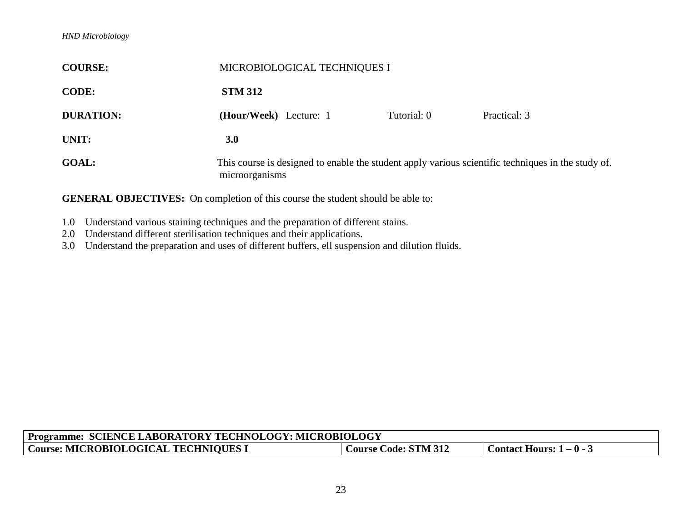| <b>COURSE:</b>   | MICROBIOLOGICAL TECHNIQUES I                                                                                         |             |              |
|------------------|----------------------------------------------------------------------------------------------------------------------|-------------|--------------|
| <b>CODE:</b>     | <b>STM 312</b>                                                                                                       |             |              |
| <b>DURATION:</b> | (Hour/Week) Lecture: 1                                                                                               | Tutorial: 0 | Practical: 3 |
| UNIT:            | 3.0                                                                                                                  |             |              |
| <b>GOAL:</b>     | This course is designed to enable the student apply various scientific techniques in the study of.<br>microorganisms |             |              |

- 1.0 Understand various staining techniques and the preparation of different stains.
- 2.0 Understand different sterilisation techniques and their applications.
- 3.0 Understand the preparation and uses of different buffers, ell suspension and dilution fluids.

| <b>Programme:</b><br>: SCIENCE LABORATORY TECHNOLOGY: MICROBIOLOGY |                             |                                 |  |
|--------------------------------------------------------------------|-----------------------------|---------------------------------|--|
| Course: MICROBIOLOGICAL TECHNIOUES I                               | <b>Course Code: STM 312</b> | <b>Contact Hours: 1 – 0 -</b> 3 |  |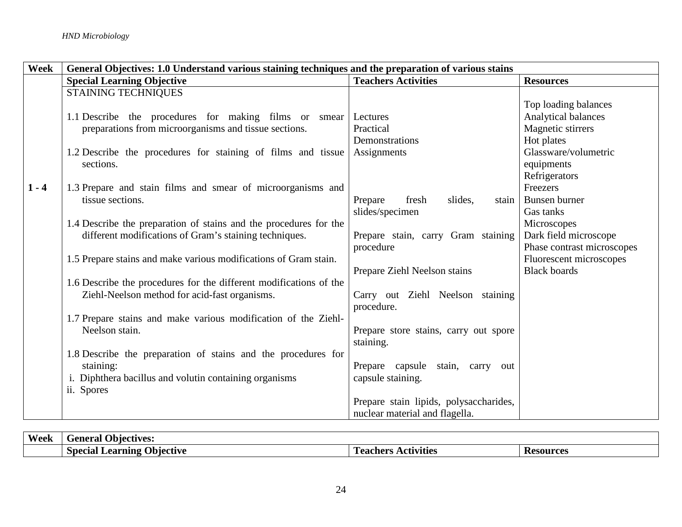| Week    | General Objectives: 1.0 Understand various staining techniques and the preparation of various stains                                 |                                                                          |                                                                    |
|---------|--------------------------------------------------------------------------------------------------------------------------------------|--------------------------------------------------------------------------|--------------------------------------------------------------------|
|         | <b>Special Learning Objective</b>                                                                                                    | <b>Teachers Activities</b>                                               | <b>Resources</b>                                                   |
|         | <b>STAINING TECHNIQUES</b>                                                                                                           |                                                                          | Top loading balances                                               |
|         | 1.1 Describe the procedures for making films or smear<br>preparations from microorganisms and tissue sections.                       | Lectures<br>Practical                                                    | Analytical balances<br>Magnetic stirrers                           |
|         | 1.2 Describe the procedures for staining of films and tissue<br>sections.                                                            | Demonstrations<br>Assignments                                            | Hot plates<br>Glassware/volumetric<br>equipments                   |
| $1 - 4$ | 1.3 Prepare and stain films and smear of microorganisms and<br>tissue sections.                                                      | Prepare<br>slides,<br>fresh<br>stain<br>slides/specimen                  | Refrigerators<br>Freezers<br>Bunsen burner<br>Gas tanks            |
|         | 1.4 Describe the preparation of stains and the procedures for the<br>different modifications of Gram's staining techniques.          | Prepare stain, carry Gram staining<br>procedure                          | Microscopes<br>Dark field microscope<br>Phase contrast microscopes |
|         | 1.5 Prepare stains and make various modifications of Gram stain.                                                                     | Prepare Ziehl Neelson stains                                             | Fluorescent microscopes<br><b>Black boards</b>                     |
|         | 1.6 Describe the procedures for the different modifications of the<br>Ziehl-Neelson method for acid-fast organisms.                  | Carry out Ziehl Neelson staining<br>procedure.                           |                                                                    |
|         | 1.7 Prepare stains and make various modification of the Ziehl-<br>Neelson stain.                                                     | Prepare store stains, carry out spore<br>staining.                       |                                                                    |
|         | 1.8 Describe the preparation of stains and the procedures for<br>staining:<br>i. Diphthera bacillus and volutin containing organisms | Prepare capsule<br>stain, carry out<br>capsule staining.                 |                                                                    |
|         | ii. Spores                                                                                                                           | Prepare stain lipids, polysaccharides,<br>nuclear material and flagella. |                                                                    |

| Week | <b>Objectives:</b><br>General               |                               |                  |
|------|---------------------------------------------|-------------------------------|------------------|
|      | ! )biective<br>Special<br>Learning <b>f</b> | <b>\ctɪvɪtɪes</b><br>Teachers | <b>Kesources</b> |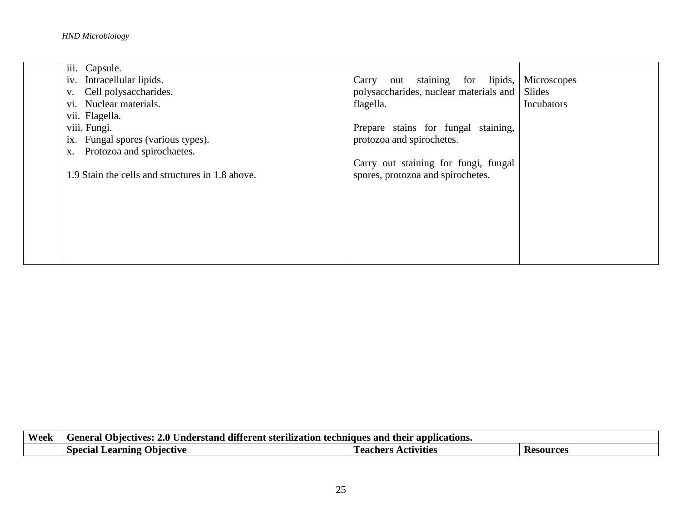| iii. Capsule.                                    |                                               |            |
|--------------------------------------------------|-----------------------------------------------|------------|
| iv. Intracellular lipids.                        | Carry out staining for lipids, Microscopes    |            |
| Cell polysaccharides.<br>V.                      | polysaccharides, nuclear materials and Slides |            |
| vi. Nuclear materials.                           | flagella.                                     | Incubators |
| vii. Flagella.                                   |                                               |            |
| viii. Fungi.                                     | Prepare stains for fungal staining,           |            |
| ix. Fungal spores (various types).               | protozoa and spirochetes.                     |            |
| Protozoa and spirochaetes.<br>X.                 |                                               |            |
|                                                  | Carry out staining for fungi, fungal          |            |
| 1.9 Stain the cells and structures in 1.8 above. | spores, protozoa and spirochetes.             |            |
|                                                  |                                               |            |
|                                                  |                                               |            |
|                                                  |                                               |            |
|                                                  |                                               |            |
|                                                  |                                               |            |
|                                                  |                                               |            |
|                                                  |                                               |            |

| <b>Week</b> | <b>1000</b><br>their<br>' applications.<br>2.O<br>and<br>ves:<br>Feneral<br>. Jhiect<br>Jnderstand<br>ANes<br>ditt<br>terent<br>-sterilizat<br>non<br>ாா |                                 |              |
|-------------|----------------------------------------------------------------------------------------------------------------------------------------------------------|---------------------------------|--------------|
|             | Special<br>Jbıectıve<br><b>_earnıng</b><br>лса -<br>ັ                                                                                                    | <b>Pachers</b><br>uvīties<br>л. | sources<br>w |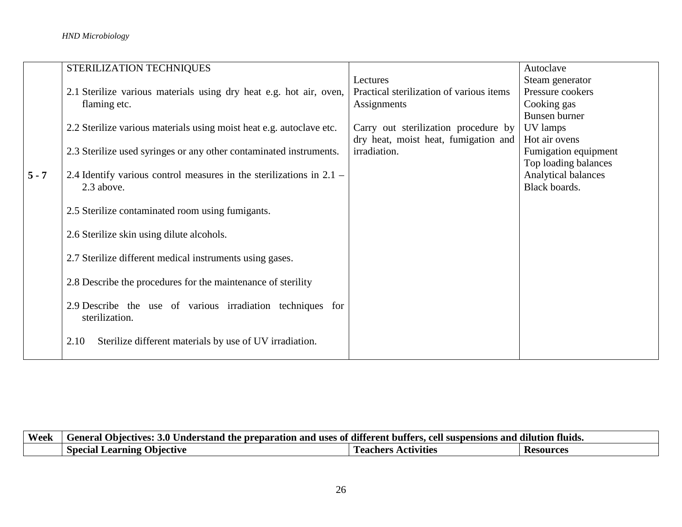|         | STERILIZATION TECHNIQUES                                               |                                          | Autoclave            |
|---------|------------------------------------------------------------------------|------------------------------------------|----------------------|
|         |                                                                        | Lectures                                 | Steam generator      |
|         | 2.1 Sterilize various materials using dry heat e.g. hot air, oven,     | Practical sterilization of various items | Pressure cookers     |
|         | flaming etc.                                                           | Assignments                              | Cooking gas          |
|         |                                                                        |                                          | Bunsen burner        |
|         | 2.2 Sterilize various materials using moist heat e.g. autoclave etc.   | Carry out sterilization procedure by     | UV lamps             |
|         |                                                                        | dry heat, moist heat, fumigation and     | Hot air ovens        |
|         | 2.3 Sterilize used syringes or any other contaminated instruments.     | irradiation.                             | Fumigation equipment |
|         |                                                                        |                                          | Top loading balances |
| $5 - 7$ | 2.4 Identify various control measures in the sterilizations in $2.1 -$ |                                          | Analytical balances  |
|         | 2.3 above.                                                             |                                          | Black boards.        |
|         | 2.5 Sterilize contaminated room using fumigants.                       |                                          |                      |
|         |                                                                        |                                          |                      |
|         | 2.6 Sterilize skin using dilute alcohols.                              |                                          |                      |
|         |                                                                        |                                          |                      |
|         | 2.7 Sterilize different medical instruments using gases.               |                                          |                      |
|         |                                                                        |                                          |                      |
|         | 2.8 Describe the procedures for the maintenance of sterility           |                                          |                      |
|         |                                                                        |                                          |                      |
|         | 2.9 Describe the use of various irradiation techniques for             |                                          |                      |
|         | sterilization.                                                         |                                          |                      |
|         |                                                                        |                                          |                      |
|         | Sterilize different materials by use of UV irradiation.<br>2.10        |                                          |                      |
|         |                                                                        |                                          |                      |

| Week | tluids.<br>and a<br>cell :<br>.<br>uses<br>. different.<br>and<br>n r<br>reparation<br>-butters<br><b>Feneral</b><br>. )hiectives:<br><b>Inderstand</b><br>, ot<br>nor<br>-the<br>  suspensions |                              |                 |
|------|-------------------------------------------------------------------------------------------------------------------------------------------------------------------------------------------------|------------------------------|-----------------|
|      | Special<br>. Jbiective<br>earnıng<br>лса                                                                                                                                                        | eachers<br><b>\ctɪvɪtɪes</b> | 'esources<br>ັບ |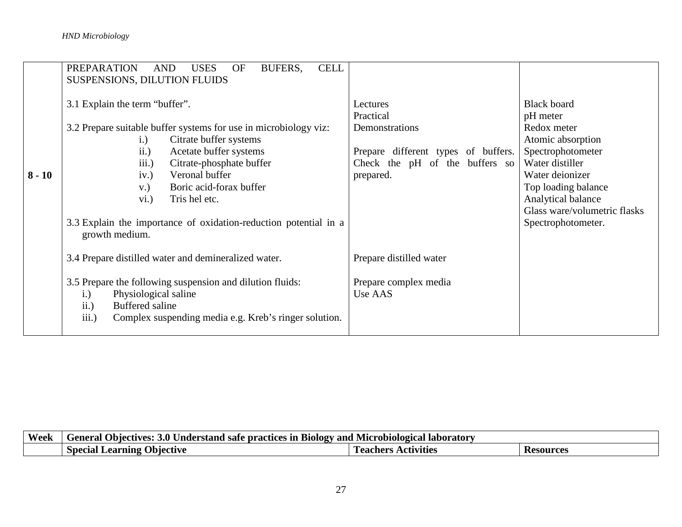|          | <b>PREPARATION</b><br><b>USES</b><br><b>CELL</b><br><b>AND</b><br>BUFERS,<br>OF<br>SUSPENSIONS, DILUTION FLUIDS                                                                                                                                                                                                                                                                          |                                                                                                                               |                                                                                                                                                                                                                                  |
|----------|------------------------------------------------------------------------------------------------------------------------------------------------------------------------------------------------------------------------------------------------------------------------------------------------------------------------------------------------------------------------------------------|-------------------------------------------------------------------------------------------------------------------------------|----------------------------------------------------------------------------------------------------------------------------------------------------------------------------------------------------------------------------------|
| $8 - 10$ | 3.1 Explain the term "buffer".<br>3.2 Prepare suitable buffer systems for use in microbiology viz:<br>Citrate buffer systems<br>i.)<br>ii.)<br>Acetate buffer systems<br>iii.)<br>Citrate-phosphate buffer<br>Veronal buffer<br>iv.)<br>Boric acid-forax buffer<br>$V.$ )<br>Tris hel etc.<br>vi.)<br>3.3 Explain the importance of oxidation-reduction potential in a<br>growth medium. | Lectures<br>Practical<br>Demonstrations<br>Prepare different types of buffers.<br>Check the pH of the buffers so<br>prepared. | <b>Black board</b><br>pH meter<br>Redox meter<br>Atomic absorption<br>Spectrophotometer<br>Water distiller<br>Water deionizer<br>Top loading balance<br>Analytical balance<br>Glass ware/volumetric flasks<br>Spectrophotometer. |
|          | 3.4 Prepare distilled water and demineralized water.                                                                                                                                                                                                                                                                                                                                     | Prepare distilled water                                                                                                       |                                                                                                                                                                                                                                  |
|          | 3.5 Prepare the following suspension and dilution fluids:<br>Physiological saline<br>i.)<br>Buffered saline<br>ii.)<br>iii.)<br>Complex suspending media e.g. Kreb's ringer solution.                                                                                                                                                                                                    | Prepare complex media<br>Use AAS                                                                                              |                                                                                                                                                                                                                                  |

| Week | <b>Biology</b> and<br>Objectives:<br>'Jnderstand'<br>Feneral<br>l Microbiological<br><b>Taboratory</b><br>3.V<br>l safe practices in |                       |                  |
|------|--------------------------------------------------------------------------------------------------------------------------------------|-----------------------|------------------|
|      | Obiective)<br>Special<br>Learning                                                                                                    | Activities<br>eachers | <b>Resources</b> |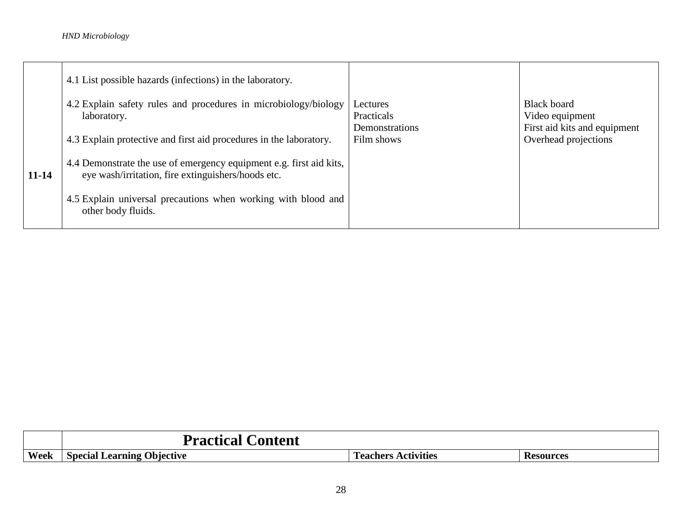|       | 4.1 List possible hazards (infections) in the laboratory.                                                                 |                                          |                                                                       |
|-------|---------------------------------------------------------------------------------------------------------------------------|------------------------------------------|-----------------------------------------------------------------------|
|       | 4.2 Explain safety rules and procedures in microbiology/biology<br>laboratory.                                            | Lectures<br>Practicals<br>Demonstrations | <b>Black board</b><br>Video equipment<br>First aid kits and equipment |
|       | 4.3 Explain protective and first aid procedures in the laboratory.                                                        | Film shows                               | Overhead projections                                                  |
| 11-14 | 4.4 Demonstrate the use of emergency equipment e.g. first aid kits,<br>eye wash/irritation, fire extinguishers/hoods etc. |                                          |                                                                       |
|       | 4.5 Explain universal precautions when working with blood and<br>other body fluids.                                       |                                          |                                                                       |

|      | tent<br>$\mathbf{F}$<br>$\sim$<br>acucai     |                                     |                  |
|------|----------------------------------------------|-------------------------------------|------------------|
| Week | ')bjective<br>Special<br>. Learning <i>'</i> | --<br><b>ctivities</b><br>l eachers | <b>Resources</b> |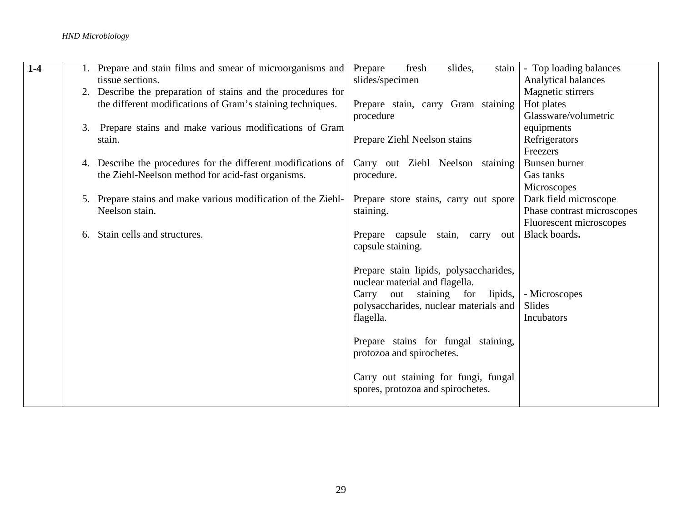| $1-4$ | 1. Prepare and stain films and smear of microorganisms and    | slides,<br>Prepare<br>fresh<br>stain   | - Top loading balances     |
|-------|---------------------------------------------------------------|----------------------------------------|----------------------------|
|       | tissue sections.                                              | slides/specimen                        | <b>Analytical balances</b> |
|       | 2. Describe the preparation of stains and the procedures for  |                                        | Magnetic stirrers          |
|       | the different modifications of Gram's staining techniques.    | Prepare stain, carry Gram staining     | Hot plates                 |
|       |                                                               | procedure                              | Glassware/volumetric       |
|       | 3. Prepare stains and make various modifications of Gram      |                                        | equipments                 |
|       | stain.                                                        | Prepare Ziehl Neelson stains           | Refrigerators              |
|       |                                                               |                                        | Freezers                   |
|       | 4. Describe the procedures for the different modifications of | Carry out Ziehl Neelson staining       | Bunsen burner              |
|       | the Ziehl-Neelson method for acid-fast organisms.             | procedure.                             | Gas tanks                  |
|       |                                                               |                                        | Microscopes                |
|       | 5. Prepare stains and make various modification of the Ziehl- | Prepare store stains, carry out spore  | Dark field microscope      |
|       | Neelson stain.                                                | staining.                              | Phase contrast microscopes |
|       |                                                               |                                        | Fluorescent microscopes    |
|       | Stain cells and structures.<br>6.                             | Prepare capsule<br>stain, carry out    | Black boards.              |
|       |                                                               | capsule staining.                      |                            |
|       |                                                               |                                        |                            |
|       |                                                               | Prepare stain lipids, polysaccharides, |                            |
|       |                                                               | nuclear material and flagella.         |                            |
|       |                                                               | Carry out staining for<br>lipids,      | - Microscopes              |
|       |                                                               | polysaccharides, nuclear materials and | Slides                     |
|       |                                                               | flagella.                              | Incubators                 |
|       |                                                               |                                        |                            |
|       |                                                               | Prepare stains for fungal staining,    |                            |
|       |                                                               | protozoa and spirochetes.              |                            |
|       |                                                               |                                        |                            |
|       |                                                               | Carry out staining for fungi, fungal   |                            |
|       |                                                               | spores, protozoa and spirochetes.      |                            |
|       |                                                               |                                        |                            |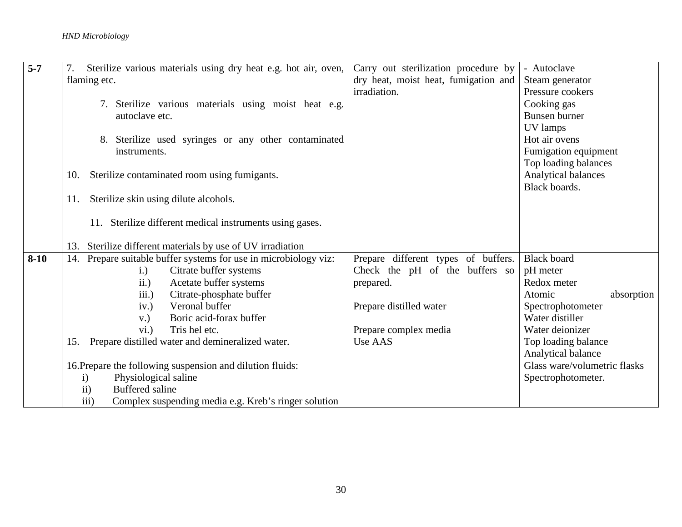| $5-7$  | Sterilize various materials using dry heat e.g. hot air, oven,      | Carry out sterilization procedure by | - Autoclave                  |
|--------|---------------------------------------------------------------------|--------------------------------------|------------------------------|
|        |                                                                     |                                      |                              |
|        | flaming etc.                                                        | dry heat, moist heat, fumigation and | Steam generator              |
|        |                                                                     | irradiation.                         | Pressure cookers             |
|        | 7. Sterilize various materials using moist heat e.g.                |                                      | Cooking gas                  |
|        | autoclave etc.                                                      |                                      | Bunsen burner                |
|        |                                                                     |                                      | UV lamps                     |
|        | 8. Sterilize used syringes or any other contaminated                |                                      | Hot air ovens                |
|        | instruments.                                                        |                                      | Fumigation equipment         |
|        |                                                                     |                                      | Top loading balances         |
|        | Sterilize contaminated room using fumigants.<br>10.                 |                                      | Analytical balances          |
|        |                                                                     |                                      | Black boards.                |
|        | Sterilize skin using dilute alcohols.<br>11.                        |                                      |                              |
|        |                                                                     |                                      |                              |
|        | 11. Sterilize different medical instruments using gases.            |                                      |                              |
|        |                                                                     |                                      |                              |
|        | 13. Sterilize different materials by use of UV irradiation          |                                      |                              |
| $8-10$ | Prepare suitable buffer systems for use in microbiology viz:<br>14. | Prepare different types of buffers.  | <b>Black board</b>           |
|        | Citrate buffer systems<br>i.)                                       | Check the pH of the buffers so       | pH meter                     |
|        | ii.)<br>Acetate buffer systems                                      | prepared.                            | Redox meter                  |
|        | Citrate-phosphate buffer<br>iii.)                                   |                                      | Atomic<br>absorption         |
|        | Veronal buffer<br>iv.)                                              | Prepare distilled water              | Spectrophotometer            |
|        | Boric acid-forax buffer<br>$V.$ )                                   |                                      | Water distiller              |
|        | Tris hel etc.<br>vi.)                                               | Prepare complex media                | Water deionizer              |
|        | Prepare distilled water and demineralized water.<br>15.             | Use AAS                              | Top loading balance          |
|        |                                                                     |                                      | Analytical balance           |
|        | 16. Prepare the following suspension and dilution fluids:           |                                      | Glass ware/volumetric flasks |
|        | Physiological saline<br>$\mathbf{i}$                                |                                      | Spectrophotometer.           |
|        | <b>Buffered saline</b><br>$\rm ii)$                                 |                                      |                              |
|        | iii)<br>Complex suspending media e.g. Kreb's ringer solution        |                                      |                              |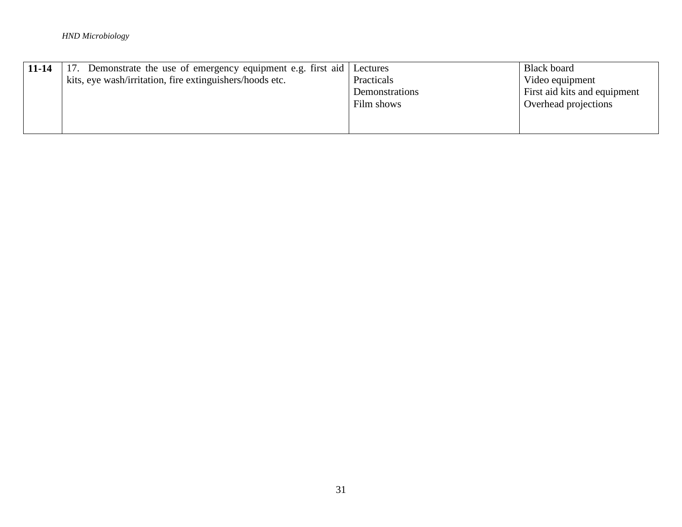| $11 - 14$ | 17. Demonstrate the use of emergency equipment e.g. first aid | Lectures       | <b>Black board</b>           |
|-----------|---------------------------------------------------------------|----------------|------------------------------|
|           | kits, eye wash/irritation, fire extinguishers/hoods etc.      | Practicals     | Video equipment              |
|           |                                                               | Demonstrations | First aid kits and equipment |
|           |                                                               | Film shows     | Overhead projections         |
|           |                                                               |                |                              |
|           |                                                               |                |                              |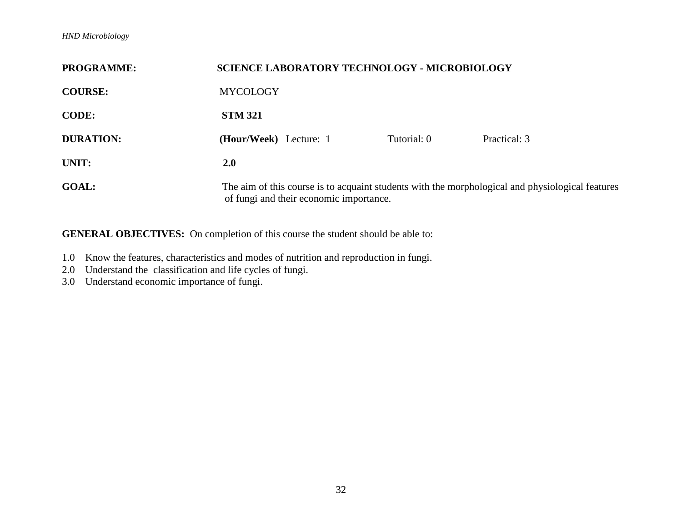| <b>PROGRAMME:</b> | <b>SCIENCE LABORATORY TECHNOLOGY - MICROBIOLOGY</b>                                                                                         |             |              |
|-------------------|---------------------------------------------------------------------------------------------------------------------------------------------|-------------|--------------|
| <b>COURSE:</b>    | <b>MYCOLOGY</b>                                                                                                                             |             |              |
| <b>CODE:</b>      | <b>STM 321</b>                                                                                                                              |             |              |
| <b>DURATION:</b>  | (Hour/Week) Lecture: 1                                                                                                                      | Tutorial: 0 | Practical: 3 |
| UNIT:             | 2.0                                                                                                                                         |             |              |
| <b>GOAL:</b>      | The aim of this course is to acquaint students with the morphological and physiological features<br>of fungi and their economic importance. |             |              |

- 1.0 Know the features, characteristics and modes of nutrition and reproduction in fungi.
- 2.0 Understand the classification and life cycles of fungi.
- 3.0 Understand economic importance of fungi.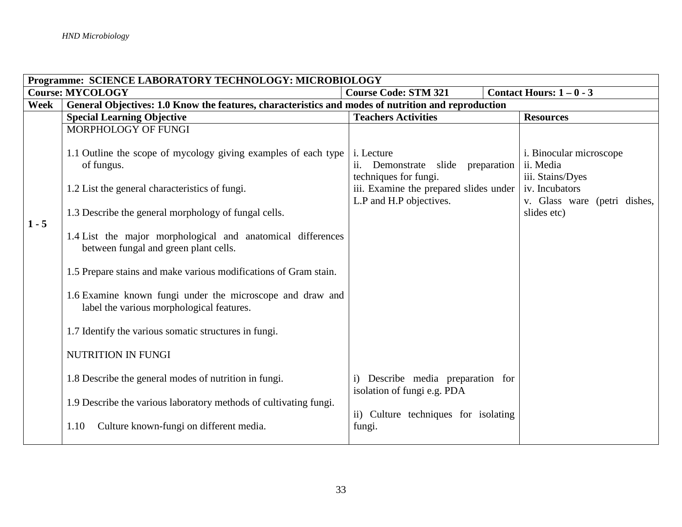|         | Programme: SCIENCE LABORATORY TECHNOLOGY: MICROBIOLOGY                                                 |                                                                          |                                                          |  |
|---------|--------------------------------------------------------------------------------------------------------|--------------------------------------------------------------------------|----------------------------------------------------------|--|
|         | <b>Course: MYCOLOGY</b>                                                                                | <b>Course Code: STM 321</b>                                              | Contact Hours: $1 - 0 - 3$                               |  |
| Week    | General Objectives: 1.0 Know the features, characteristics and modes of nutrition and reproduction     |                                                                          |                                                          |  |
|         | <b>Special Learning Objective</b>                                                                      | <b>Teachers Activities</b>                                               | <b>Resources</b>                                         |  |
|         | MORPHOLOGY OF FUNGI                                                                                    |                                                                          |                                                          |  |
|         | 1.1 Outline the scope of mycology giving examples of each type<br>of fungus.                           | i. Lecture<br>ii. Demonstrate slide preparation<br>techniques for fungi. | i. Binocular microscope<br>ii. Media<br>iii. Stains/Dyes |  |
|         | 1.2 List the general characteristics of fungi.                                                         | iii. Examine the prepared slides under<br>L.P and H.P objectives.        | iv. Incubators<br>v. Glass ware (petri dishes,           |  |
| $1 - 5$ | 1.3 Describe the general morphology of fungal cells.                                                   |                                                                          | slides etc)                                              |  |
|         | 1.4 List the major morphological and anatomical differences<br>between fungal and green plant cells.   |                                                                          |                                                          |  |
|         | 1.5 Prepare stains and make various modifications of Gram stain.                                       |                                                                          |                                                          |  |
|         | 1.6 Examine known fungi under the microscope and draw and<br>label the various morphological features. |                                                                          |                                                          |  |
|         | 1.7 Identify the various somatic structures in fungi.                                                  |                                                                          |                                                          |  |
|         | NUTRITION IN FUNGI                                                                                     |                                                                          |                                                          |  |
|         | 1.8 Describe the general modes of nutrition in fungi.                                                  | i) Describe media preparation for<br>isolation of fungi e.g. PDA         |                                                          |  |
|         | 1.9 Describe the various laboratory methods of cultivating fungi.                                      | ii) Culture techniques for isolating                                     |                                                          |  |
|         | Culture known-fungi on different media.<br>1.10                                                        | fungi.                                                                   |                                                          |  |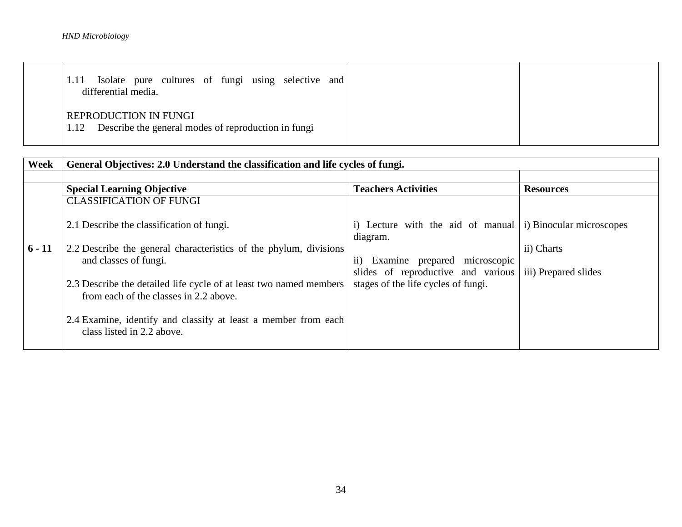| Isolate pure cultures of fungi using selective<br>and<br>differential media.         |  |
|--------------------------------------------------------------------------------------|--|
| REPRODUCTION IN FUNGI<br>Describe the general modes of reproduction in fungi<br>1.12 |  |

| Week     | General Objectives: 2.0 Understand the classification and life cycles of fungi.                              |                                                                                |                      |
|----------|--------------------------------------------------------------------------------------------------------------|--------------------------------------------------------------------------------|----------------------|
|          |                                                                                                              |                                                                                |                      |
|          | <b>Special Learning Objective</b>                                                                            | <b>Teachers Activities</b>                                                     | <b>Resources</b>     |
|          | <b>CLASSIFICATION OF FUNGI</b>                                                                               |                                                                                |                      |
|          | 2.1 Describe the classification of fungi.                                                                    | i) Lecture with the aid of manual $\vert$ i) Binocular microscopes<br>diagram. |                      |
| $6 - 11$ | 2.2 Describe the general characteristics of the phylum, divisions                                            |                                                                                | ii) Charts           |
|          | and classes of fungi.                                                                                        | ii) Examine prepared microscopic<br>slides of reproductive and various         | iii) Prepared slides |
|          | 2.3 Describe the detailed life cycle of at least two named members<br>from each of the classes in 2.2 above. | stages of the life cycles of fungi.                                            |                      |
|          | 2.4 Examine, identify and classify at least a member from each<br>class listed in 2.2 above.                 |                                                                                |                      |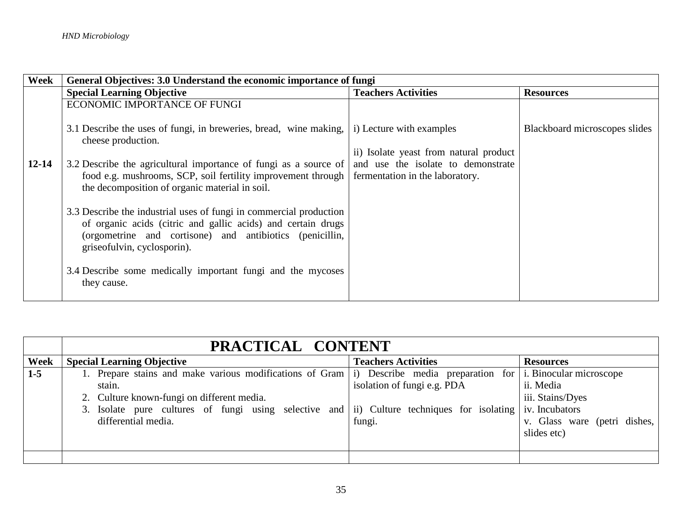| Week      | General Objectives: 3.0 Understand the economic importance of fungi                                                                                                                                                           |                                        |                               |
|-----------|-------------------------------------------------------------------------------------------------------------------------------------------------------------------------------------------------------------------------------|----------------------------------------|-------------------------------|
|           | <b>Special Learning Objective</b>                                                                                                                                                                                             | <b>Teachers Activities</b>             | <b>Resources</b>              |
|           | ECONOMIC IMPORTANCE OF FUNGI                                                                                                                                                                                                  |                                        |                               |
|           | 3.1 Describe the uses of fungi, in breweries, bread, wine making,<br>cheese production.                                                                                                                                       | i) Lecture with examples               | Blackboard microscopes slides |
|           |                                                                                                                                                                                                                               | ii) Isolate yeast from natural product |                               |
| $12 - 14$ | 3.2 Describe the agricultural importance of fungi as a source of                                                                                                                                                              | and use the isolate to demonstrate     |                               |
|           | food e.g. mushrooms, SCP, soil fertility improvement through<br>the decomposition of organic material in soil.                                                                                                                | fermentation in the laboratory.        |                               |
|           | 3.3 Describe the industrial uses of fungi in commercial production<br>of organic acids (citric and gallic acids) and certain drugs<br>(orgometrine and cortisone) and antibiotics (penicillin,<br>griseofulvin, cyclosporin). |                                        |                               |
|           | 3.4 Describe some medically important fungi and the mycoses<br>they cause.                                                                                                                                                    |                                        |                               |

|       | PRACTICAL CONTENT                                                                           |                             |                                 |
|-------|---------------------------------------------------------------------------------------------|-----------------------------|---------------------------------|
| Week  | <b>Special Learning Objective</b>                                                           | <b>Teachers Activities</b>  | <b>Resources</b>                |
| $1-5$ | 1. Prepare stains and make various modifications of Gram (i) Describe media preparation for |                             | <i>i</i> . Binocular microscope |
|       | stain.                                                                                      | isolation of fungi e.g. PDA | ii. Media                       |
|       | 2. Culture known-fungi on different media.                                                  |                             | iii. Stains/Dyes                |
|       | 3. Isolate pure cultures of fungi using selective and ii) Culture techniques for isolating  |                             | iv. Incubators                  |
|       | differential media.                                                                         | fungi.                      | v. Glass ware (petri dishes,    |
|       |                                                                                             |                             | slides etc)                     |
|       |                                                                                             |                             |                                 |
|       |                                                                                             |                             |                                 |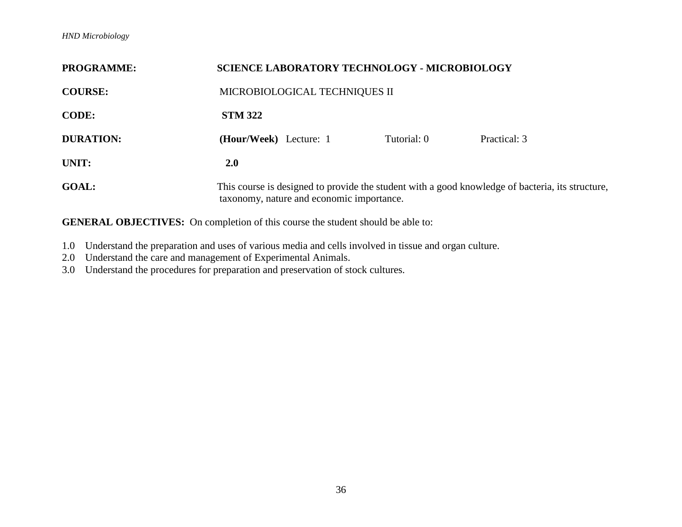| <b>PROGRAMME:</b> | <b>SCIENCE LABORATORY TECHNOLOGY - MICROBIOLOGY</b>                                                                                           |  |
|-------------------|-----------------------------------------------------------------------------------------------------------------------------------------------|--|
| <b>COURSE:</b>    | MICROBIOLOGICAL TECHNIQUES II                                                                                                                 |  |
| <b>CODE:</b>      | <b>STM 322</b>                                                                                                                                |  |
| <b>DURATION:</b>  | (Hour/Week) Lecture: 1<br>Tutorial: 0<br>Practical: 3                                                                                         |  |
| UNIT:             | <b>2.0</b>                                                                                                                                    |  |
| <b>GOAL:</b>      | This course is designed to provide the student with a good knowledge of bacteria, its structure,<br>taxonomy, nature and economic importance. |  |

- 1.0 Understand the preparation and uses of various media and cells involved in tissue and organ culture.
- 2.0 Understand the care and management of Experimental Animals.
- 3.0 Understand the procedures for preparation and preservation of stock cultures.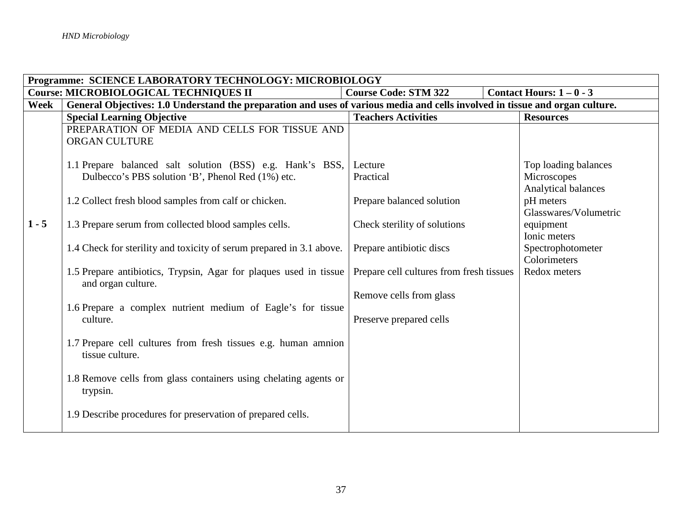|             | Programme: SCIENCE LABORATORY TECHNOLOGY: MICROBIOLOGY                                                                       |                                          |                                  |  |
|-------------|------------------------------------------------------------------------------------------------------------------------------|------------------------------------------|----------------------------------|--|
|             | <b>Course: MICROBIOLOGICAL TECHNIQUES II</b>                                                                                 | <b>Course Code: STM 322</b>              | Contact Hours: $1 - 0 - 3$       |  |
| <b>Week</b> | General Objectives: 1.0 Understand the preparation and uses of various media and cells involved in tissue and organ culture. |                                          |                                  |  |
|             | <b>Special Learning Objective</b>                                                                                            | <b>Teachers Activities</b>               | <b>Resources</b>                 |  |
|             | PREPARATION OF MEDIA AND CELLS FOR TISSUE AND                                                                                |                                          |                                  |  |
|             | <b>ORGAN CULTURE</b>                                                                                                         |                                          |                                  |  |
|             |                                                                                                                              |                                          |                                  |  |
|             | 1.1 Prepare balanced salt solution (BSS) e.g. Hank's BSS,                                                                    | Lecture                                  | Top loading balances             |  |
|             | Dulbecco's PBS solution 'B', Phenol Red (1%) etc.                                                                            | Practical                                | Microscopes                      |  |
|             | 1.2 Collect fresh blood samples from calf or chicken.                                                                        | Prepare balanced solution                | Analytical balances<br>pH meters |  |
|             |                                                                                                                              |                                          | Glasswares/Volumetric            |  |
| $1 - 5$     | 1.3 Prepare serum from collected blood samples cells.                                                                        | Check sterility of solutions             | equipment                        |  |
|             |                                                                                                                              |                                          | Ionic meters                     |  |
|             | 1.4 Check for sterility and toxicity of serum prepared in 3.1 above.                                                         | Prepare antibiotic discs                 | Spectrophotometer                |  |
|             |                                                                                                                              |                                          | Colorimeters                     |  |
|             | 1.5 Prepare antibiotics, Trypsin, Agar for plaques used in tissue                                                            | Prepare cell cultures from fresh tissues | Redox meters                     |  |
|             | and organ culture.                                                                                                           |                                          |                                  |  |
|             |                                                                                                                              | Remove cells from glass                  |                                  |  |
|             | 1.6 Prepare a complex nutrient medium of Eagle's for tissue                                                                  |                                          |                                  |  |
|             | culture.                                                                                                                     | Preserve prepared cells                  |                                  |  |
|             |                                                                                                                              |                                          |                                  |  |
|             | 1.7 Prepare cell cultures from fresh tissues e.g. human amnion                                                               |                                          |                                  |  |
|             | tissue culture.                                                                                                              |                                          |                                  |  |
|             |                                                                                                                              |                                          |                                  |  |
|             | 1.8 Remove cells from glass containers using chelating agents or<br>trypsin.                                                 |                                          |                                  |  |
|             |                                                                                                                              |                                          |                                  |  |
|             | 1.9 Describe procedures for preservation of prepared cells.                                                                  |                                          |                                  |  |
|             |                                                                                                                              |                                          |                                  |  |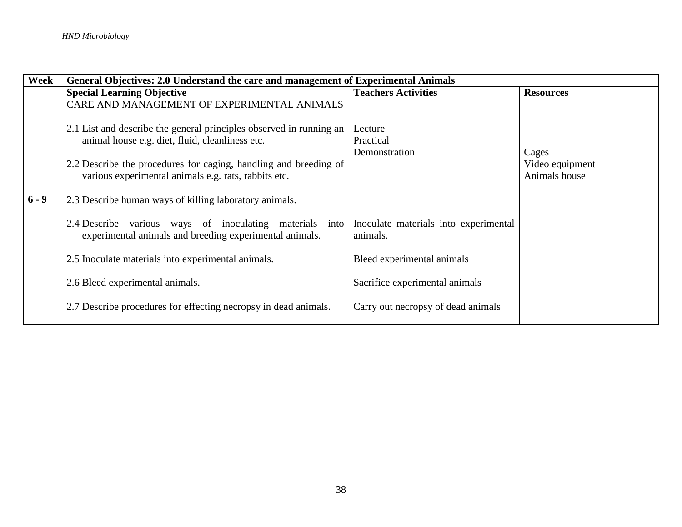| Week    | General Objectives: 2.0 Understand the care and management of Experimental Animals                                       |                                                   |                                  |
|---------|--------------------------------------------------------------------------------------------------------------------------|---------------------------------------------------|----------------------------------|
|         | <b>Special Learning Objective</b>                                                                                        | <b>Teachers Activities</b>                        | <b>Resources</b>                 |
|         | CARE AND MANAGEMENT OF EXPERIMENTAL ANIMALS                                                                              |                                                   |                                  |
|         | 2.1 List and describe the general principles observed in running an                                                      | Lecture                                           |                                  |
|         | animal house e.g. diet, fluid, cleanliness etc.                                                                          | Practical                                         |                                  |
|         |                                                                                                                          | Demonstration                                     | Cages                            |
|         | 2.2 Describe the procedures for caging, handling and breeding of<br>various experimental animals e.g. rats, rabbits etc. |                                                   | Video equipment<br>Animals house |
| $6 - 9$ | 2.3 Describe human ways of killing laboratory animals.                                                                   |                                                   |                                  |
|         | 2.4 Describe various ways of inoculating materials into<br>experimental animals and breeding experimental animals.       | Inoculate materials into experimental<br>animals. |                                  |
|         | 2.5 Inoculate materials into experimental animals.                                                                       | Bleed experimental animals                        |                                  |
|         | 2.6 Bleed experimental animals.                                                                                          | Sacrifice experimental animals                    |                                  |
|         | 2.7 Describe procedures for effecting necropsy in dead animals.                                                          | Carry out necropsy of dead animals                |                                  |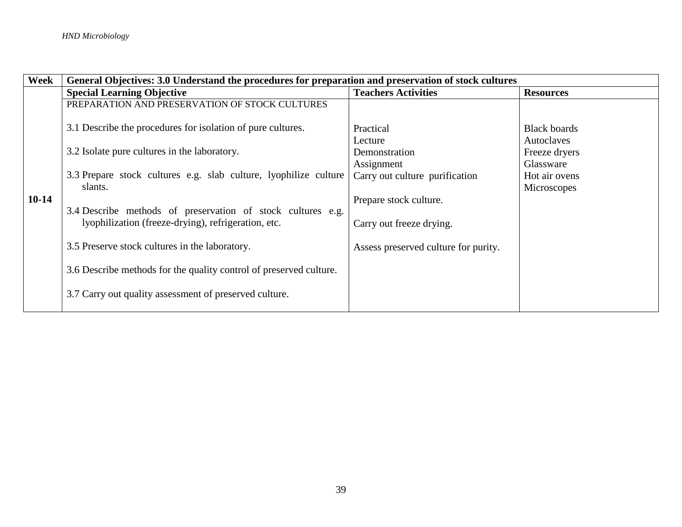| Week    | General Objectives: 3.0 Understand the procedures for preparation and preservation of stock cultures |                                      |                     |  |
|---------|------------------------------------------------------------------------------------------------------|--------------------------------------|---------------------|--|
|         | <b>Special Learning Objective</b>                                                                    | <b>Teachers Activities</b>           | <b>Resources</b>    |  |
|         | PREPARATION AND PRESERVATION OF STOCK CULTURES                                                       |                                      |                     |  |
|         | 3.1 Describe the procedures for isolation of pure cultures.                                          | Practical                            | <b>Black boards</b> |  |
|         |                                                                                                      | Lecture                              | Autoclaves          |  |
|         | 3.2 Isolate pure cultures in the laboratory.                                                         | Demonstration                        | Freeze dryers       |  |
|         |                                                                                                      | Assignment                           | Glassware           |  |
|         | 3.3 Prepare stock cultures e.g. slab culture, lyophilize culture                                     | Carry out culture purification       | Hot air ovens       |  |
|         | slants.                                                                                              |                                      | Microscopes         |  |
| $10-14$ |                                                                                                      | Prepare stock culture.               |                     |  |
|         | 3.4 Describe methods of preservation of stock cultures e.g.                                          |                                      |                     |  |
|         | lyophilization (freeze-drying), refrigeration, etc.                                                  | Carry out freeze drying.             |                     |  |
|         | 3.5 Preserve stock cultures in the laboratory.                                                       | Assess preserved culture for purity. |                     |  |
|         | 3.6 Describe methods for the quality control of preserved culture.                                   |                                      |                     |  |
|         | 3.7 Carry out quality assessment of preserved culture.                                               |                                      |                     |  |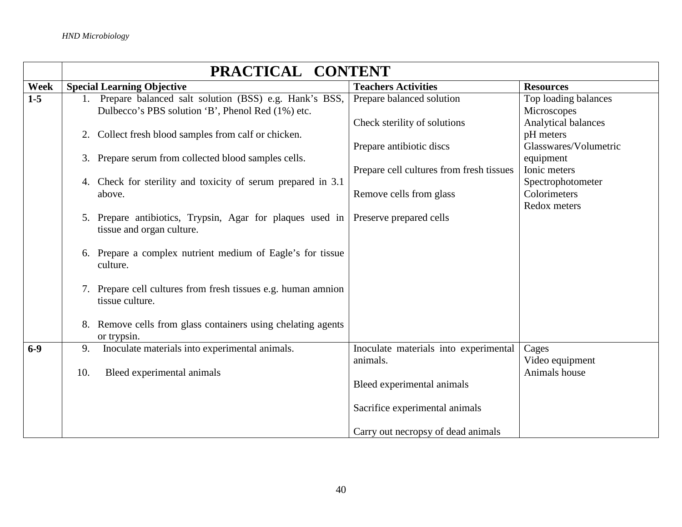|       | PRACTICAL CONTENT                                                                                              |                                                          |                                                           |  |
|-------|----------------------------------------------------------------------------------------------------------------|----------------------------------------------------------|-----------------------------------------------------------|--|
| Week  | <b>Special Learning Objective</b>                                                                              | <b>Teachers Activities</b>                               | <b>Resources</b>                                          |  |
| $1-5$ | 1. Prepare balanced salt solution (BSS) e.g. Hank's BSS,<br>Dulbecco's PBS solution 'B', Phenol Red (1%) etc.  | Prepare balanced solution                                | Top loading balances<br>Microscopes                       |  |
|       | 2. Collect fresh blood samples from calf or chicken.                                                           | Check sterility of solutions<br>Prepare antibiotic discs | Analytical balances<br>pH meters<br>Glasswares/Volumetric |  |
|       | 3. Prepare serum from collected blood samples cells.                                                           | Prepare cell cultures from fresh tissues                 | equipment<br>Ionic meters                                 |  |
|       | 4. Check for sterility and toxicity of serum prepared in 3.1                                                   |                                                          | Spectrophotometer<br>Colorimeters                         |  |
|       | above.                                                                                                         | Remove cells from glass                                  | Redox meters                                              |  |
|       | 5. Prepare antibiotics, Trypsin, Agar for plaques used in Preserve prepared cells<br>tissue and organ culture. |                                                          |                                                           |  |
|       | 6. Prepare a complex nutrient medium of Eagle's for tissue<br>culture.                                         |                                                          |                                                           |  |
|       | 7. Prepare cell cultures from fresh tissues e.g. human amnion<br>tissue culture.                               |                                                          |                                                           |  |
|       | 8. Remove cells from glass containers using chelating agents<br>or trypsin.                                    |                                                          |                                                           |  |
| $6-9$ | Inoculate materials into experimental animals.<br>9.                                                           | Inoculate materials into experimental<br>animals.        | Cages<br>Video equipment                                  |  |
|       | Bleed experimental animals<br>10.                                                                              | Bleed experimental animals                               | Animals house                                             |  |
|       |                                                                                                                | Sacrifice experimental animals                           |                                                           |  |
|       |                                                                                                                | Carry out necropsy of dead animals                       |                                                           |  |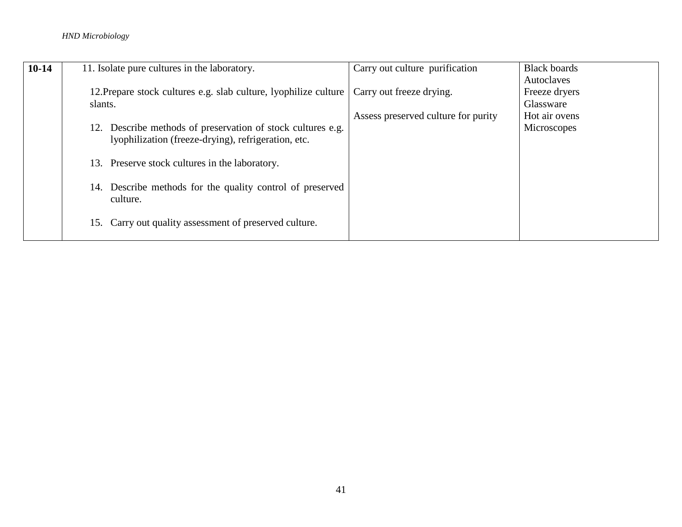## *HND Microbiology*

| $10-14$ | 11. Isolate pure cultures in the laboratory.                                                                       | Carry out culture purification      | <b>Black boards</b>        |
|---------|--------------------------------------------------------------------------------------------------------------------|-------------------------------------|----------------------------|
|         |                                                                                                                    |                                     | Autoclaves                 |
|         | 12. Prepare stock cultures e.g. slab culture, lyophilize culture                                                   | Carry out freeze drying.            | Freeze dryers              |
|         | slants.                                                                                                            | Assess preserved culture for purity | Glassware<br>Hot air ovens |
|         | 12. Describe methods of preservation of stock cultures e.g.<br>lyophilization (freeze-drying), refrigeration, etc. |                                     | Microscopes                |
|         | 13. Preserve stock cultures in the laboratory.                                                                     |                                     |                            |
|         | 14. Describe methods for the quality control of preserved<br>culture.                                              |                                     |                            |
|         | Carry out quality assessment of preserved culture.<br>15.                                                          |                                     |                            |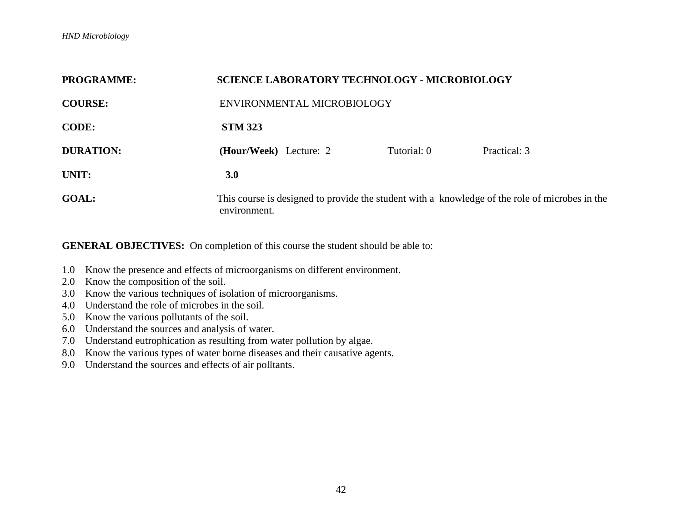| <b>PROGRAMME:</b> | <b>SCIENCE LABORATORY TECHNOLOGY - MICROBIOLOGY</b>                                                            |             |              |  |
|-------------------|----------------------------------------------------------------------------------------------------------------|-------------|--------------|--|
| <b>COURSE:</b>    | ENVIRONMENTAL MICROBIOLOGY                                                                                     |             |              |  |
| <b>CODE:</b>      | <b>STM 323</b>                                                                                                 |             |              |  |
| <b>DURATION:</b>  | (Hour/Week) Lecture: 2                                                                                         | Tutorial: 0 | Practical: 3 |  |
| UNIT:             | 3.0                                                                                                            |             |              |  |
| <b>GOAL:</b>      | This course is designed to provide the student with a knowledge of the role of microbes in the<br>environment. |             |              |  |

- 1.0 Know the presence and effects of microorganisms on different environment.
- 2.0 Know the composition of the soil.
- 3.0 Know the various techniques of isolation of microorganisms.
- 4.0 Understand the role of microbes in the soil.
- 5.0 Know the various pollutants of the soil.
- 6.0 Understand the sources and analysis of water.
- 7.0 Understand eutrophication as resulting from water pollution by algae.
- 8.0 Know the various types of water borne diseases and their causative agents.
- 9.0 Understand the sources and effects of air polltants.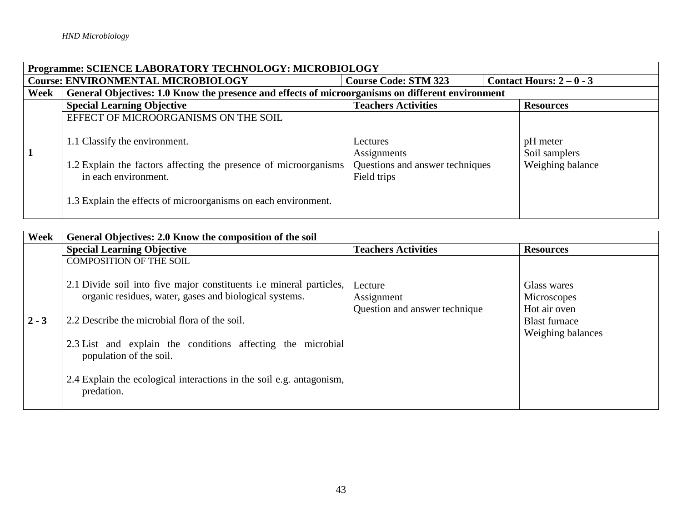| Programme: SCIENCE LABORATORY TECHNOLOGY: MICROBIOLOGY                                             |                                                                                                                                                                                             |                                                                           |                                               |  |  |
|----------------------------------------------------------------------------------------------------|---------------------------------------------------------------------------------------------------------------------------------------------------------------------------------------------|---------------------------------------------------------------------------|-----------------------------------------------|--|--|
| <b>Course: ENVIRONMENTAL MICROBIOLOGY</b><br>Contact Hours: $2-0-3$<br><b>Course Code: STM 323</b> |                                                                                                                                                                                             |                                                                           |                                               |  |  |
| Week                                                                                               | General Objectives: 1.0 Know the presence and effects of microorganisms on different environment                                                                                            |                                                                           |                                               |  |  |
|                                                                                                    | <b>Special Learning Objective</b>                                                                                                                                                           | <b>Teachers Activities</b>                                                | <b>Resources</b>                              |  |  |
|                                                                                                    | EFFECT OF MICROORGANISMS ON THE SOIL                                                                                                                                                        |                                                                           |                                               |  |  |
|                                                                                                    | 1.1 Classify the environment.<br>1.2 Explain the factors affecting the presence of microorganisms<br>in each environment.<br>1.3 Explain the effects of microorganisms on each environment. | Lectures<br>Assignments<br>Questions and answer techniques<br>Field trips | pH meter<br>Soil samplers<br>Weighing balance |  |  |

| Week    | General Objectives: 2.0 Know the composition of the soil                                                                                                                                                                                                                                                                                                                                         |                                                        |                                                                                         |  |
|---------|--------------------------------------------------------------------------------------------------------------------------------------------------------------------------------------------------------------------------------------------------------------------------------------------------------------------------------------------------------------------------------------------------|--------------------------------------------------------|-----------------------------------------------------------------------------------------|--|
|         | <b>Special Learning Objective</b>                                                                                                                                                                                                                                                                                                                                                                | <b>Teachers Activities</b>                             | <b>Resources</b>                                                                        |  |
| $2 - 3$ | <b>COMPOSITION OF THE SOIL</b><br>2.1 Divide soil into five major constituents i.e mineral particles,<br>organic residues, water, gases and biological systems.<br>2.2 Describe the microbial flora of the soil.<br>2.3 List and explain the conditions affecting the microbial<br>population of the soil.<br>2.4 Explain the ecological interactions in the soil e.g. antagonism,<br>predation. | Lecture<br>Assignment<br>Question and answer technique | Glass wares<br>Microscopes<br>Hot air oven<br><b>Blast furnace</b><br>Weighing balances |  |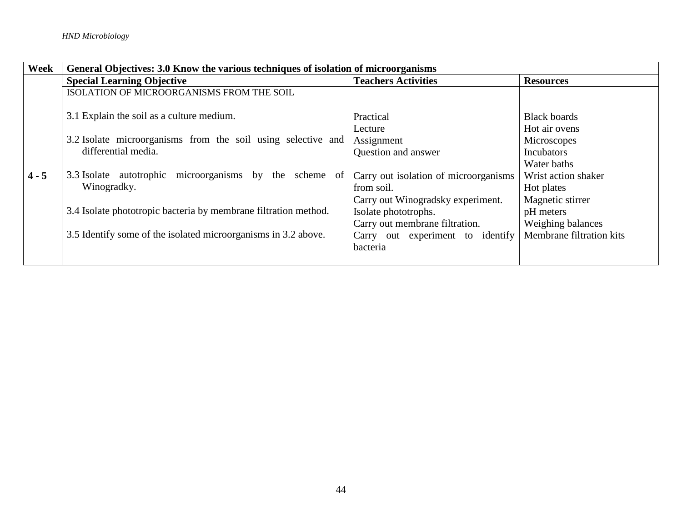| Week    | General Objectives: 3.0 Know the various techniques of isolation of microorganisms                                               |                                                                                          |                                                                                         |  |
|---------|----------------------------------------------------------------------------------------------------------------------------------|------------------------------------------------------------------------------------------|-----------------------------------------------------------------------------------------|--|
|         | <b>Special Learning Objective</b>                                                                                                | <b>Teachers Activities</b>                                                               | <b>Resources</b>                                                                        |  |
|         | ISOLATION OF MICROORGANISMS FROM THE SOIL                                                                                        |                                                                                          |                                                                                         |  |
|         | 3.1 Explain the soil as a culture medium.<br>3.2 Isolate microorganisms from the soil using selective and<br>differential media. | Practical<br>Lecture<br>Assignment<br>Question and answer                                | <b>Black boards</b><br>Hot air ovens<br>Microscopes<br><b>Incubators</b><br>Water baths |  |
| $4 - 5$ | 3.3 Isolate autotrophic microorganisms by the scheme<br><sub>of</sub><br>Winogradky.                                             | Carry out isolation of microorganisms<br>from soil.<br>Carry out Winogradsky experiment. | Wrist action shaker<br>Hot plates<br>Magnetic stirrer                                   |  |
|         | 3.4 Isolate phototropic bacteria by membrane filtration method.                                                                  | Isolate phototrophs.                                                                     | pH meters                                                                               |  |
|         | 3.5 Identify some of the isolated microorganisms in 3.2 above.                                                                   | Carry out membrane filtration.<br>Carry out experiment to identify<br>bacteria           | Weighing balances<br>Membrane filtration kits                                           |  |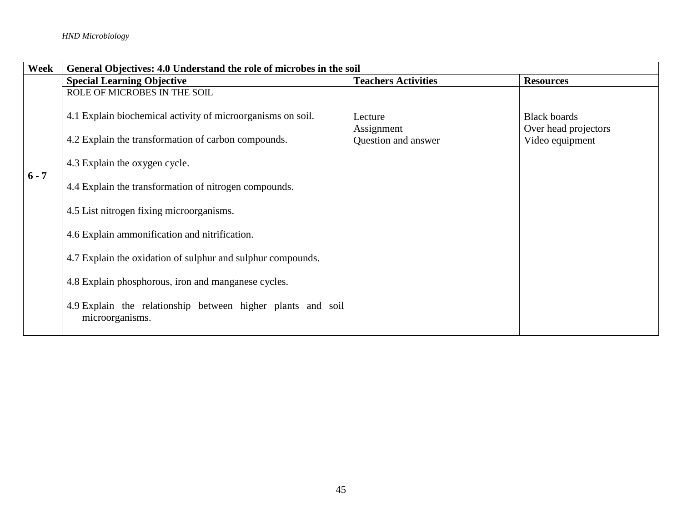| Week    | General Objectives: 4.0 Understand the role of microbes in the soil            |                            |                                             |
|---------|--------------------------------------------------------------------------------|----------------------------|---------------------------------------------|
|         | <b>Special Learning Objective</b>                                              | <b>Teachers Activities</b> | <b>Resources</b>                            |
|         | ROLE OF MICROBES IN THE SOIL                                                   |                            |                                             |
|         | 4.1 Explain biochemical activity of microorganisms on soil.                    | Lecture<br>Assignment      | <b>Black boards</b><br>Over head projectors |
|         | 4.2 Explain the transformation of carbon compounds.                            | Question and answer        | Video equipment                             |
| $6 - 7$ | 4.3 Explain the oxygen cycle.                                                  |                            |                                             |
|         | 4.4 Explain the transformation of nitrogen compounds.                          |                            |                                             |
|         | 4.5 List nitrogen fixing microorganisms.                                       |                            |                                             |
|         | 4.6 Explain ammonification and nitrification.                                  |                            |                                             |
|         | 4.7 Explain the oxidation of sulphur and sulphur compounds.                    |                            |                                             |
|         | 4.8 Explain phosphorous, iron and manganese cycles.                            |                            |                                             |
|         | 4.9 Explain the relationship between higher plants and soil<br>microorganisms. |                            |                                             |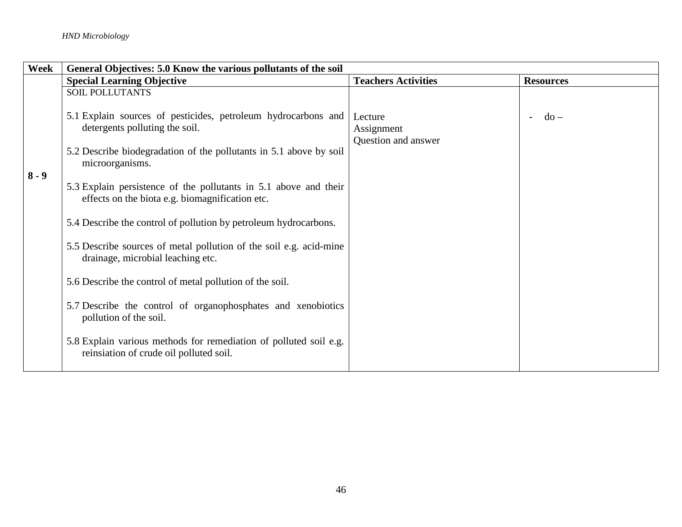| Week    | General Objectives: 5.0 Know the various pollutants of the soil                                                                                                       |                                              |                  |
|---------|-----------------------------------------------------------------------------------------------------------------------------------------------------------------------|----------------------------------------------|------------------|
|         | <b>Special Learning Objective</b>                                                                                                                                     | <b>Teachers Activities</b>                   | <b>Resources</b> |
|         | <b>SOIL POLLUTANTS</b>                                                                                                                                                |                                              |                  |
|         | 5.1 Explain sources of pesticides, petroleum hydrocarbons and<br>detergents polluting the soil.<br>5.2 Describe biodegradation of the pollutants in 5.1 above by soil | Lecture<br>Assignment<br>Question and answer | $do -$<br>$\sim$ |
|         | microorganisms.                                                                                                                                                       |                                              |                  |
| $8 - 9$ | 5.3 Explain persistence of the pollutants in 5.1 above and their<br>effects on the biota e.g. biomagnification etc.                                                   |                                              |                  |
|         | 5.4 Describe the control of pollution by petroleum hydrocarbons.                                                                                                      |                                              |                  |
|         | 5.5 Describe sources of metal pollution of the soil e.g. acid-mine<br>drainage, microbial leaching etc.                                                               |                                              |                  |
|         | 5.6 Describe the control of metal pollution of the soil.                                                                                                              |                                              |                  |
|         | 5.7 Describe the control of organophosphates and xenobiotics<br>pollution of the soil.                                                                                |                                              |                  |
|         | 5.8 Explain various methods for remediation of polluted soil e.g.<br>reinsiation of crude oil polluted soil.                                                          |                                              |                  |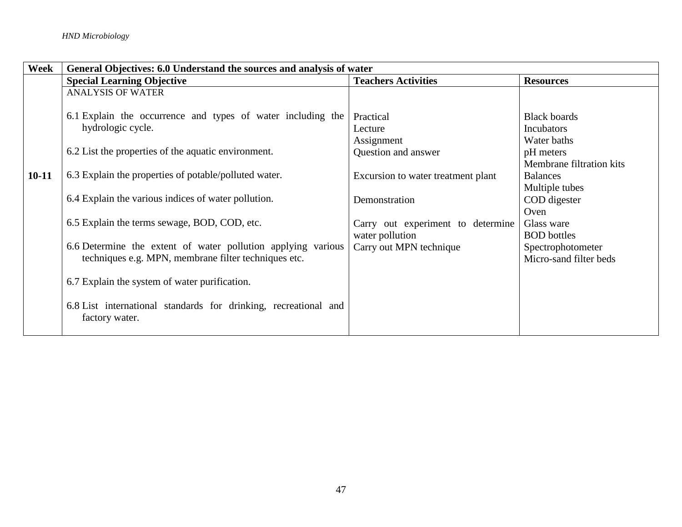| Week    | General Objectives: 6.0 Understand the sources and analysis of water |                                    |                          |  |
|---------|----------------------------------------------------------------------|------------------------------------|--------------------------|--|
|         | <b>Special Learning Objective</b>                                    | <b>Teachers Activities</b>         | <b>Resources</b>         |  |
|         | <b>ANALYSIS OF WATER</b>                                             |                                    |                          |  |
|         |                                                                      |                                    |                          |  |
|         | 6.1 Explain the occurrence and types of water including the          | Practical                          | <b>Black boards</b>      |  |
|         | hydrologic cycle.                                                    | Lecture                            | <b>Incubators</b>        |  |
|         |                                                                      | Assignment                         | Water baths              |  |
|         | 6.2 List the properties of the aquatic environment.                  | Question and answer                | pH meters                |  |
|         |                                                                      |                                    | Membrane filtration kits |  |
| $10-11$ | 6.3 Explain the properties of potable/polluted water.                | Excursion to water treatment plant | <b>Balances</b>          |  |
|         |                                                                      |                                    | Multiple tubes           |  |
|         | 6.4 Explain the various indices of water pollution.                  | Demonstration                      | COD digester             |  |
|         |                                                                      |                                    | Oven                     |  |
|         | 6.5 Explain the terms sewage, BOD, COD, etc.                         | Carry out experiment to determine  | Glass ware               |  |
|         |                                                                      | water pollution                    | <b>BOD</b> bottles       |  |
|         | 6.6 Determine the extent of water pollution applying various         | Carry out MPN technique            | Spectrophotometer        |  |
|         | techniques e.g. MPN, membrane filter techniques etc.                 |                                    | Micro-sand filter beds   |  |
|         | 6.7 Explain the system of water purification.                        |                                    |                          |  |
|         |                                                                      |                                    |                          |  |
|         | 6.8 List international standards for drinking, recreational and      |                                    |                          |  |
|         | factory water.                                                       |                                    |                          |  |
|         |                                                                      |                                    |                          |  |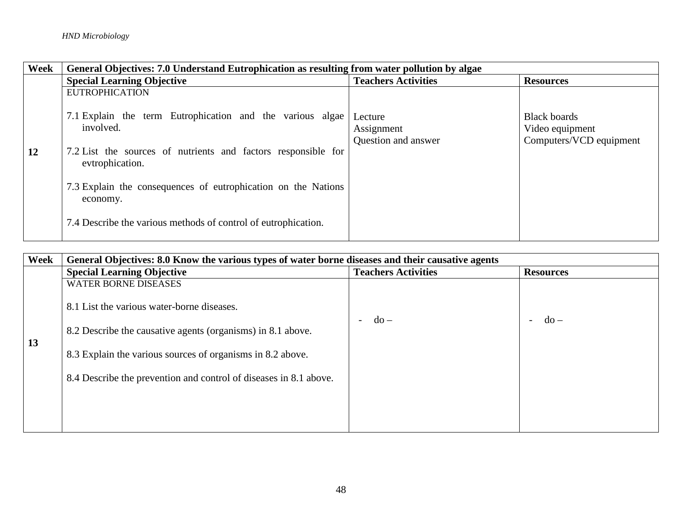| Week | General Objectives: 7.0 Understand Eutrophication as resulting from water pollution by algae                                                                                                                                                         |                                              |                                                                   |  |
|------|------------------------------------------------------------------------------------------------------------------------------------------------------------------------------------------------------------------------------------------------------|----------------------------------------------|-------------------------------------------------------------------|--|
|      | <b>Special Learning Objective</b>                                                                                                                                                                                                                    | <b>Teachers Activities</b>                   | <b>Resources</b>                                                  |  |
| 12   | <b>EUTROPHICATION</b><br>7.1 Explain the term Eutrophication and the various algae<br>involved.<br>7.2 List the sources of nutrients and factors responsible for<br>evtrophication.<br>7.3 Explain the consequences of eutrophication on the Nations | Lecture<br>Assignment<br>Question and answer | <b>Black boards</b><br>Video equipment<br>Computers/VCD equipment |  |
|      | economy.<br>7.4 Describe the various methods of control of eutrophication.                                                                                                                                                                           |                                              |                                                                   |  |

| Week | General Objectives: 8.0 Know the various types of water borne diseases and their causative agents |                                         |                                    |  |
|------|---------------------------------------------------------------------------------------------------|-----------------------------------------|------------------------------------|--|
|      | <b>Special Learning Objective</b>                                                                 | <b>Teachers Activities</b>              | <b>Resources</b>                   |  |
|      | <b>WATER BORNE DISEASES</b>                                                                       |                                         |                                    |  |
|      | 8.1 List the various water-borne diseases.                                                        | $d\sigma$ –<br>$\overline{\phantom{0}}$ | $do -$<br>$\overline{\phantom{0}}$ |  |
| 13   | 8.2 Describe the causative agents (organisms) in 8.1 above.                                       |                                         |                                    |  |
|      | 8.3 Explain the various sources of organisms in 8.2 above.                                        |                                         |                                    |  |
|      | 8.4 Describe the prevention and control of diseases in 8.1 above.                                 |                                         |                                    |  |
|      |                                                                                                   |                                         |                                    |  |
|      |                                                                                                   |                                         |                                    |  |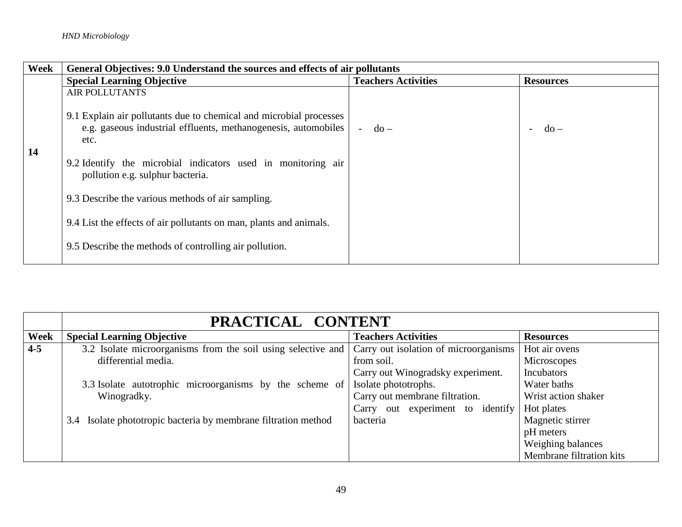| Week | General Objectives: 9.0 Understand the sources and effects of air pollutants                     |                            |                  |
|------|--------------------------------------------------------------------------------------------------|----------------------------|------------------|
|      | <b>Special Learning Objective</b>                                                                | <b>Teachers Activities</b> | <b>Resources</b> |
|      | <b>AIR POLLUTANTS</b><br>9.1 Explain air pollutants due to chemical and microbial processes      |                            |                  |
| 14   | e.g. gaseous industrial effluents, methanogenesis, automobiles<br>etc.                           | $do -$                     | $-do$ –          |
|      | 9.2 Identify the microbial indicators used in monitoring air<br>pollution e.g. sulphur bacteria. |                            |                  |
|      | 9.3 Describe the various methods of air sampling.                                                |                            |                  |
|      | 9.4 List the effects of air pollutants on man, plants and animals.                               |                            |                  |
|      | 9.5 Describe the methods of controlling air pollution.                                           |                            |                  |

|         | PRACTICAL CONTENT                                              |                                       |                          |
|---------|----------------------------------------------------------------|---------------------------------------|--------------------------|
| Week    | <b>Special Learning Objective</b>                              | <b>Teachers Activities</b>            | <b>Resources</b>         |
| $4 - 5$ | 3.2 Isolate microorganisms from the soil using selective and   | Carry out isolation of microorganisms | Hot air ovens            |
|         | differential media.                                            | from soil.                            | Microscopes              |
|         |                                                                | Carry out Winogradsky experiment.     | Incubators               |
|         | 3.3 Isolate autotrophic microorganisms by the scheme of        | Isolate phototrophs.                  | Water baths              |
|         | Winogradky.                                                    | Carry out membrane filtration.        | Wrist action shaker      |
|         |                                                                | Carry out experiment to identify      | Hot plates               |
|         | 3.4 Isolate phototropic bacteria by membrane filtration method | bacteria                              | Magnetic stirrer         |
|         |                                                                |                                       | pH meters                |
|         |                                                                |                                       | Weighing balances        |
|         |                                                                |                                       | Membrane filtration kits |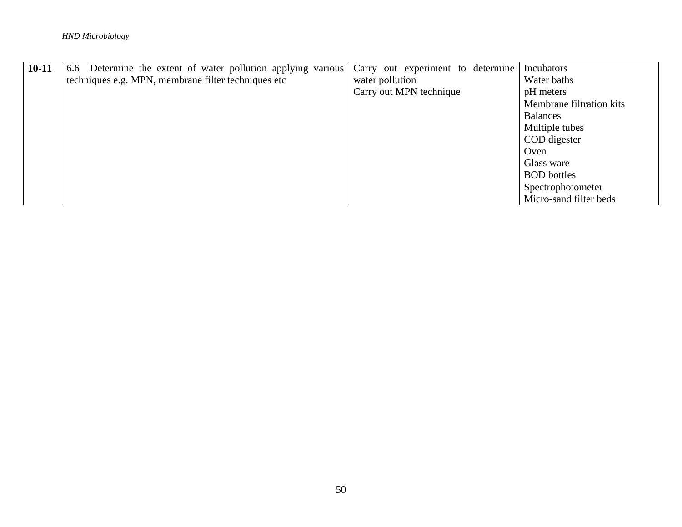| $10 - 11$ | 6.6 Determine the extent of water pollution applying various | Carry out experiment to determine | Incubators               |
|-----------|--------------------------------------------------------------|-----------------------------------|--------------------------|
|           | techniques e.g. MPN, membrane filter techniques etc          | water pollution                   | Water baths              |
|           |                                                              | Carry out MPN technique           | pH meters                |
|           |                                                              |                                   | Membrane filtration kits |
|           |                                                              |                                   | <b>Balances</b>          |
|           |                                                              |                                   | Multiple tubes           |
|           |                                                              |                                   | COD digester             |
|           |                                                              |                                   | Oven                     |
|           |                                                              |                                   | Glass ware               |
|           |                                                              |                                   | <b>BOD</b> bottles       |
|           |                                                              |                                   | Spectrophotometer        |
|           |                                                              |                                   | Micro-sand filter beds   |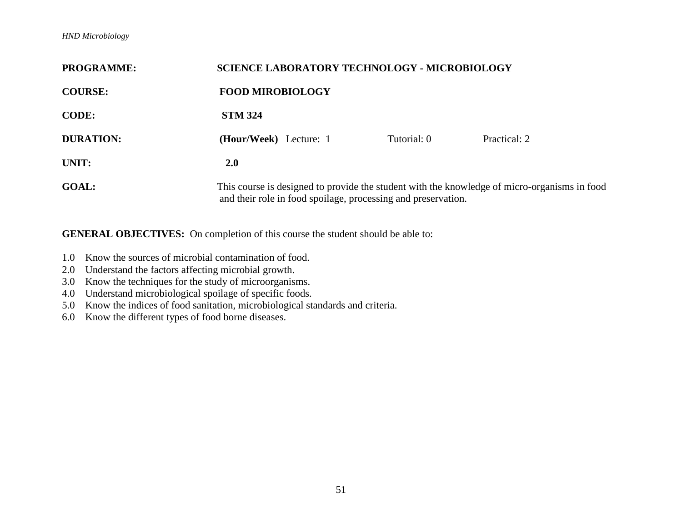## *HND Microbiology*

| <b>PROGRAMME:</b> | <b>SCIENCE LABORATORY TECHNOLOGY - MICROBIOLOGY</b>                                                                                                           |             |              |
|-------------------|---------------------------------------------------------------------------------------------------------------------------------------------------------------|-------------|--------------|
| <b>COURSE:</b>    | <b>FOOD MIROBIOLOGY</b>                                                                                                                                       |             |              |
| <b>CODE:</b>      | <b>STM 324</b>                                                                                                                                                |             |              |
| <b>DURATION:</b>  | (Hour/Week) Lecture: 1                                                                                                                                        | Tutorial: 0 | Practical: 2 |
| UNIT:             | <b>2.0</b>                                                                                                                                                    |             |              |
| <b>GOAL:</b>      | This course is designed to provide the student with the knowledge of micro-organisms in food<br>and their role in food spoilage, processing and preservation. |             |              |

- 1.0 Know the sources of microbial contamination of food.
- 2.0 Understand the factors affecting microbial growth.
- 3.0 Know the techniques for the study of microorganisms.
- 4.0 Understand microbiological spoilage of specific foods.
- 5.0 Know the indices of food sanitation, microbiological standards and criteria.
- 6.0 Know the different types of food borne diseases.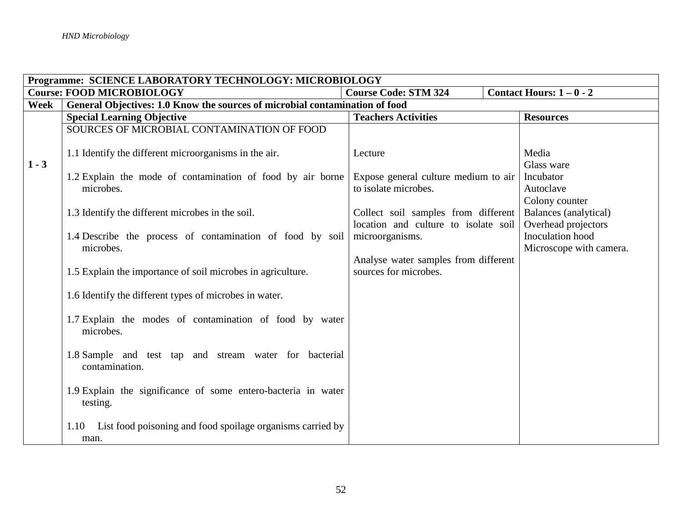|             | Programme: SCIENCE LABORATORY TECHNOLOGY: MICROBIOLOGY                      |                                                               |                                             |  |
|-------------|-----------------------------------------------------------------------------|---------------------------------------------------------------|---------------------------------------------|--|
|             | <b>Course: FOOD MICROBIOLOGY</b>                                            | <b>Course Code: STM 324</b>                                   | Contact Hours: $1-0-2$                      |  |
| <b>Week</b> | General Objectives: 1.0 Know the sources of microbial contamination of food |                                                               |                                             |  |
|             | <b>Special Learning Objective</b>                                           | <b>Teachers Activities</b>                                    | <b>Resources</b>                            |  |
|             | SOURCES OF MICROBIAL CONTAMINATION OF FOOD                                  |                                                               |                                             |  |
| $1 - 3$     | 1.1 Identify the different microorganisms in the air.                       | Lecture                                                       | Media<br>Glass ware                         |  |
|             | 1.2 Explain the mode of contamination of food by air borne                  | Expose general culture medium to air                          | Incubator                                   |  |
|             | microbes.                                                                   | to isolate microbes.                                          | Autoclave<br>Colony counter                 |  |
|             | 1.3 Identify the different microbes in the soil.                            | Collect soil samples from different                           | Balances (analytical)                       |  |
|             |                                                                             | location and culture to isolate soil                          | Overhead projectors                         |  |
|             | 1.4 Describe the process of contamination of food by soil<br>microbes.      | microorganisms.                                               | Inoculation hood<br>Microscope with camera. |  |
|             | 1.5 Explain the importance of soil microbes in agriculture.                 | Analyse water samples from different<br>sources for microbes. |                                             |  |
|             | 1.6 Identify the different types of microbes in water.                      |                                                               |                                             |  |
|             | 1.7 Explain the modes of contamination of food by water<br>microbes.        |                                                               |                                             |  |
|             | 1.8 Sample and test tap and stream water for bacterial<br>contamination.    |                                                               |                                             |  |
|             | 1.9 Explain the significance of some entero-bacteria in water<br>testing.   |                                                               |                                             |  |
|             | List food poisoning and food spoilage organisms carried by<br>1.10<br>man.  |                                                               |                                             |  |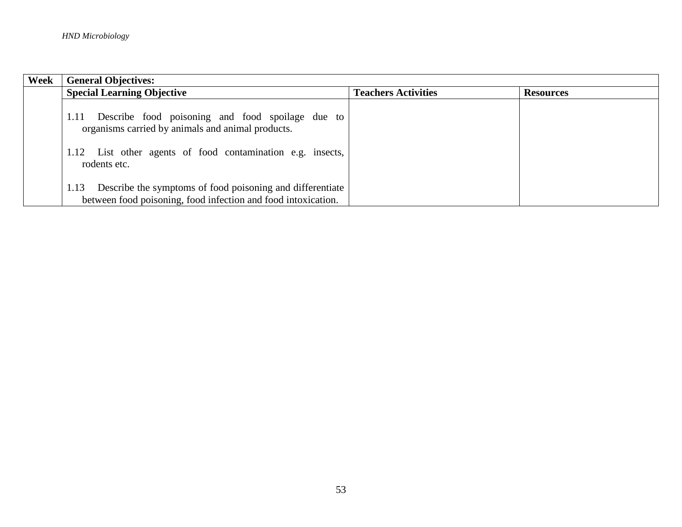| Week | <b>General Objectives:</b>                                                                                                                                                                  |                            |                  |
|------|---------------------------------------------------------------------------------------------------------------------------------------------------------------------------------------------|----------------------------|------------------|
|      | <b>Special Learning Objective</b>                                                                                                                                                           | <b>Teachers Activities</b> | <b>Resources</b> |
|      | Describe food poisoning and food spoilage due to<br>1.11<br>organisms carried by animals and animal products.<br>1.12 List other agents of food contamination e.g. insects,<br>rodents etc. |                            |                  |
|      | Describe the symptoms of food poisoning and differentiate<br>1.13                                                                                                                           |                            |                  |
|      | between food poisoning, food infection and food intoxication.                                                                                                                               |                            |                  |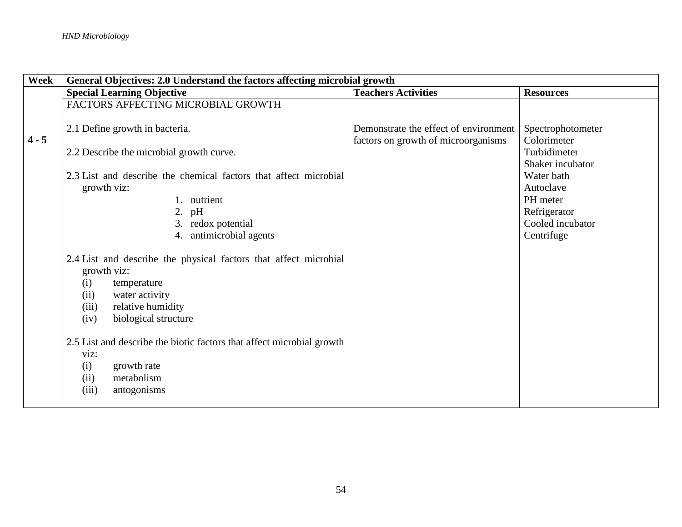| Week    | General Objectives: 2.0 Understand the factors affecting microbial growth                                                                                                                                                                                                                                                                          |                                                                              |                                                                                                           |  |
|---------|----------------------------------------------------------------------------------------------------------------------------------------------------------------------------------------------------------------------------------------------------------------------------------------------------------------------------------------------------|------------------------------------------------------------------------------|-----------------------------------------------------------------------------------------------------------|--|
|         | <b>Special Learning Objective</b>                                                                                                                                                                                                                                                                                                                  | <b>Teachers Activities</b>                                                   | <b>Resources</b>                                                                                          |  |
|         | FACTORS AFFECTING MICROBIAL GROWTH                                                                                                                                                                                                                                                                                                                 |                                                                              |                                                                                                           |  |
| $4 - 5$ | 2.1 Define growth in bacteria.                                                                                                                                                                                                                                                                                                                     | Demonstrate the effect of environment<br>factors on growth of microorganisms | Spectrophotometer<br>Colorimeter                                                                          |  |
|         | 2.2 Describe the microbial growth curve.                                                                                                                                                                                                                                                                                                           |                                                                              | Turbidimeter                                                                                              |  |
|         | 2.3 List and describe the chemical factors that affect microbial<br>growth viz:<br>1. nutrient<br>2. pH<br>3. redox potential<br>antimicrobial agents<br>4.                                                                                                                                                                                        |                                                                              | Shaker incubator<br>Water bath<br>Autoclave<br>PH meter<br>Refrigerator<br>Cooled incubator<br>Centrifuge |  |
|         | 2.4 List and describe the physical factors that affect microbial<br>growth viz:<br>(i)<br>temperature<br>(ii)<br>water activity<br>relative humidity<br>(iii)<br>biological structure<br>(iv)<br>2.5 List and describe the biotic factors that affect microbial growth<br>viz:<br>(i)<br>growth rate<br>(ii)<br>metabolism<br>(iii)<br>antogonisms |                                                                              |                                                                                                           |  |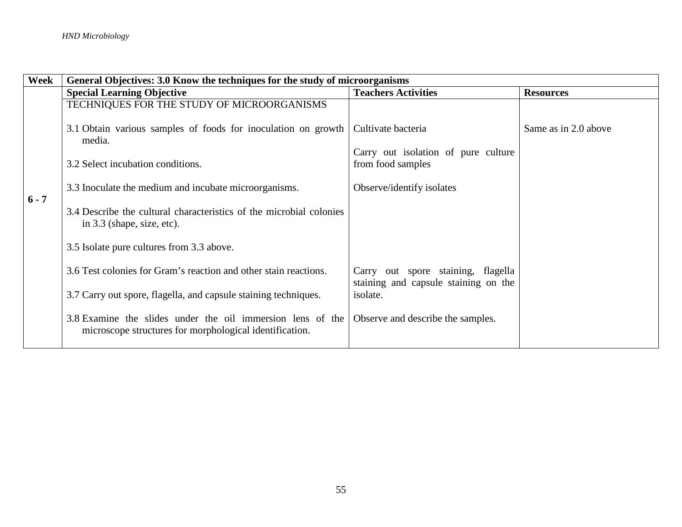| Week    | General Objectives: 3.0 Know the techniques for the study of microorganisms                                           |                                                                            |                      |
|---------|-----------------------------------------------------------------------------------------------------------------------|----------------------------------------------------------------------------|----------------------|
|         | <b>Special Learning Objective</b>                                                                                     | <b>Teachers Activities</b>                                                 | <b>Resources</b>     |
|         | TECHNIQUES FOR THE STUDY OF MICROORGANISMS                                                                            |                                                                            |                      |
|         | 3.1 Obtain various samples of foods for inoculation on growth<br>media.                                               | Cultivate bacteria                                                         | Same as in 2.0 above |
|         |                                                                                                                       | Carry out isolation of pure culture                                        |                      |
|         | 3.2 Select incubation conditions.                                                                                     | from food samples                                                          |                      |
| $6 - 7$ | 3.3 Inoculate the medium and incubate microorganisms.                                                                 | Observe/identify isolates                                                  |                      |
|         | 3.4 Describe the cultural characteristics of the microbial colonies<br>in 3.3 (shape, size, etc).                     |                                                                            |                      |
|         | 3.5 Isolate pure cultures from 3.3 above.                                                                             |                                                                            |                      |
|         | 3.6 Test colonies for Gram's reaction and other stain reactions.                                                      | Carry out spore staining, flagella<br>staining and capsule staining on the |                      |
|         | 3.7 Carry out spore, flagella, and capsule staining techniques.                                                       | isolate.                                                                   |                      |
|         | 3.8 Examine the slides under the oil immersion lens of the<br>microscope structures for morphological identification. | Observe and describe the samples.                                          |                      |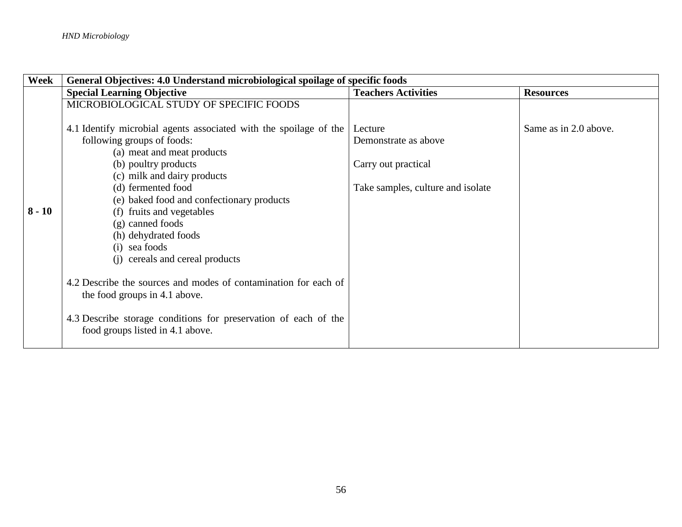| Week     | General Objectives: 4.0 Understand microbiological spoilage of specific foods |                                   |                       |
|----------|-------------------------------------------------------------------------------|-----------------------------------|-----------------------|
|          | <b>Special Learning Objective</b>                                             | <b>Teachers Activities</b>        | <b>Resources</b>      |
|          | MICROBIOLOGICAL STUDY OF SPECIFIC FOODS                                       |                                   |                       |
|          |                                                                               |                                   |                       |
|          | 4.1 Identify microbial agents associated with the spoilage of the             | Lecture                           | Same as in 2.0 above. |
|          | following groups of foods:                                                    | Demonstrate as above              |                       |
|          | (a) meat and meat products                                                    |                                   |                       |
|          | (b) poultry products                                                          | Carry out practical               |                       |
|          | (c) milk and dairy products                                                   |                                   |                       |
|          | (d) fermented food                                                            | Take samples, culture and isolate |                       |
|          | (e) baked food and confectionary products                                     |                                   |                       |
| $8 - 10$ | (f) fruits and vegetables                                                     |                                   |                       |
|          | (g) canned foods                                                              |                                   |                       |
|          | (h) dehydrated foods                                                          |                                   |                       |
|          | (i) sea foods                                                                 |                                   |                       |
|          | (i) cereals and cereal products                                               |                                   |                       |
|          |                                                                               |                                   |                       |
|          | 4.2 Describe the sources and modes of contamination for each of               |                                   |                       |
|          | the food groups in 4.1 above.                                                 |                                   |                       |
|          |                                                                               |                                   |                       |
|          | 4.3 Describe storage conditions for preservation of each of the               |                                   |                       |
|          | food groups listed in 4.1 above.                                              |                                   |                       |
|          |                                                                               |                                   |                       |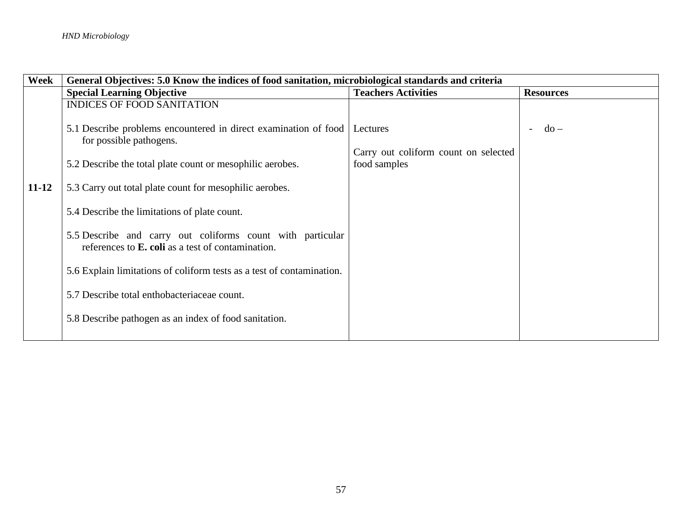| Week      | General Objectives: 5.0 Know the indices of food sanitation, microbiological standards and criteria                     |                                      |                  |
|-----------|-------------------------------------------------------------------------------------------------------------------------|--------------------------------------|------------------|
|           | <b>Special Learning Objective</b>                                                                                       | <b>Teachers Activities</b>           | <b>Resources</b> |
|           | <b>INDICES OF FOOD SANITATION</b>                                                                                       |                                      |                  |
|           | 5.1 Describe problems encountered in direct examination of food<br>for possible pathogens.                              | Lectures                             | $do -$<br>$\sim$ |
|           |                                                                                                                         | Carry out coliform count on selected |                  |
|           | 5.2 Describe the total plate count or mesophilic aerobes.                                                               | food samples                         |                  |
| $11 - 12$ | 5.3 Carry out total plate count for mesophilic aerobes.                                                                 |                                      |                  |
|           | 5.4 Describe the limitations of plate count.                                                                            |                                      |                  |
|           | 5.5 Describe and carry out coliforms count with particular<br>references to <b>E</b> . coli as a test of contamination. |                                      |                  |
|           | 5.6 Explain limitations of coliform tests as a test of contamination.                                                   |                                      |                  |
|           | 5.7 Describe total enthobacteriaceae count.                                                                             |                                      |                  |
|           | 5.8 Describe pathogen as an index of food sanitation.                                                                   |                                      |                  |
|           |                                                                                                                         |                                      |                  |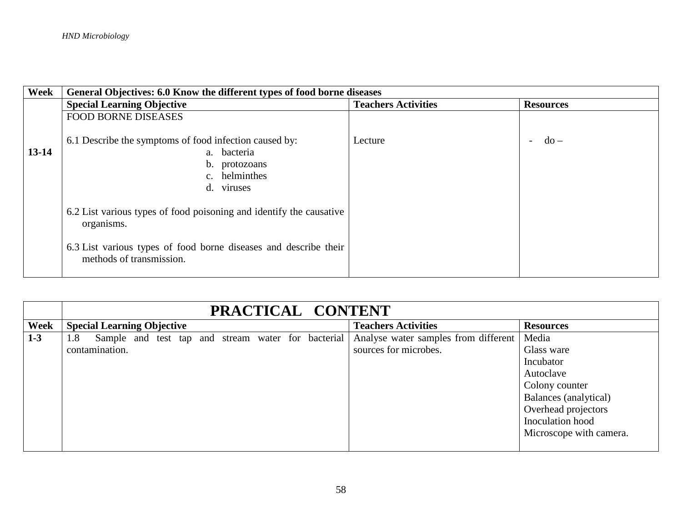| Week      | General Objectives: 6.0 Know the different types of food borne diseases                                               |                            |                  |
|-----------|-----------------------------------------------------------------------------------------------------------------------|----------------------------|------------------|
|           | <b>Special Learning Objective</b>                                                                                     | <b>Teachers Activities</b> | <b>Resources</b> |
|           | <b>FOOD BORNE DISEASES</b>                                                                                            |                            |                  |
| $13 - 14$ | 6.1 Describe the symptoms of food infection caused by:<br>a. bacteria<br>b. protozoans<br>c. helminthes<br>d. viruses | Lecture                    | $-do-$           |
|           | 6.2 List various types of food poisoning and identify the causative<br>organisms.                                     |                            |                  |
|           | 6.3 List various types of food borne diseases and describe their<br>methods of transmission.                          |                            |                  |

|       | PRACTICAL CONTENT                                         |                                      |                         |  |
|-------|-----------------------------------------------------------|--------------------------------------|-------------------------|--|
| Week  | <b>Special Learning Objective</b>                         | <b>Teachers Activities</b>           | <b>Resources</b>        |  |
| $1-3$ | Sample and test tap and stream water for bacterial<br>1.8 | Analyse water samples from different | Media                   |  |
|       | contamination.                                            | sources for microbes.                | Glass ware              |  |
|       |                                                           |                                      | Incubator               |  |
|       |                                                           |                                      | Autoclave               |  |
|       |                                                           |                                      | Colony counter          |  |
|       |                                                           |                                      | Balances (analytical)   |  |
|       |                                                           |                                      | Overhead projectors     |  |
|       |                                                           |                                      | Inoculation hood        |  |
|       |                                                           |                                      | Microscope with camera. |  |
|       |                                                           |                                      |                         |  |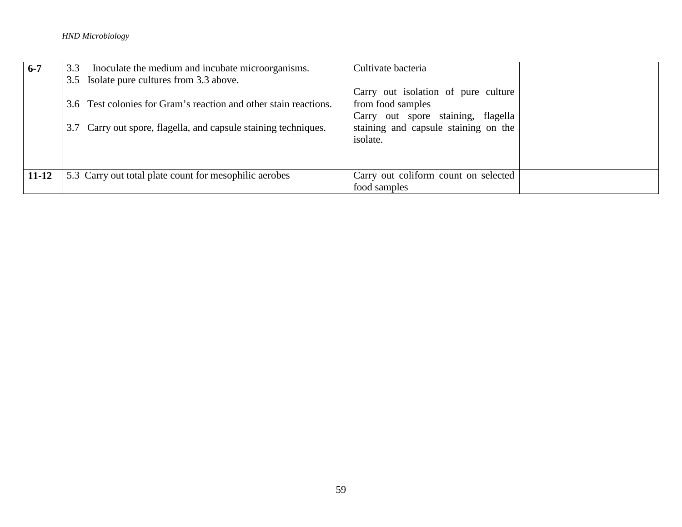## *HND Microbiology*

| $6-7$     | Inoculate the medium and incubate microorganisms.<br>3.3                                                                            | Cultivate bacteria                                                                                                                                 |
|-----------|-------------------------------------------------------------------------------------------------------------------------------------|----------------------------------------------------------------------------------------------------------------------------------------------------|
|           | 3.5 Isolate pure cultures from 3.3 above.                                                                                           |                                                                                                                                                    |
|           | 3.6 Test colonies for Gram's reaction and other stain reactions.<br>3.7 Carry out spore, flagella, and capsule staining techniques. | Carry out isolation of pure culture<br>from food samples<br>Carry out spore staining, flagella<br>staining and capsule staining on the<br>isolate. |
| $11 - 12$ | 5.3 Carry out total plate count for mesophilic aerobes                                                                              | Carry out coliform count on selected<br>food samples                                                                                               |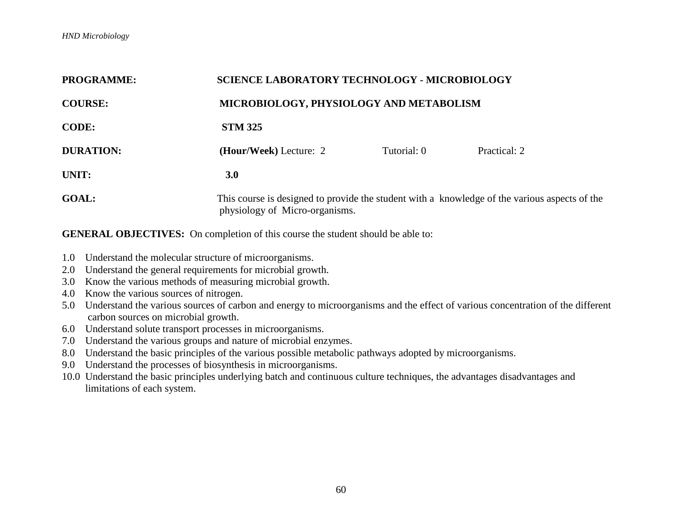| <b>PROGRAMME:</b> | <b>SCIENCE LABORATORY TECHNOLOGY - MICROBIOLOGY</b>                                                                             |             |              |  |  |
|-------------------|---------------------------------------------------------------------------------------------------------------------------------|-------------|--------------|--|--|
| <b>COURSE:</b>    | MICROBIOLOGY, PHYSIOLOGY AND METABOLISM                                                                                         |             |              |  |  |
| <b>CODE:</b>      | <b>STM 325</b>                                                                                                                  |             |              |  |  |
| <b>DURATION:</b>  | (Hour/Week) Lecture: 2                                                                                                          | Tutorial: 0 | Practical: 2 |  |  |
| UNIT:             | 3.0                                                                                                                             |             |              |  |  |
| <b>GOAL:</b>      | This course is designed to provide the student with a knowledge of the various aspects of the<br>physiology of Micro-organisms. |             |              |  |  |

- 1.0 Understand the molecular structure of microorganisms.
- 2.0 Understand the general requirements for microbial growth.
- 3.0 Know the various methods of measuring microbial growth.
- 4.0 Know the various sources of nitrogen.
- 5.0 Understand the various sources of carbon and energy to microorganisms and the effect of various concentration of the different carbon sources on microbial growth.
- 6.0 Understand solute transport processes in microorganisms.
- 7.0 Understand the various groups and nature of microbial enzymes.
- 8.0 Understand the basic principles of the various possible metabolic pathways adopted by microorganisms.
- 9.0 Understand the processes of biosynthesis in microorganisms.
- 10.0 Understand the basic principles underlying batch and continuous culture techniques, the advantages disadvantages and limitations of each system.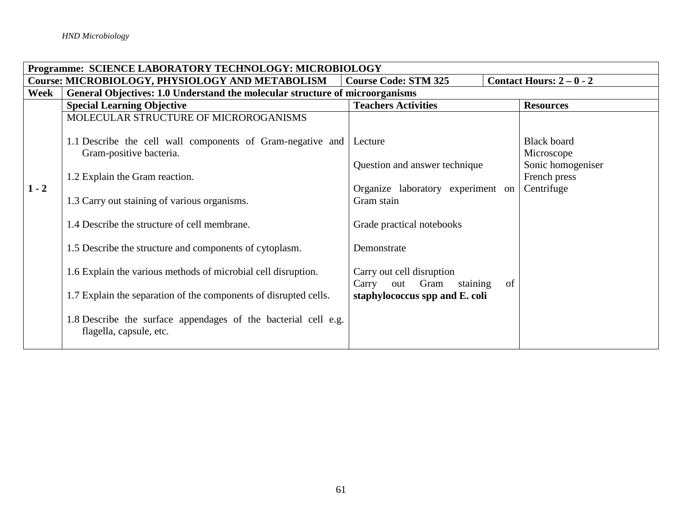|         | Programme: SCIENCE LABORATORY TECHNOLOGY: MICROBIOLOGY                                                   |                                                               |    |                    |  |
|---------|----------------------------------------------------------------------------------------------------------|---------------------------------------------------------------|----|--------------------|--|
|         | Contact Hours: $2-0-2$<br>Course: MICROBIOLOGY, PHYSIOLOGY AND METABOLISM<br><b>Course Code: STM 325</b> |                                                               |    |                    |  |
| Week    | General Objectives: 1.0 Understand the molecular structure of microorganisms                             |                                                               |    |                    |  |
|         | <b>Special Learning Objective</b>                                                                        | <b>Teachers Activities</b>                                    |    | <b>Resources</b>   |  |
|         | MOLECULAR STRUCTURE OF MICROROGANISMS                                                                    |                                                               |    |                    |  |
|         | 1.1 Describe the cell wall components of Gram-negative and                                               | Lecture                                                       |    | <b>Black board</b> |  |
|         | Gram-positive bacteria.                                                                                  |                                                               |    | Microscope         |  |
|         |                                                                                                          | Question and answer technique                                 |    | Sonic homogeniser  |  |
|         | 1.2 Explain the Gram reaction.                                                                           |                                                               |    | French press       |  |
| $1 - 2$ |                                                                                                          | Organize laboratory experiment on                             |    | Centrifuge         |  |
|         | 1.3 Carry out staining of various organisms.                                                             | Gram stain                                                    |    |                    |  |
|         | 1.4 Describe the structure of cell membrane.                                                             | Grade practical notebooks                                     |    |                    |  |
|         | 1.5 Describe the structure and components of cytoplasm.                                                  | Demonstrate                                                   |    |                    |  |
|         | 1.6 Explain the various methods of microbial cell disruption.                                            | Carry out cell disruption<br>Gram<br>Carry<br>staining<br>out | of |                    |  |
|         | 1.7 Explain the separation of the components of disrupted cells.                                         | staphylococcus spp and E. coli                                |    |                    |  |
|         | 1.8 Describe the surface appendages of the bacterial cell e.g.<br>flagella, capsule, etc.                |                                                               |    |                    |  |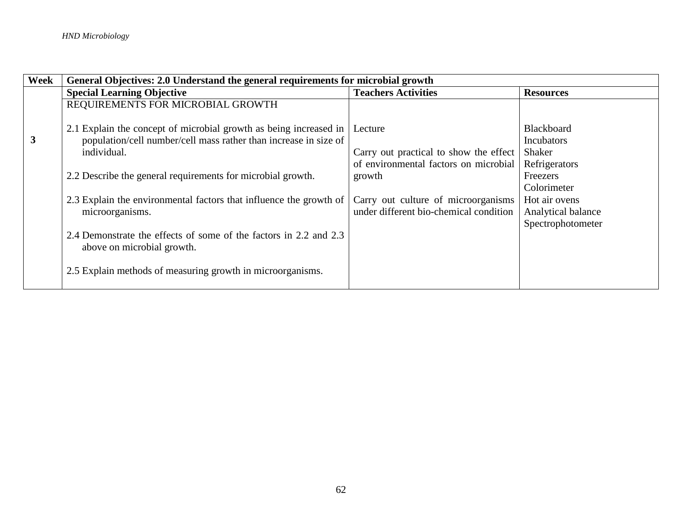| Week | General Objectives: 2.0 Understand the general requirements for microbial growth |                                        |                    |  |
|------|----------------------------------------------------------------------------------|----------------------------------------|--------------------|--|
|      | <b>Special Learning Objective</b>                                                | <b>Teachers Activities</b>             | <b>Resources</b>   |  |
|      | REQUIREMENTS FOR MICROBIAL GROWTH                                                |                                        |                    |  |
|      |                                                                                  |                                        |                    |  |
|      | 2.1 Explain the concept of microbial growth as being increased in                | Lecture                                | <b>Blackboard</b>  |  |
| 3    | population/cell number/cell mass rather than increase in size of                 |                                        | <b>Incubators</b>  |  |
|      | individual.                                                                      | Carry out practical to show the effect | Shaker             |  |
|      |                                                                                  | of environmental factors on microbial  | Refrigerators      |  |
|      | 2.2 Describe the general requirements for microbial growth.                      | growth                                 | Freezers           |  |
|      |                                                                                  |                                        | Colorimeter        |  |
|      | 2.3 Explain the environmental factors that influence the growth of               | Carry out culture of microorganisms    | Hot air ovens      |  |
|      | microorganisms.                                                                  | under different bio-chemical condition | Analytical balance |  |
|      |                                                                                  |                                        | Spectrophotometer  |  |
|      | 2.4 Demonstrate the effects of some of the factors in 2.2 and 2.3                |                                        |                    |  |
|      | above on microbial growth.                                                       |                                        |                    |  |
|      |                                                                                  |                                        |                    |  |
|      | 2.5 Explain methods of measuring growth in microorganisms.                       |                                        |                    |  |
|      |                                                                                  |                                        |                    |  |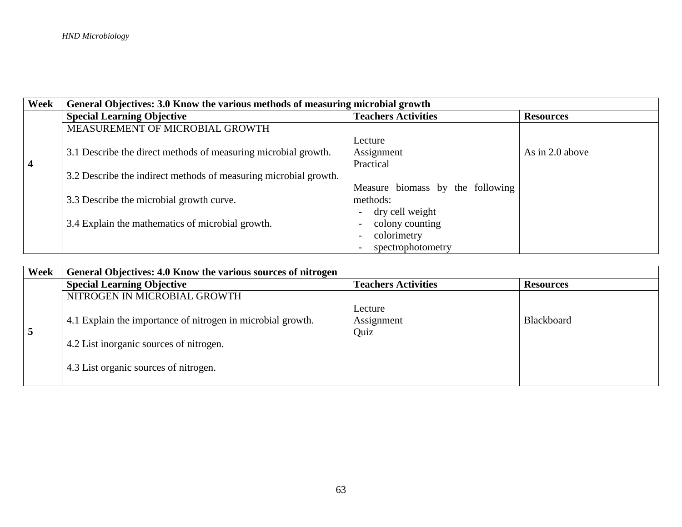| <b>Week</b>             | General Objectives: 3.0 Know the various methods of measuring microbial growth |                                         |                  |
|-------------------------|--------------------------------------------------------------------------------|-----------------------------------------|------------------|
|                         | <b>Special Learning Objective</b>                                              | <b>Teachers Activities</b>              | <b>Resources</b> |
|                         | MEASUREMENT OF MICROBIAL GROWTH                                                |                                         |                  |
|                         |                                                                                | Lecture                                 |                  |
|                         | 3.1 Describe the direct methods of measuring microbial growth.                 | Assignment                              | As in 2.0 above  |
| $\overline{\mathbf{4}}$ |                                                                                | Practical                               |                  |
|                         | 3.2 Describe the indirect methods of measuring microbial growth.               |                                         |                  |
|                         |                                                                                | Measure biomass by the following        |                  |
|                         | 3.3 Describe the microbial growth curve.                                       | methods:                                |                  |
|                         |                                                                                | dry cell weight                         |                  |
|                         | 3.4 Explain the mathematics of microbial growth.                               | colony counting                         |                  |
|                         |                                                                                | colorimetry<br>$\overline{\phantom{0}}$ |                  |
|                         |                                                                                | spectrophotometry                       |                  |

| Week           | General Objectives: 4.0 Know the various sources of nitrogen                                                                                    |                               |                   |
|----------------|-------------------------------------------------------------------------------------------------------------------------------------------------|-------------------------------|-------------------|
|                | <b>Special Learning Objective</b>                                                                                                               | <b>Teachers Activities</b>    | <b>Resources</b>  |
|                | NITROGEN IN MICROBIAL GROWTH                                                                                                                    |                               |                   |
| $\overline{5}$ | 4.1 Explain the importance of nitrogen in microbial growth.<br>4.2 List inorganic sources of nitrogen.<br>4.3 List organic sources of nitrogen. | Lecture<br>Assignment<br>Quiz | <b>Blackboard</b> |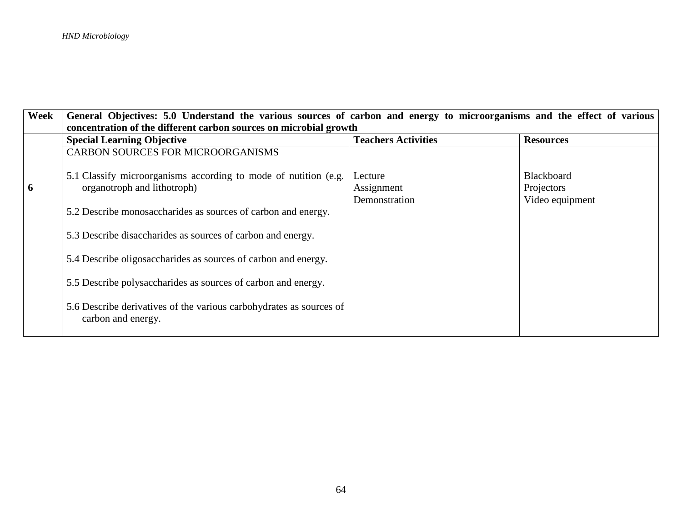| Week | General Objectives: 5.0 Understand the various sources of carbon and energy to microorganisms and the effect of various |                            |                   |  |
|------|-------------------------------------------------------------------------------------------------------------------------|----------------------------|-------------------|--|
|      | concentration of the different carbon sources on microbial growth                                                       |                            |                   |  |
|      | <b>Special Learning Objective</b>                                                                                       | <b>Teachers Activities</b> | <b>Resources</b>  |  |
|      | <b>CARBON SOURCES FOR MICROORGANISMS</b>                                                                                |                            |                   |  |
|      | 5.1 Classify microorganisms according to mode of nutition (e.g.                                                         | Lecture                    | <b>Blackboard</b> |  |
| 6    | organotroph and lithotroph)                                                                                             | Assignment                 | Projectors        |  |
|      |                                                                                                                         | Demonstration              | Video equipment   |  |
|      | 5.2 Describe monosaccharides as sources of carbon and energy.                                                           |                            |                   |  |
|      | 5.3 Describe disaccharides as sources of carbon and energy.                                                             |                            |                   |  |
|      | 5.4 Describe oligosaccharides as sources of carbon and energy.                                                          |                            |                   |  |
|      | 5.5 Describe polysaccharides as sources of carbon and energy.                                                           |                            |                   |  |
|      | 5.6 Describe derivatives of the various carbohydrates as sources of<br>carbon and energy.                               |                            |                   |  |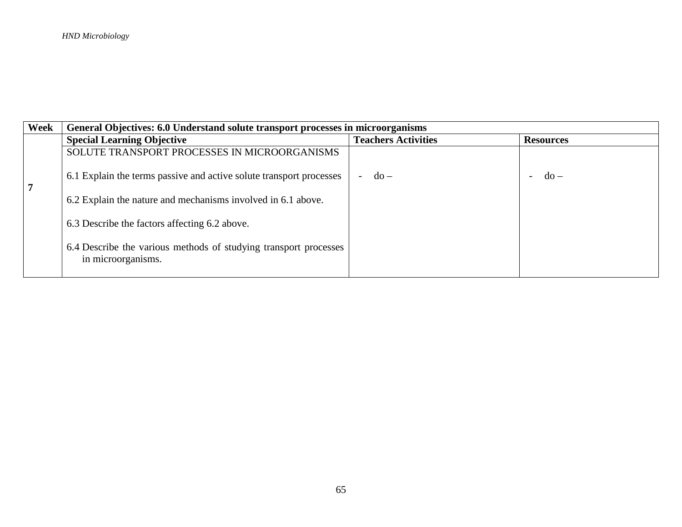| Week | General Objectives: 6.0 Understand solute transport processes in microorganisms        |                                         |                                         |
|------|----------------------------------------------------------------------------------------|-----------------------------------------|-----------------------------------------|
|      | <b>Special Learning Objective</b>                                                      | <b>Teachers Activities</b>              | <b>Resources</b>                        |
|      | SOLUTE TRANSPORT PROCESSES IN MICROORGANISMS                                           |                                         |                                         |
| 7    | 6.1 Explain the terms passive and active solute transport processes                    | $d\Omega -$<br>$\overline{\phantom{a}}$ | $d\Omega -$<br>$\overline{\phantom{0}}$ |
|      | 6.2 Explain the nature and mechanisms involved in 6.1 above.                           |                                         |                                         |
|      | 6.3 Describe the factors affecting 6.2 above.                                          |                                         |                                         |
|      | 6.4 Describe the various methods of studying transport processes<br>in microorganisms. |                                         |                                         |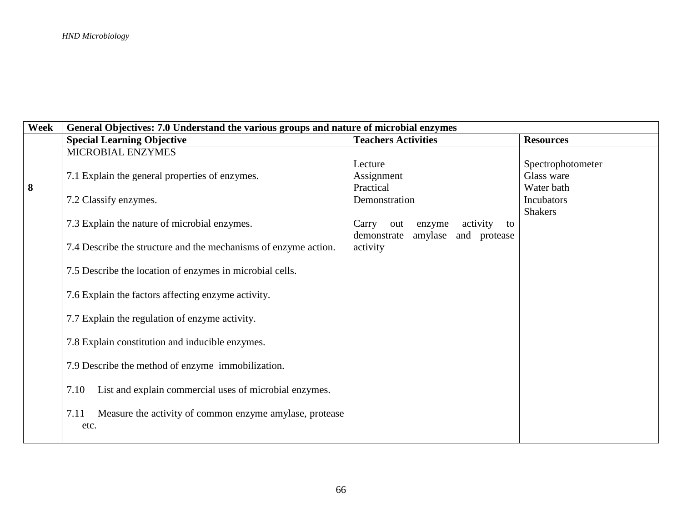| Week | General Objectives: 7.0 Understand the various groups and nature of microbial enzymes |                                          |                   |  |
|------|---------------------------------------------------------------------------------------|------------------------------------------|-------------------|--|
|      | <b>Special Learning Objective</b>                                                     | <b>Teachers Activities</b>               | <b>Resources</b>  |  |
|      | MICROBIAL ENZYMES                                                                     |                                          |                   |  |
|      |                                                                                       | Lecture                                  | Spectrophotometer |  |
|      | 7.1 Explain the general properties of enzymes.                                        | Assignment                               | Glass ware        |  |
| 8    |                                                                                       | Practical                                | Water bath        |  |
|      | 7.2 Classify enzymes.                                                                 | Demonstration                            | Incubators        |  |
|      |                                                                                       |                                          | <b>Shakers</b>    |  |
|      | 7.3 Explain the nature of microbial enzymes.                                          | activity<br>Carry<br>out<br>enzyme<br>to |                   |  |
|      |                                                                                       | amylase<br>demonstrate<br>and protease   |                   |  |
|      | 7.4 Describe the structure and the mechanisms of enzyme action.                       | activity                                 |                   |  |
|      |                                                                                       |                                          |                   |  |
|      | 7.5 Describe the location of enzymes in microbial cells.                              |                                          |                   |  |
|      |                                                                                       |                                          |                   |  |
|      | 7.6 Explain the factors affecting enzyme activity.                                    |                                          |                   |  |
|      |                                                                                       |                                          |                   |  |
|      | 7.7 Explain the regulation of enzyme activity.                                        |                                          |                   |  |
|      |                                                                                       |                                          |                   |  |
|      | 7.8 Explain constitution and inducible enzymes.                                       |                                          |                   |  |
|      |                                                                                       |                                          |                   |  |
|      | 7.9 Describe the method of enzyme immobilization.                                     |                                          |                   |  |
|      |                                                                                       |                                          |                   |  |
|      | List and explain commercial uses of microbial enzymes.<br>7.10                        |                                          |                   |  |
|      | Measure the activity of common enzyme amylase, protease<br>7.11                       |                                          |                   |  |
|      |                                                                                       |                                          |                   |  |
|      | etc.                                                                                  |                                          |                   |  |
|      |                                                                                       |                                          |                   |  |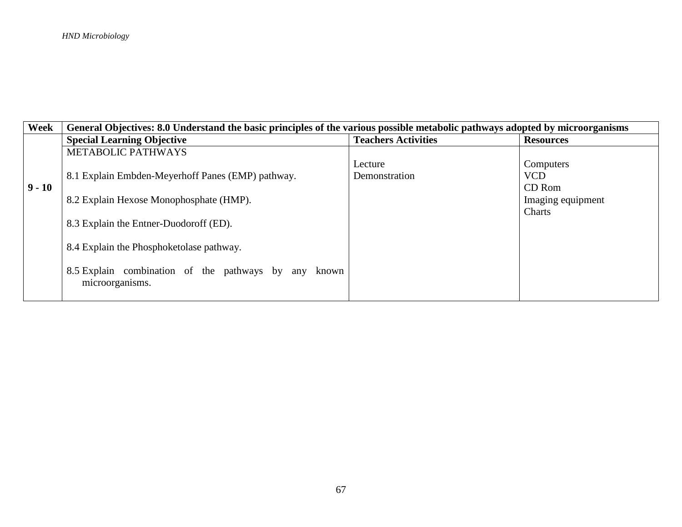| Week     | General Objectives: 8.0 Understand the basic principles of the various possible metabolic pathways adopted by microorganisms |                            |                   |  |
|----------|------------------------------------------------------------------------------------------------------------------------------|----------------------------|-------------------|--|
|          | <b>Special Learning Objective</b>                                                                                            | <b>Teachers Activities</b> | <b>Resources</b>  |  |
|          | <b>METABOLIC PATHWAYS</b>                                                                                                    |                            |                   |  |
|          |                                                                                                                              | Lecture                    | Computers         |  |
|          | 8.1 Explain Embden-Meyerhoff Panes (EMP) pathway.                                                                            | Demonstration              | <b>VCD</b>        |  |
| $9 - 10$ |                                                                                                                              |                            | CD Rom            |  |
|          | 8.2 Explain Hexose Monophosphate (HMP).                                                                                      |                            | Imaging equipment |  |
|          |                                                                                                                              |                            | Charts            |  |
|          | 8.3 Explain the Entner-Duodoroff (ED).                                                                                       |                            |                   |  |
|          |                                                                                                                              |                            |                   |  |
|          | 8.4 Explain the Phosphoketolase pathway.                                                                                     |                            |                   |  |
|          |                                                                                                                              |                            |                   |  |
|          | 8.5 Explain combination of the pathways by any known                                                                         |                            |                   |  |
|          | microorganisms.                                                                                                              |                            |                   |  |
|          |                                                                                                                              |                            |                   |  |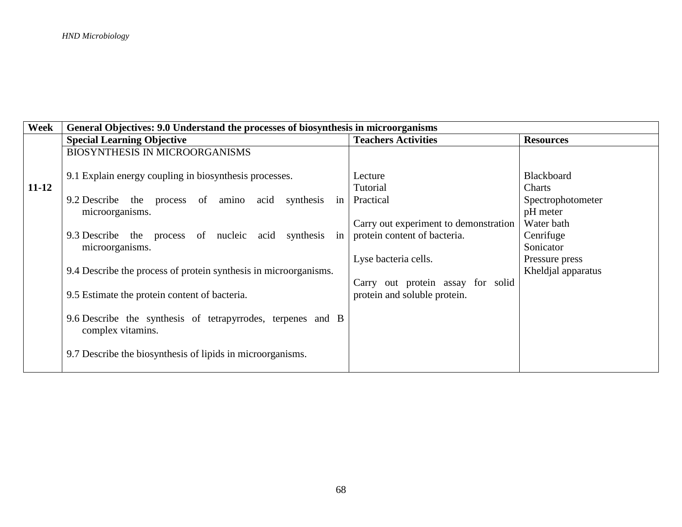| Week      | General Objectives: 9.0 Understand the processes of biosynthesis in microorganisms                                     |                                                                       |                                                   |  |
|-----------|------------------------------------------------------------------------------------------------------------------------|-----------------------------------------------------------------------|---------------------------------------------------|--|
|           | <b>Special Learning Objective</b>                                                                                      | <b>Teachers Activities</b>                                            | <b>Resources</b>                                  |  |
|           | <b>BIOSYNTHESIS IN MICROORGANISMS</b>                                                                                  |                                                                       |                                                   |  |
| $11 - 12$ | 9.1 Explain energy coupling in biosynthesis processes.<br>amino<br>synthesis in<br>9.2 Describe the process of<br>acid | Lecture<br>Tutorial<br>Practical                                      | <b>Blackboard</b><br>Charts<br>Spectrophotometer  |  |
|           | microorganisms.<br>9.3 Describe the process<br>of nucleic acid synthesis<br>in                                         | Carry out experiment to demonstration<br>protein content of bacteria. | pH meter<br>Water bath<br>Cenrifuge               |  |
|           | microorganisms.<br>9.4 Describe the process of protein synthesis in microorganisms.                                    | Lyse bacteria cells.                                                  | Sonicator<br>Pressure press<br>Kheldial apparatus |  |
|           | 9.5 Estimate the protein content of bacteria.                                                                          | Carry out protein assay for solid<br>protein and soluble protein.     |                                                   |  |
|           | 9.6 Describe the synthesis of tetrapyrrodes, terpenes and B<br>complex vitamins.                                       |                                                                       |                                                   |  |
|           | 9.7 Describe the biosynthesis of lipids in microorganisms.                                                             |                                                                       |                                                   |  |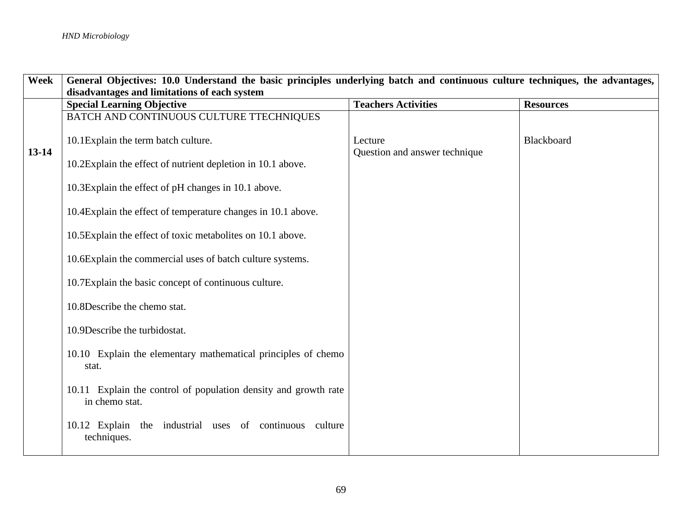| <b>Week</b> | General Objectives: 10.0 Understand the basic principles underlying batch and continuous culture techniques, the advantages, |                                          |                  |
|-------------|------------------------------------------------------------------------------------------------------------------------------|------------------------------------------|------------------|
|             | disadvantages and limitations of each system                                                                                 |                                          |                  |
|             | <b>Special Learning Objective</b>                                                                                            | <b>Teachers Activities</b>               | <b>Resources</b> |
|             | BATCH AND CONTINUOUS CULTURE TTECHNIQUES                                                                                     |                                          |                  |
| $13 - 14$   | 10.1Explain the term batch culture.<br>10.2Explain the effect of nutrient depletion in 10.1 above.                           | Lecture<br>Question and answer technique | Blackboard       |
|             | 10.3Explain the effect of pH changes in 10.1 above.                                                                          |                                          |                  |
|             | 10.4 Explain the effect of temperature changes in 10.1 above.                                                                |                                          |                  |
|             | 10.5Explain the effect of toxic metabolites on 10.1 above.                                                                   |                                          |                  |
|             | 10.6Explain the commercial uses of batch culture systems.                                                                    |                                          |                  |
|             | 10.7Explain the basic concept of continuous culture.                                                                         |                                          |                  |
|             | 10.8Describe the chemo stat.                                                                                                 |                                          |                  |
|             | 10.9Describe the turbidostat.                                                                                                |                                          |                  |
|             | 10.10 Explain the elementary mathematical principles of chemo<br>stat.                                                       |                                          |                  |
|             | 10.11 Explain the control of population density and growth rate<br>in chemo stat.                                            |                                          |                  |
|             | 10.12 Explain the industrial uses of continuous culture<br>techniques.                                                       |                                          |                  |
|             |                                                                                                                              |                                          |                  |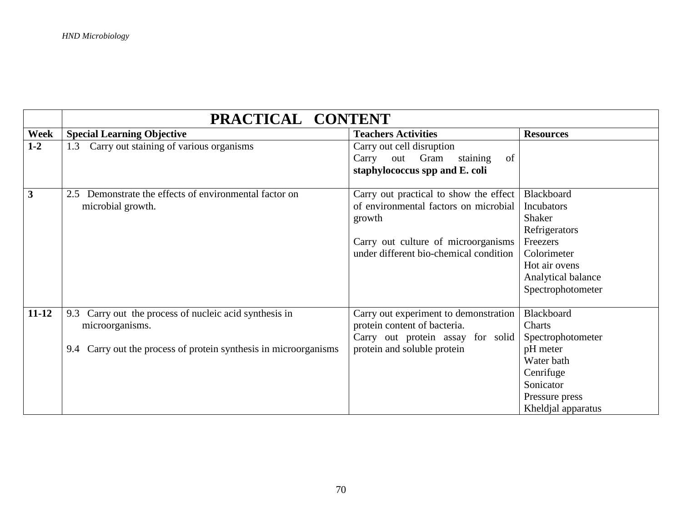|              | PRACTICAL CONTENT                                                                                                                                |                                                                                                                                                                            |                                                                                                                                                   |  |
|--------------|--------------------------------------------------------------------------------------------------------------------------------------------------|----------------------------------------------------------------------------------------------------------------------------------------------------------------------------|---------------------------------------------------------------------------------------------------------------------------------------------------|--|
| Week         | <b>Special Learning Objective</b>                                                                                                                | <b>Teachers Activities</b>                                                                                                                                                 | <b>Resources</b>                                                                                                                                  |  |
| $1 - 2$      | Carry out staining of various organisms<br>1.3                                                                                                   | Carry out cell disruption<br>Gram<br>staining<br>Carry<br>out<br>of<br>staphylococcus spp and E. coli                                                                      |                                                                                                                                                   |  |
| $\mathbf{3}$ | Demonstrate the effects of environmental factor on<br>2.5<br>microbial growth.                                                                   | Carry out practical to show the effect<br>of environmental factors on microbial<br>growth<br>Carry out culture of microorganisms<br>under different bio-chemical condition | Blackboard<br><b>Incubators</b><br>Shaker<br>Refrigerators<br>Freezers<br>Colorimeter<br>Hot air ovens<br>Analytical balance<br>Spectrophotometer |  |
| $11 - 12$    | Carry out the process of nucleic acid synthesis in<br>9.3<br>microorganisms.<br>9.4 Carry out the process of protein synthesis in microorganisms | Carry out experiment to demonstration<br>protein content of bacteria.<br>Carry out protein assay for solid<br>protein and soluble protein                                  | Blackboard<br>Charts<br>Spectrophotometer<br>pH meter<br>Water bath<br>Cenrifuge<br>Sonicator<br>Pressure press<br>Kheldjal apparatus             |  |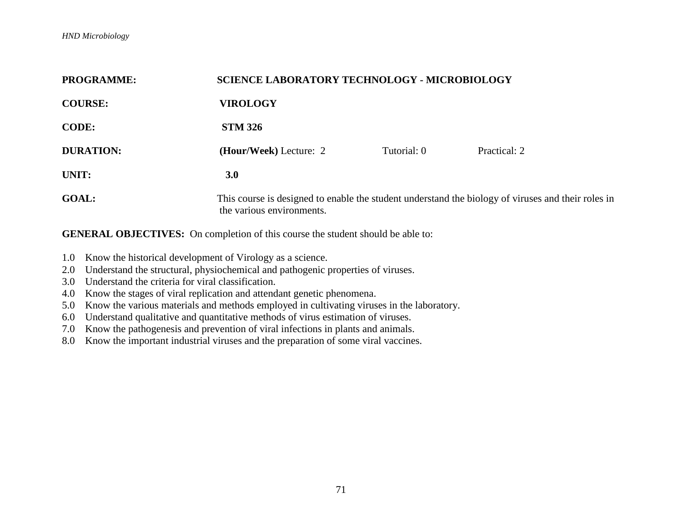| <b>PROGRAMME:</b> | <b>SCIENCE LABORATORY TECHNOLOGY - MICROBIOLOGY</b>                                                                             |             |              |
|-------------------|---------------------------------------------------------------------------------------------------------------------------------|-------------|--------------|
| <b>COURSE:</b>    | <b>VIROLOGY</b>                                                                                                                 |             |              |
| <b>CODE:</b>      | <b>STM 326</b>                                                                                                                  |             |              |
| <b>DURATION:</b>  | (Hour/Week) Lecture: 2                                                                                                          | Tutorial: 0 | Practical: 2 |
| UNIT:             | 3.0 <sub>2</sub>                                                                                                                |             |              |
| <b>GOAL:</b>      | This course is designed to enable the student understand the biology of viruses and their roles in<br>the various environments. |             |              |

- 1.0 Know the historical development of Virology as a science.
- 2.0 Understand the structural, physiochemical and pathogenic properties of viruses.
- 3.0 Understand the criteria for viral classification.
- 4.0 Know the stages of viral replication and attendant genetic phenomena.
- 5.0 Know the various materials and methods employed in cultivating viruses in the laboratory.
- 6.0 Understand qualitative and quantitative methods of virus estimation of viruses.
- 7.0 Know the pathogenesis and prevention of viral infections in plants and animals.
- 8.0 Know the important industrial viruses and the preparation of some viral vaccines.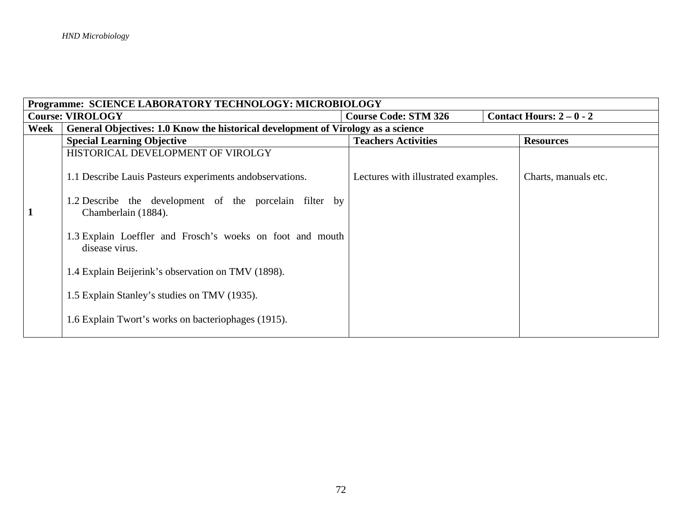| Programme: SCIENCE LABORATORY TECHNOLOGY: MICROBIOLOGY |                                                                                  |                                     |                        |  |
|--------------------------------------------------------|----------------------------------------------------------------------------------|-------------------------------------|------------------------|--|
| <b>Course: VIROLOGY</b>                                |                                                                                  | <b>Course Code: STM 326</b>         | Contact Hours: $2-0-2$ |  |
| Week                                                   | General Objectives: 1.0 Know the historical development of Virology as a science |                                     |                        |  |
|                                                        | <b>Special Learning Objective</b>                                                | <b>Teachers Activities</b>          | <b>Resources</b>       |  |
|                                                        | HISTORICAL DEVELOPMENT OF VIROLGY                                                |                                     |                        |  |
|                                                        | 1.1 Describe Lauis Pasteurs experiments andobservations.                         | Lectures with illustrated examples. | Charts, manuals etc.   |  |
|                                                        | 1.2 Describe the development of the porcelain filter by<br>Chamberlain (1884).   |                                     |                        |  |
|                                                        | 1.3 Explain Loeffler and Frosch's woeks on foot and mouth<br>disease virus.      |                                     |                        |  |
|                                                        | 1.4 Explain Beijerink's observation on TMV (1898).                               |                                     |                        |  |
|                                                        | 1.5 Explain Stanley's studies on TMV (1935).                                     |                                     |                        |  |
|                                                        | 1.6 Explain Twort's works on bacteriophages (1915).                              |                                     |                        |  |
|                                                        |                                                                                  |                                     |                        |  |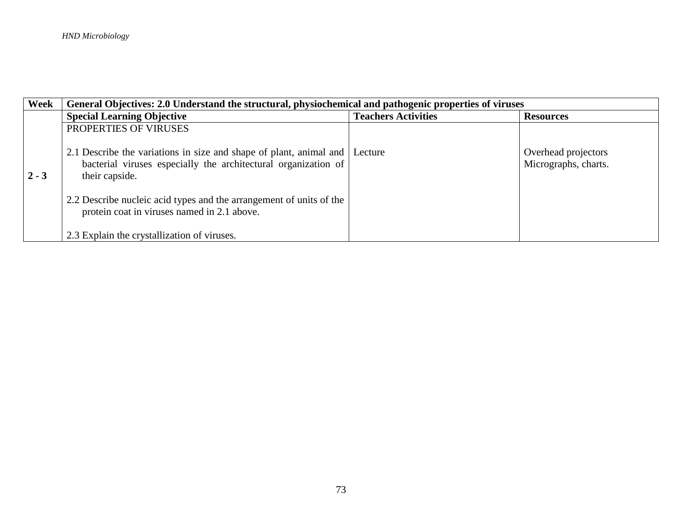| Week    | General Objectives: 2.0 Understand the structural, physiochemical and pathogenic properties of viruses                                                           |                            |                                             |  |
|---------|------------------------------------------------------------------------------------------------------------------------------------------------------------------|----------------------------|---------------------------------------------|--|
|         | <b>Special Learning Objective</b>                                                                                                                                | <b>Teachers Activities</b> | <b>Resources</b>                            |  |
|         | PROPERTIES OF VIRUSES                                                                                                                                            |                            |                                             |  |
| $2 - 3$ | 2.1 Describe the variations in size and shape of plant, animal and   Lecture<br>bacterial viruses especially the architectural organization of<br>their capside. |                            | Overhead projectors<br>Micrographs, charts. |  |
|         | 2.2 Describe nucleic acid types and the arrangement of units of the<br>protein coat in viruses named in 2.1 above.                                               |                            |                                             |  |
|         | 2.3 Explain the crystallization of viruses.                                                                                                                      |                            |                                             |  |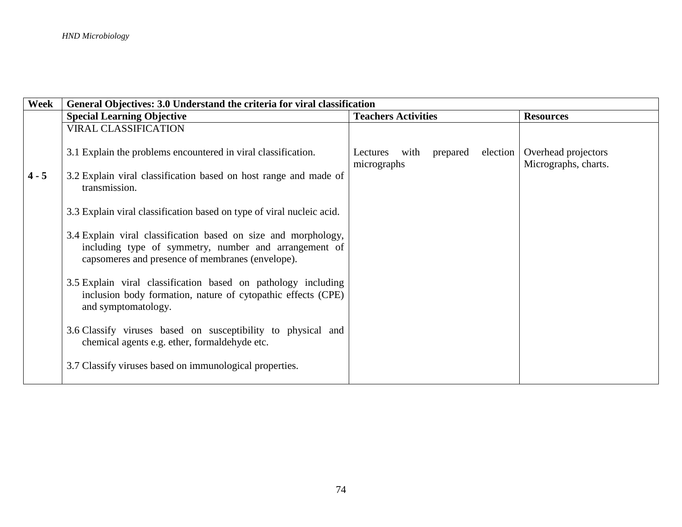| Week    | General Objectives: 3.0 Understand the criteria for viral classification                                                                                                    |                                                         |                                             |
|---------|-----------------------------------------------------------------------------------------------------------------------------------------------------------------------------|---------------------------------------------------------|---------------------------------------------|
|         | <b>Special Learning Objective</b>                                                                                                                                           | <b>Teachers Activities</b>                              | <b>Resources</b>                            |
|         | <b>VIRAL CLASSIFICATION</b>                                                                                                                                                 |                                                         |                                             |
|         | 3.1 Explain the problems encountered in viral classification.                                                                                                               | prepared<br>election<br>Lectures<br>with<br>micrographs | Overhead projectors<br>Micrographs, charts. |
| $4 - 5$ | 3.2 Explain viral classification based on host range and made of<br>transmission.                                                                                           |                                                         |                                             |
|         | 3.3 Explain viral classification based on type of viral nucleic acid.                                                                                                       |                                                         |                                             |
|         | 3.4 Explain viral classification based on size and morphology,<br>including type of symmetry, number and arrangement of<br>capsomeres and presence of membranes (envelope). |                                                         |                                             |
|         | 3.5 Explain viral classification based on pathology including<br>inclusion body formation, nature of cytopathic effects (CPE)<br>and symptomatology.                        |                                                         |                                             |
|         | 3.6 Classify viruses based on susceptibility to physical and<br>chemical agents e.g. ether, formaldehyde etc.                                                               |                                                         |                                             |
|         | 3.7 Classify viruses based on immunological properties.                                                                                                                     |                                                         |                                             |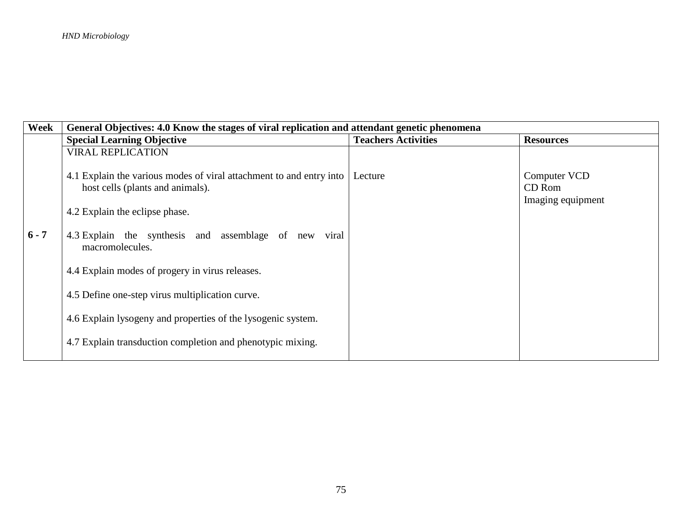| Week    | General Objectives: 4.0 Know the stages of viral replication and attendant genetic phenomena            |                            |                                             |
|---------|---------------------------------------------------------------------------------------------------------|----------------------------|---------------------------------------------|
|         | <b>Special Learning Objective</b>                                                                       | <b>Teachers Activities</b> | <b>Resources</b>                            |
|         | <b>VIRAL REPLICATION</b>                                                                                |                            |                                             |
|         | 4.1 Explain the various modes of viral attachment to and entry into<br>host cells (plants and animals). | Lecture                    | Computer VCD<br>CD Rom<br>Imaging equipment |
|         | 4.2 Explain the eclipse phase.                                                                          |                            |                                             |
| $6 - 7$ | 4.3 Explain the synthesis and assemblage of new viral<br>macromolecules.                                |                            |                                             |
|         | 4.4 Explain modes of progery in virus releases.                                                         |                            |                                             |
|         | 4.5 Define one-step virus multiplication curve.                                                         |                            |                                             |
|         | 4.6 Explain lysogeny and properties of the lysogenic system.                                            |                            |                                             |
|         | 4.7 Explain transduction completion and phenotypic mixing.                                              |                            |                                             |
|         |                                                                                                         |                            |                                             |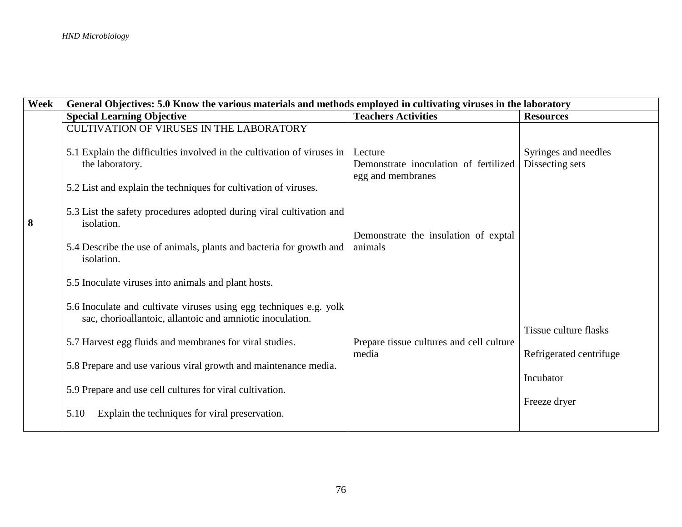| Week | General Objectives: 5.0 Know the various materials and methods employed in cultivating viruses in the laboratory                                                                                                                                                                                                                                                                                                                           |                                                                       |                                                                                      |  |
|------|--------------------------------------------------------------------------------------------------------------------------------------------------------------------------------------------------------------------------------------------------------------------------------------------------------------------------------------------------------------------------------------------------------------------------------------------|-----------------------------------------------------------------------|--------------------------------------------------------------------------------------|--|
|      | <b>Special Learning Objective</b>                                                                                                                                                                                                                                                                                                                                                                                                          | <b>Teachers Activities</b>                                            | <b>Resources</b>                                                                     |  |
|      | <b>CULTIVATION OF VIRUSES IN THE LABORATORY</b><br>5.1 Explain the difficulties involved in the cultivation of viruses in<br>the laboratory.<br>5.2 List and explain the techniques for cultivation of viruses.                                                                                                                                                                                                                            | Lecture<br>Demonstrate inoculation of fertilized<br>egg and membranes | Syringes and needles<br>Dissecting sets                                              |  |
| 8    | 5.3 List the safety procedures adopted during viral cultivation and<br>isolation.<br>5.4 Describe the use of animals, plants and bacteria for growth and<br>isolation.                                                                                                                                                                                                                                                                     | Demonstrate the insulation of exptal<br>animals                       |                                                                                      |  |
|      | 5.5 Inoculate viruses into animals and plant hosts.<br>5.6 Inoculate and cultivate viruses using egg techniques e.g. yolk<br>sac, chorioallantoic, allantoic and amniotic inoculation.<br>5.7 Harvest egg fluids and membranes for viral studies.<br>5.8 Prepare and use various viral growth and maintenance media.<br>5.9 Prepare and use cell cultures for viral cultivation.<br>Explain the techniques for viral preservation.<br>5.10 | Prepare tissue cultures and cell culture<br>media                     | <b>Tissue culture flasks</b><br>Refrigerated centrifuge<br>Incubator<br>Freeze dryer |  |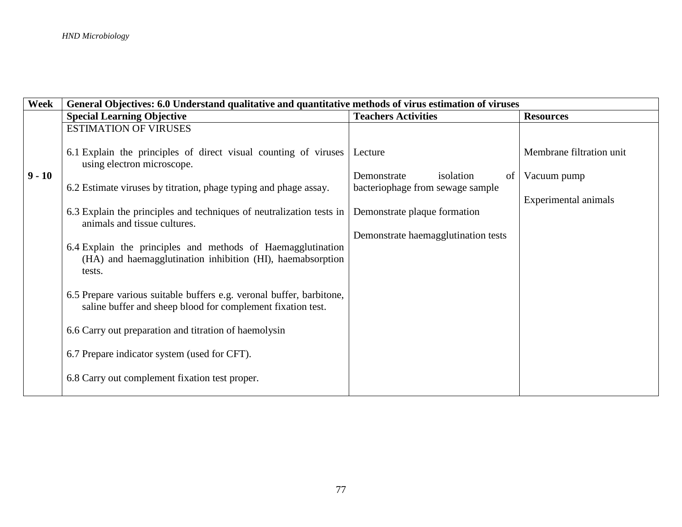| Week     | General Objectives: 6.0 Understand qualitative and quantitative methods of virus estimation of viruses                              |                                     |                          |  |
|----------|-------------------------------------------------------------------------------------------------------------------------------------|-------------------------------------|--------------------------|--|
|          | <b>Special Learning Objective</b>                                                                                                   | <b>Teachers Activities</b>          | <b>Resources</b>         |  |
|          | <b>ESTIMATION OF VIRUSES</b>                                                                                                        |                                     |                          |  |
|          |                                                                                                                                     |                                     |                          |  |
|          | 6.1 Explain the principles of direct visual counting of viruses<br>using electron microscope.                                       | Lecture                             | Membrane filtration unit |  |
| $9 - 10$ |                                                                                                                                     | Demonstrate<br>isolation<br>of      | Vacuum pump              |  |
|          | 6.2 Estimate viruses by titration, phage typing and phage assay.                                                                    | bacteriophage from sewage sample    |                          |  |
|          |                                                                                                                                     |                                     | Experimental animals     |  |
|          | 6.3 Explain the principles and techniques of neutralization tests in<br>animals and tissue cultures.                                | Demonstrate plaque formation        |                          |  |
|          |                                                                                                                                     | Demonstrate haemagglutination tests |                          |  |
|          | 6.4 Explain the principles and methods of Haemagglutination<br>(HA) and haemagglutination inhibition (HI), haemabsorption<br>tests. |                                     |                          |  |
|          | 6.5 Prepare various suitable buffers e.g. veronal buffer, barbitone,<br>saline buffer and sheep blood for complement fixation test. |                                     |                          |  |
|          | 6.6 Carry out preparation and titration of haemolysin                                                                               |                                     |                          |  |
|          | 6.7 Prepare indicator system (used for CFT).                                                                                        |                                     |                          |  |
|          | 6.8 Carry out complement fixation test proper.                                                                                      |                                     |                          |  |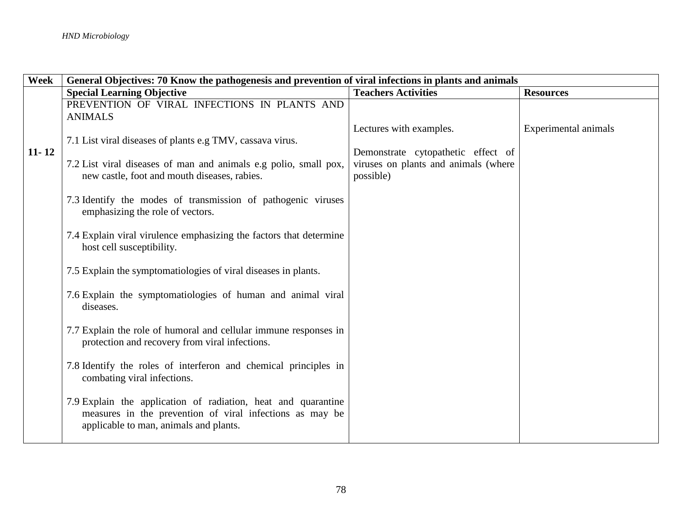| Week      | General Objectives: 70 Know the pathogenesis and prevention of viral infections in plants and animals |                                      |                      |
|-----------|-------------------------------------------------------------------------------------------------------|--------------------------------------|----------------------|
|           | <b>Special Learning Objective</b>                                                                     | <b>Teachers Activities</b>           | <b>Resources</b>     |
|           | PREVENTION OF VIRAL INFECTIONS IN PLANTS AND                                                          |                                      |                      |
|           | <b>ANIMALS</b>                                                                                        |                                      |                      |
|           |                                                                                                       | Lectures with examples.              | Experimental animals |
|           | 7.1 List viral diseases of plants e.g TMV, cassava virus.                                             |                                      |                      |
| $11 - 12$ |                                                                                                       | Demonstrate cytopathetic effect of   |                      |
|           | 7.2 List viral diseases of man and animals e.g polio, small pox,                                      | viruses on plants and animals (where |                      |
|           | new castle, foot and mouth diseases, rabies.                                                          | possible)                            |                      |
|           |                                                                                                       |                                      |                      |
|           | 7.3 Identify the modes of transmission of pathogenic viruses                                          |                                      |                      |
|           | emphasizing the role of vectors.                                                                      |                                      |                      |
|           |                                                                                                       |                                      |                      |
|           | 7.4 Explain viral virulence emphasizing the factors that determine                                    |                                      |                      |
|           | host cell susceptibility.                                                                             |                                      |                      |
|           |                                                                                                       |                                      |                      |
|           | 7.5 Explain the symptomatiologies of viral diseases in plants.                                        |                                      |                      |
|           |                                                                                                       |                                      |                      |
|           | 7.6 Explain the symptomatiologies of human and animal viral                                           |                                      |                      |
|           | diseases.                                                                                             |                                      |                      |
|           |                                                                                                       |                                      |                      |
|           | 7.7 Explain the role of humoral and cellular immune responses in                                      |                                      |                      |
|           | protection and recovery from viral infections.                                                        |                                      |                      |
|           |                                                                                                       |                                      |                      |
|           | 7.8 Identify the roles of interferon and chemical principles in                                       |                                      |                      |
|           | combating viral infections.                                                                           |                                      |                      |
|           |                                                                                                       |                                      |                      |
|           | 7.9 Explain the application of radiation, heat and quarantine                                         |                                      |                      |
|           | measures in the prevention of viral infections as may be                                              |                                      |                      |
|           | applicable to man, animals and plants.                                                                |                                      |                      |
|           |                                                                                                       |                                      |                      |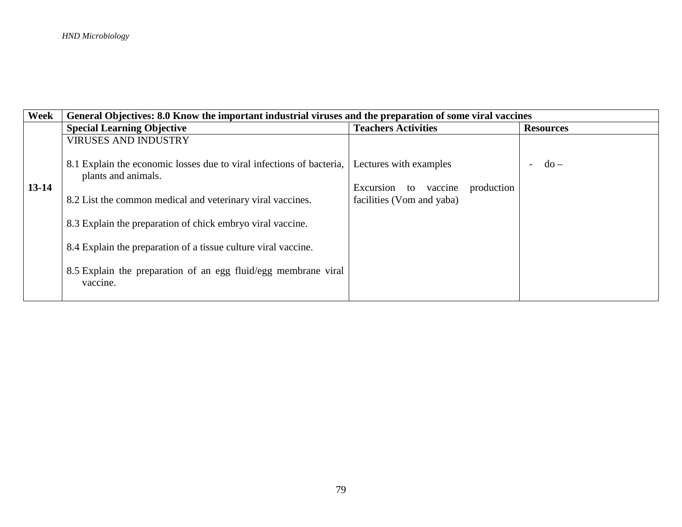| Week      | General Objectives: 8.0 Know the important industrial viruses and the preparation of some viral vaccines |                                       |                  |
|-----------|----------------------------------------------------------------------------------------------------------|---------------------------------------|------------------|
|           | <b>Special Learning Objective</b>                                                                        | <b>Teachers Activities</b>            | <b>Resources</b> |
|           | <b>VIRUSES AND INDUSTRY</b>                                                                              |                                       |                  |
|           | 8.1 Explain the economic losses due to viral infections of bacteria,<br>plants and animals.              | Lectures with examples                | $do -$           |
| $13 - 14$ |                                                                                                          | to vaccine<br>production<br>Excursion |                  |
|           | 8.2 List the common medical and veterinary viral vaccines.                                               | facilities (Vom and yaba)             |                  |
|           | 8.3 Explain the preparation of chick embryo viral vaccine.                                               |                                       |                  |
|           | 8.4 Explain the preparation of a tissue culture viral vaccine.                                           |                                       |                  |
|           | 8.5 Explain the preparation of an egg fluid/egg membrane viral<br>vaccine.                               |                                       |                  |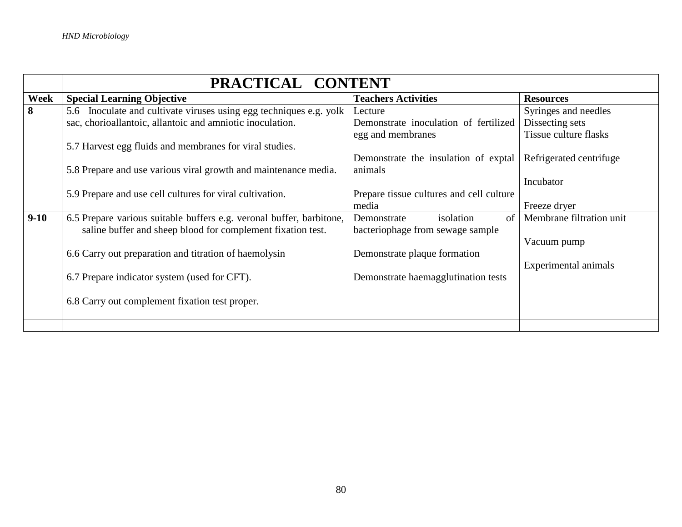|        | PRACTICAL CONTENT                                                    |                                          |                              |  |
|--------|----------------------------------------------------------------------|------------------------------------------|------------------------------|--|
| Week   | <b>Special Learning Objective</b>                                    | <b>Teachers Activities</b>               | <b>Resources</b>             |  |
| 8      | 5.6 Inoculate and cultivate viruses using egg techniques e.g. yolk   | Lecture                                  | Syringes and needles         |  |
|        | sac, chorioallantoic, allantoic and amniotic inoculation.            | Demonstrate inoculation of fertilized    | Dissecting sets              |  |
|        |                                                                      | egg and membranes                        | <b>Tissue culture flasks</b> |  |
|        | 5.7 Harvest egg fluids and membranes for viral studies.              |                                          |                              |  |
|        |                                                                      | Demonstrate the insulation of exptal     | Refrigerated centrifuge      |  |
|        | 5.8 Prepare and use various viral growth and maintenance media.      | animals                                  |                              |  |
|        |                                                                      |                                          | Incubator                    |  |
|        | 5.9 Prepare and use cell cultures for viral cultivation.             | Prepare tissue cultures and cell culture |                              |  |
|        |                                                                      | media                                    | Freeze dryer                 |  |
| $9-10$ | 6.5 Prepare various suitable buffers e.g. veronal buffer, barbitone, | isolation<br>Demonstrate<br>of           | Membrane filtration unit     |  |
|        | saline buffer and sheep blood for complement fixation test.          | bacteriophage from sewage sample         |                              |  |
|        |                                                                      |                                          | Vacuum pump                  |  |
|        | 6.6 Carry out preparation and titration of haemolysin                | Demonstrate plaque formation             |                              |  |
|        |                                                                      |                                          | Experimental animals         |  |
|        | 6.7 Prepare indicator system (used for CFT).                         | Demonstrate haemagglutination tests      |                              |  |
|        |                                                                      |                                          |                              |  |
|        | 6.8 Carry out complement fixation test proper.                       |                                          |                              |  |
|        |                                                                      |                                          |                              |  |
|        |                                                                      |                                          |                              |  |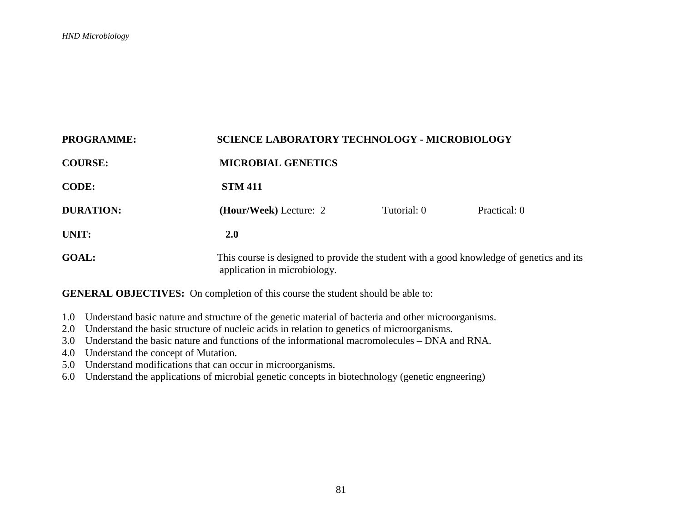| <b>PROGRAMME:</b> | <b>SCIENCE LABORATORY TECHNOLOGY - MICROBIOLOGY</b>                                                                      |             |              |
|-------------------|--------------------------------------------------------------------------------------------------------------------------|-------------|--------------|
| <b>COURSE:</b>    | <b>MICROBIAL GENETICS</b>                                                                                                |             |              |
| <b>CODE:</b>      | <b>STM 411</b>                                                                                                           |             |              |
| <b>DURATION:</b>  | (Hour/Week) Lecture: 2                                                                                                   | Tutorial: 0 | Practical: 0 |
| UNIT:             | 2.0                                                                                                                      |             |              |
| <b>GOAL:</b>      | This course is designed to provide the student with a good knowledge of genetics and its<br>application in microbiology. |             |              |

- 1.0 Understand basic nature and structure of the genetic material of bacteria and other microorganisms.
- 2.0 Understand the basic structure of nucleic acids in relation to genetics of microorganisms.
- 3.0 Understand the basic nature and functions of the informational macromolecules DNA and RNA.
- 4.0 Understand the concept of Mutation.
- 5.0 Understand modifications that can occur in microorganisms.
- 6.0 Understand the applications of microbial genetic concepts in biotechnology (genetic engneering)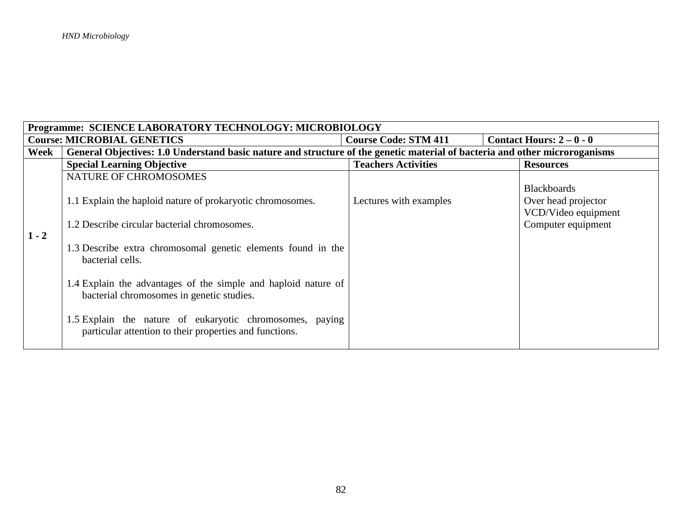| Programme: SCIENCE LABORATORY TECHNOLOGY: MICROBIOLOGY |                                                                                                                            |                             |                                                                  |  |
|--------------------------------------------------------|----------------------------------------------------------------------------------------------------------------------------|-----------------------------|------------------------------------------------------------------|--|
|                                                        | <b>Course: MICROBIAL GENETICS</b>                                                                                          | <b>Course Code: STM 411</b> | Contact Hours: $2-0-0$                                           |  |
| Week                                                   | General Objectives: 1.0 Understand basic nature and structure of the genetic material of bacteria and other microroganisms |                             |                                                                  |  |
|                                                        | <b>Special Learning Objective</b>                                                                                          | <b>Teachers Activities</b>  | <b>Resources</b>                                                 |  |
|                                                        | NATURE OF CHROMOSOMES                                                                                                      |                             |                                                                  |  |
|                                                        | 1.1 Explain the haploid nature of prokaryotic chromosomes.                                                                 | Lectures with examples      | <b>Blackboards</b><br>Over head projector<br>VCD/Video equipment |  |
| $1 - 2$                                                | 1.2 Describe circular bacterial chromosomes.                                                                               |                             | Computer equipment                                               |  |
|                                                        | 1.3 Describe extra chromosomal genetic elements found in the<br>bacterial cells.                                           |                             |                                                                  |  |
|                                                        | 1.4 Explain the advantages of the simple and haploid nature of<br>bacterial chromosomes in genetic studies.                |                             |                                                                  |  |
|                                                        | 1.5 Explain the nature of eukaryotic chromosomes, paying<br>particular attention to their properties and functions.        |                             |                                                                  |  |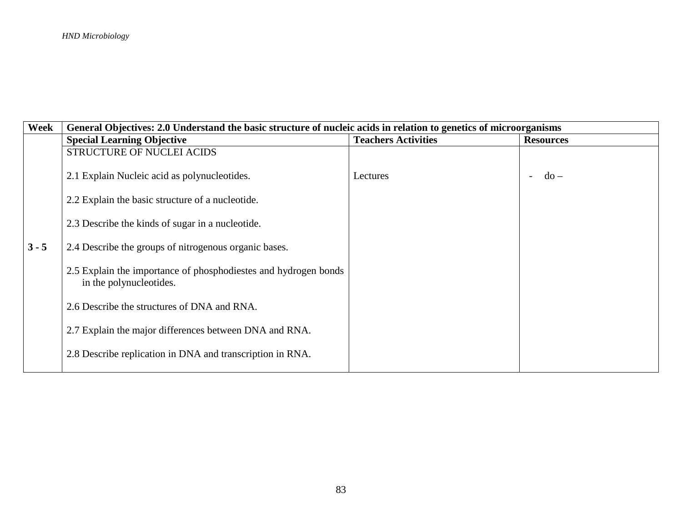| Week    | General Objectives: 2.0 Understand the basic structure of nucleic acids in relation to genetics of microorganisms |                            |                  |
|---------|-------------------------------------------------------------------------------------------------------------------|----------------------------|------------------|
|         | <b>Special Learning Objective</b>                                                                                 | <b>Teachers Activities</b> | <b>Resources</b> |
|         | <b>STRUCTURE OF NUCLEI ACIDS</b>                                                                                  |                            |                  |
|         | 2.1 Explain Nucleic acid as polynucleotides.                                                                      | Lectures                   | $do -$           |
|         | 2.2 Explain the basic structure of a nucleotide.                                                                  |                            |                  |
|         | 2.3 Describe the kinds of sugar in a nucleotide.                                                                  |                            |                  |
| $3 - 5$ | 2.4 Describe the groups of nitrogenous organic bases.                                                             |                            |                  |
|         | 2.5 Explain the importance of phosphodiestes and hydrogen bonds<br>in the polynucleotides.                        |                            |                  |
|         | 2.6 Describe the structures of DNA and RNA.                                                                       |                            |                  |
|         | 2.7 Explain the major differences between DNA and RNA.                                                            |                            |                  |
|         | 2.8 Describe replication in DNA and transcription in RNA.                                                         |                            |                  |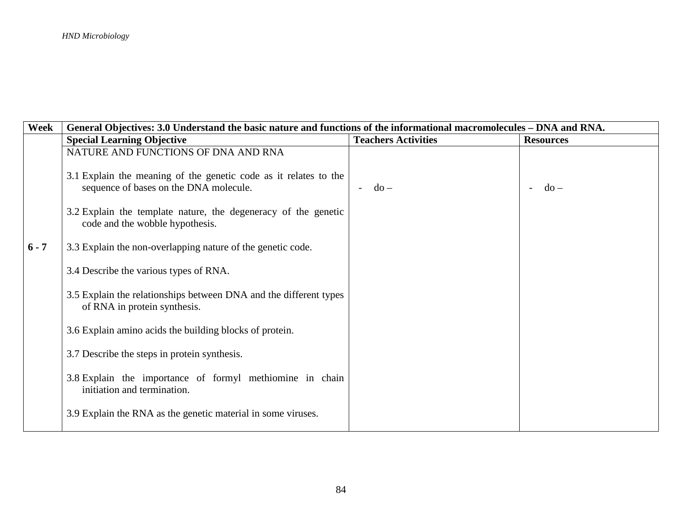| Week    | General Objectives: 3.0 Understand the basic nature and functions of the informational macromolecules – DNA and RNA. |                            |                                         |
|---------|----------------------------------------------------------------------------------------------------------------------|----------------------------|-----------------------------------------|
|         | <b>Special Learning Objective</b>                                                                                    | <b>Teachers Activities</b> | <b>Resources</b>                        |
|         | NATURE AND FUNCTIONS OF DNA AND RNA<br>3.1 Explain the meaning of the genetic code as it relates to the              |                            |                                         |
|         | sequence of bases on the DNA molecule.<br>3.2 Explain the template nature, the degeneracy of the genetic             | $do -$                     | $d\sigma$ –<br>$\overline{\phantom{a}}$ |
|         | code and the wobble hypothesis.                                                                                      |                            |                                         |
| $6 - 7$ | 3.3 Explain the non-overlapping nature of the genetic code.                                                          |                            |                                         |
|         | 3.4 Describe the various types of RNA.<br>3.5 Explain the relationships between DNA and the different types          |                            |                                         |
|         | of RNA in protein synthesis.                                                                                         |                            |                                         |
|         | 3.6 Explain amino acids the building blocks of protein.                                                              |                            |                                         |
|         | 3.7 Describe the steps in protein synthesis.<br>3.8 Explain the importance of formyl methiomine in chain             |                            |                                         |
|         | initiation and termination.                                                                                          |                            |                                         |
|         | 3.9 Explain the RNA as the genetic material in some viruses.                                                         |                            |                                         |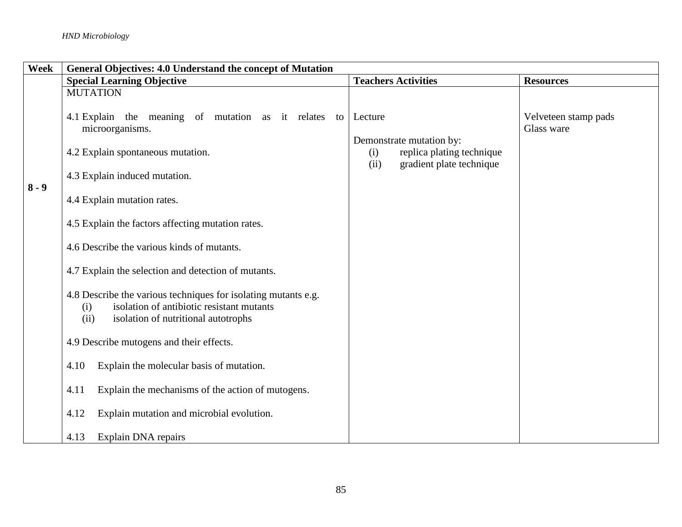| Week    | General Objectives: 4.0 Understand the concept of Mutation                                                                                                        |                                                                      |                      |  |  |
|---------|-------------------------------------------------------------------------------------------------------------------------------------------------------------------|----------------------------------------------------------------------|----------------------|--|--|
|         | <b>Special Learning Objective</b>                                                                                                                                 | <b>Teachers Activities</b>                                           | <b>Resources</b>     |  |  |
|         | <b>MUTATION</b><br>4.1 Explain the meaning of mutation as it relates<br>to                                                                                        | Lecture                                                              | Velveteen stamp pads |  |  |
|         | microorganisms.                                                                                                                                                   | Demonstrate mutation by:                                             | Glass ware           |  |  |
|         | 4.2 Explain spontaneous mutation.<br>4.3 Explain induced mutation.                                                                                                | replica plating technique<br>(i)<br>(ii)<br>gradient plate technique |                      |  |  |
| $8 - 9$ | 4.4 Explain mutation rates.                                                                                                                                       |                                                                      |                      |  |  |
|         | 4.5 Explain the factors affecting mutation rates.                                                                                                                 |                                                                      |                      |  |  |
|         | 4.6 Describe the various kinds of mutants.                                                                                                                        |                                                                      |                      |  |  |
|         | 4.7 Explain the selection and detection of mutants.                                                                                                               |                                                                      |                      |  |  |
|         | 4.8 Describe the various techniques for isolating mutants e.g.<br>isolation of antibiotic resistant mutants<br>(i)<br>(ii)<br>isolation of nutritional autotrophs |                                                                      |                      |  |  |
|         | 4.9 Describe mutogens and their effects.                                                                                                                          |                                                                      |                      |  |  |
|         | Explain the molecular basis of mutation.<br>4.10                                                                                                                  |                                                                      |                      |  |  |
|         | Explain the mechanisms of the action of mutogens.<br>4.11                                                                                                         |                                                                      |                      |  |  |
|         | 4.12<br>Explain mutation and microbial evolution.                                                                                                                 |                                                                      |                      |  |  |
|         | 4.13<br>Explain DNA repairs                                                                                                                                       |                                                                      |                      |  |  |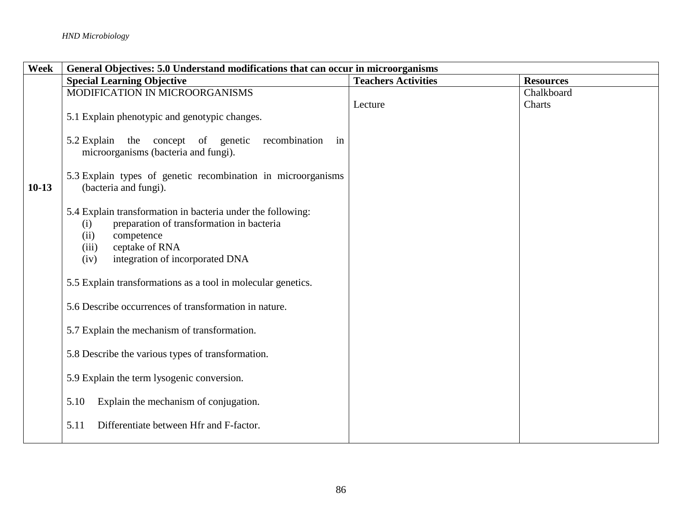| Week    |                                                                                                                                                                                                             | General Objectives: 5.0 Understand modifications that can occur in microorganisms |                  |  |
|---------|-------------------------------------------------------------------------------------------------------------------------------------------------------------------------------------------------------------|-----------------------------------------------------------------------------------|------------------|--|
|         | <b>Special Learning Objective</b>                                                                                                                                                                           | <b>Teachers Activities</b>                                                        | <b>Resources</b> |  |
|         | MODIFICATION IN MICROORGANISMS                                                                                                                                                                              |                                                                                   | Chalkboard       |  |
|         | 5.1 Explain phenotypic and genotypic changes.                                                                                                                                                               | Lecture                                                                           | Charts           |  |
|         | 5.2 Explain the concept of genetic recombination<br>in<br>microorganisms (bacteria and fungi).                                                                                                              |                                                                                   |                  |  |
| $10-13$ | 5.3 Explain types of genetic recombination in microorganisms<br>(bacteria and fungi).                                                                                                                       |                                                                                   |                  |  |
|         | 5.4 Explain transformation in bacteria under the following:<br>preparation of transformation in bacteria<br>(i)<br>(ii)<br>competence<br>ceptake of RNA<br>(iii)<br>integration of incorporated DNA<br>(iv) |                                                                                   |                  |  |
|         | 5.5 Explain transformations as a tool in molecular genetics.                                                                                                                                                |                                                                                   |                  |  |
|         | 5.6 Describe occurrences of transformation in nature.                                                                                                                                                       |                                                                                   |                  |  |
|         | 5.7 Explain the mechanism of transformation.                                                                                                                                                                |                                                                                   |                  |  |
|         | 5.8 Describe the various types of transformation.                                                                                                                                                           |                                                                                   |                  |  |
|         | 5.9 Explain the term lysogenic conversion.                                                                                                                                                                  |                                                                                   |                  |  |
|         | Explain the mechanism of conjugation.<br>5.10                                                                                                                                                               |                                                                                   |                  |  |
|         | Differentiate between Hfr and F-factor.<br>5.11                                                                                                                                                             |                                                                                   |                  |  |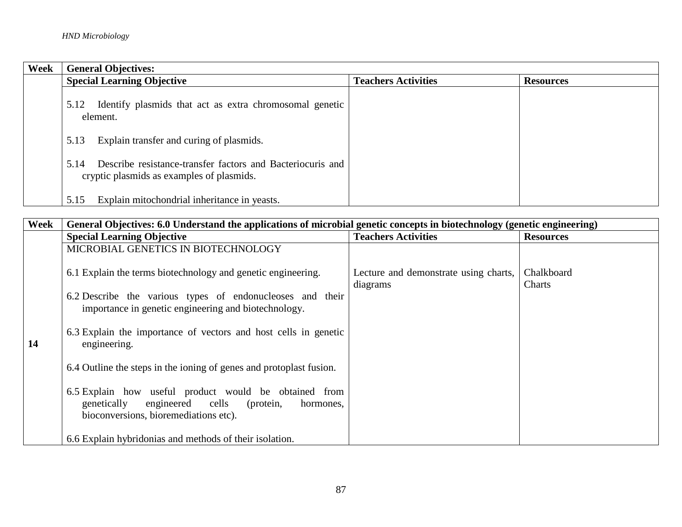| Week | <b>General Objectives:</b>                                                                                      |                            |                  |  |
|------|-----------------------------------------------------------------------------------------------------------------|----------------------------|------------------|--|
|      | <b>Special Learning Objective</b>                                                                               | <b>Teachers Activities</b> | <b>Resources</b> |  |
|      | Identify plasmids that act as extra chromosomal genetic<br>5.12<br>element.                                     |                            |                  |  |
|      | Explain transfer and curing of plasmids.<br>5.13                                                                |                            |                  |  |
|      | Describe resistance-transfer factors and Bacteriocuris and<br>5.14<br>cryptic plasmids as examples of plasmids. |                            |                  |  |
|      | Explain mitochondrial inheritance in yeasts.<br>5.15                                                            |                            |                  |  |

| Week | General Objectives: 6.0 Understand the applications of microbial genetic concepts in biotechnology (genetic engineering)                                       |                                                   |                      |  |  |
|------|----------------------------------------------------------------------------------------------------------------------------------------------------------------|---------------------------------------------------|----------------------|--|--|
|      | <b>Special Learning Objective</b>                                                                                                                              | <b>Teachers Activities</b>                        | <b>Resources</b>     |  |  |
|      | MICROBIAL GENETICS IN BIOTECHNOLOGY                                                                                                                            |                                                   |                      |  |  |
|      | 6.1 Explain the terms biotechnology and genetic engineering.                                                                                                   | Lecture and demonstrate using charts,<br>diagrams | Chalkboard<br>Charts |  |  |
|      | 6.2 Describe the various types of endonucleoses and their<br>importance in genetic engineering and biotechnology.                                              |                                                   |                      |  |  |
| 14   | 6.3 Explain the importance of vectors and host cells in genetic<br>engineering.                                                                                |                                                   |                      |  |  |
|      | 6.4 Outline the steps in the ioning of genes and protoplast fusion.                                                                                            |                                                   |                      |  |  |
|      | 6.5 Explain how useful product would be obtained from<br>cells<br>genetically<br>engineered<br>(protein,<br>hormones,<br>bioconversions, bioremediations etc). |                                                   |                      |  |  |
|      | 6.6 Explain hybridonias and methods of their isolation.                                                                                                        |                                                   |                      |  |  |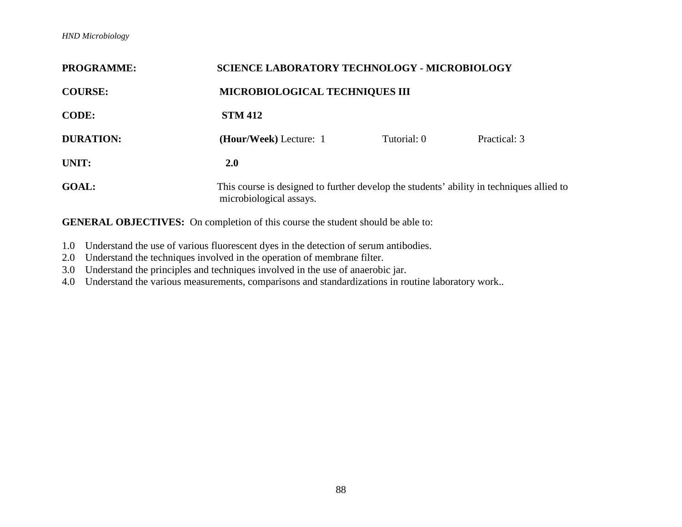| <b>PROGRAMME:</b> | <b>SCIENCE LABORATORY TECHNOLOGY - MICROBIOLOGY</b>                                                                 |             |              |  |
|-------------------|---------------------------------------------------------------------------------------------------------------------|-------------|--------------|--|
| <b>COURSE:</b>    | <b>MICROBIOLOGICAL TECHNIQUES III</b>                                                                               |             |              |  |
| <b>CODE:</b>      | <b>STM 412</b>                                                                                                      |             |              |  |
| <b>DURATION:</b>  | (Hour/Week) Lecture: 1                                                                                              | Tutorial: 0 | Practical: 3 |  |
| UNIT:             | <b>2.0</b>                                                                                                          |             |              |  |
| <b>GOAL:</b>      | This course is designed to further develop the students' ability in techniques allied to<br>microbiological assays. |             |              |  |

- 1.0 Understand the use of various fluorescent dyes in the detection of serum antibodies.
- 2.0 Understand the techniques involved in the operation of membrane filter.
- 3.0 Understand the principles and techniques involved in the use of anaerobic jar.
- 4.0 Understand the various measurements, comparisons and standardizations in routine laboratory work..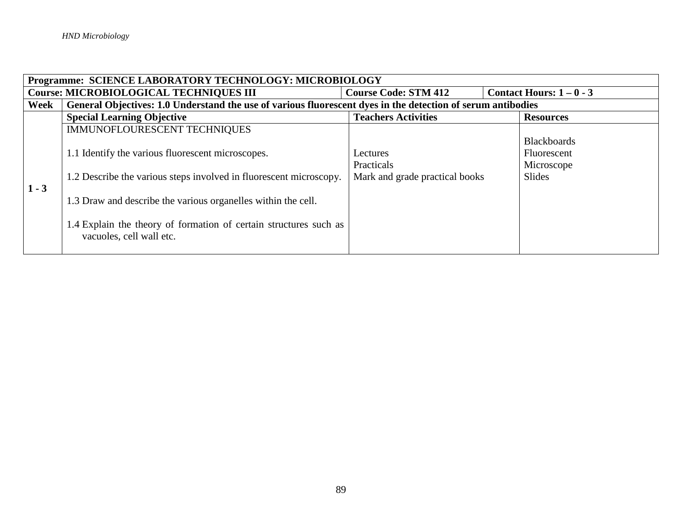| Programme: SCIENCE LABORATORY TECHNOLOGY: MICROBIOLOGY |                                                                                                             |                                |                    |  |  |
|--------------------------------------------------------|-------------------------------------------------------------------------------------------------------------|--------------------------------|--------------------|--|--|
|                                                        | <b>Course: MICROBIOLOGICAL TECHNIQUES III</b><br>Contact Hours: $1 - 0 - 3$<br><b>Course Code: STM 412</b>  |                                |                    |  |  |
| Week                                                   | General Objectives: 1.0 Understand the use of various fluorescent dyes in the detection of serum antibodies |                                |                    |  |  |
|                                                        | <b>Special Learning Objective</b>                                                                           | <b>Teachers Activities</b>     | <b>Resources</b>   |  |  |
|                                                        | IMMUNOFLOURESCENT TECHNIQUES                                                                                |                                |                    |  |  |
|                                                        |                                                                                                             |                                | <b>Blackboards</b> |  |  |
|                                                        | 1.1 Identify the various fluorescent microscopes.                                                           | Lectures                       | Fluorescent        |  |  |
|                                                        |                                                                                                             | Practicals                     | Microscope         |  |  |
|                                                        | 1.2 Describe the various steps involved in fluorescent microscopy.                                          | Mark and grade practical books | <b>Slides</b>      |  |  |
| $1 - 3$                                                |                                                                                                             |                                |                    |  |  |
|                                                        | 1.3 Draw and describe the various organelles within the cell.                                               |                                |                    |  |  |
|                                                        |                                                                                                             |                                |                    |  |  |
|                                                        | 1.4 Explain the theory of formation of certain structures such as                                           |                                |                    |  |  |
|                                                        | vacuoles, cell wall etc.                                                                                    |                                |                    |  |  |
|                                                        |                                                                                                             |                                |                    |  |  |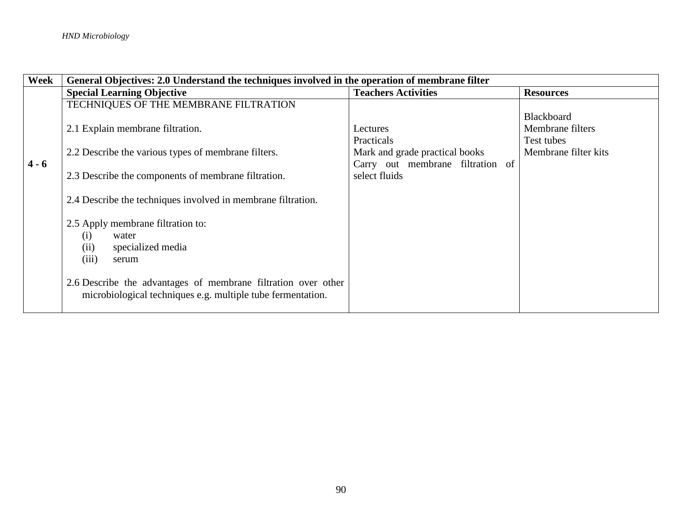| Week    | General Objectives: 2.0 Understand the techniques involved in the operation of membrane filter |                                  |                      |  |  |
|---------|------------------------------------------------------------------------------------------------|----------------------------------|----------------------|--|--|
|         | <b>Special Learning Objective</b>                                                              | <b>Teachers Activities</b>       | <b>Resources</b>     |  |  |
|         | TECHNIQUES OF THE MEMBRANE FILTRATION                                                          |                                  |                      |  |  |
|         |                                                                                                |                                  | <b>Blackboard</b>    |  |  |
|         | 2.1 Explain membrane filtration.                                                               | Lectures                         | Membrane filters     |  |  |
|         |                                                                                                | Practicals                       | Test tubes           |  |  |
|         | 2.2 Describe the various types of membrane filters.                                            | Mark and grade practical books   | Membrane filter kits |  |  |
| $4 - 6$ |                                                                                                | Carry out membrane filtration of |                      |  |  |
|         | 2.3 Describe the components of membrane filtration.                                            | select fluids                    |                      |  |  |
|         |                                                                                                |                                  |                      |  |  |
|         | 2.4 Describe the techniques involved in membrane filtration.                                   |                                  |                      |  |  |
|         |                                                                                                |                                  |                      |  |  |
|         | 2.5 Apply membrane filtration to:                                                              |                                  |                      |  |  |
|         | (i)<br>water                                                                                   |                                  |                      |  |  |
|         | specialized media<br>(ii)                                                                      |                                  |                      |  |  |
|         | (iii)<br>serum                                                                                 |                                  |                      |  |  |
|         |                                                                                                |                                  |                      |  |  |
|         | 2.6 Describe the advantages of membrane filtration over other                                  |                                  |                      |  |  |
|         | microbiological techniques e.g. multiple tube fermentation.                                    |                                  |                      |  |  |
|         |                                                                                                |                                  |                      |  |  |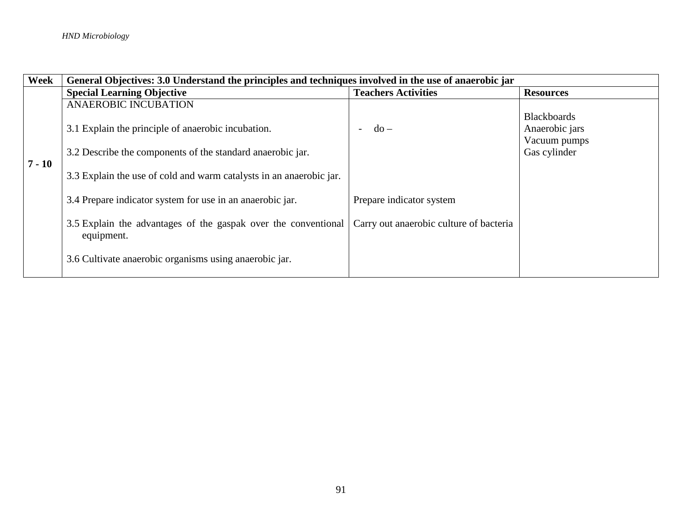| Week     | General Objectives: 3.0 Understand the principles and techniques involved in the use of anaerobic jar            |                                         |                                                                      |  |
|----------|------------------------------------------------------------------------------------------------------------------|-----------------------------------------|----------------------------------------------------------------------|--|
|          | <b>Special Learning Objective</b>                                                                                | <b>Teachers Activities</b>              | <b>Resources</b>                                                     |  |
|          | <b>ANAEROBIC INCUBATION</b>                                                                                      |                                         |                                                                      |  |
|          | 3.1 Explain the principle of anaerobic incubation.<br>3.2 Describe the components of the standard anaerobic jar. | $d\sigma$ –                             | <b>Blackboards</b><br>Anaerobic jars<br>Vacuum pumps<br>Gas cylinder |  |
| $7 - 10$ |                                                                                                                  |                                         |                                                                      |  |
|          | 3.3 Explain the use of cold and warm catalysts in an anaerobic jar.                                              |                                         |                                                                      |  |
|          | 3.4 Prepare indicator system for use in an anaerobic jar.                                                        | Prepare indicator system                |                                                                      |  |
|          | 3.5 Explain the advantages of the gaspak over the conventional<br>equipment.                                     | Carry out anaerobic culture of bacteria |                                                                      |  |
|          | 3.6 Cultivate anaerobic organisms using anaerobic jar.                                                           |                                         |                                                                      |  |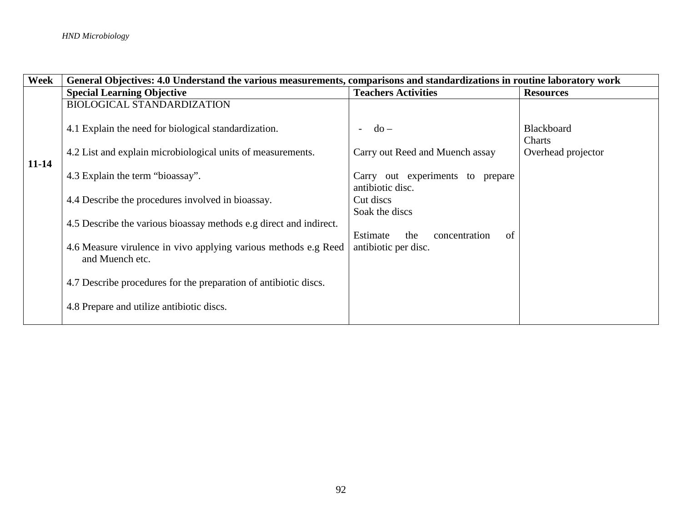| Week      | General Objectives: 4.0 Understand the various measurements, comparisons and standardizations in routine laboratory work |                                                      |                             |  |  |
|-----------|--------------------------------------------------------------------------------------------------------------------------|------------------------------------------------------|-----------------------------|--|--|
|           | <b>Special Learning Objective</b>                                                                                        | <b>Teachers Activities</b>                           | <b>Resources</b>            |  |  |
|           | <b>BIOLOGICAL STANDARDIZATION</b>                                                                                        |                                                      |                             |  |  |
|           | 4.1 Explain the need for biological standardization.                                                                     | $do -$<br>$\overline{\phantom{a}}$                   | <b>Blackboard</b><br>Charts |  |  |
| $11 - 14$ | 4.2 List and explain microbiological units of measurements.                                                              | Carry out Reed and Muench assay                      | Overhead projector          |  |  |
|           | 4.3 Explain the term "bioassay".                                                                                         | Carry out experiments to prepare<br>antibiotic disc. |                             |  |  |
|           | 4.4 Describe the procedures involved in bioassay.                                                                        | Cut discs<br>Soak the discs                          |                             |  |  |
|           | 4.5 Describe the various bioassay methods e.g direct and indirect.                                                       | Estimate<br>of<br>the<br>concentration               |                             |  |  |
|           | 4.6 Measure virulence in vivo applying various methods e.g Reed<br>and Muench etc.                                       | antibiotic per disc.                                 |                             |  |  |
|           | 4.7 Describe procedures for the preparation of antibiotic discs.                                                         |                                                      |                             |  |  |
|           | 4.8 Prepare and utilize antibiotic discs.                                                                                |                                                      |                             |  |  |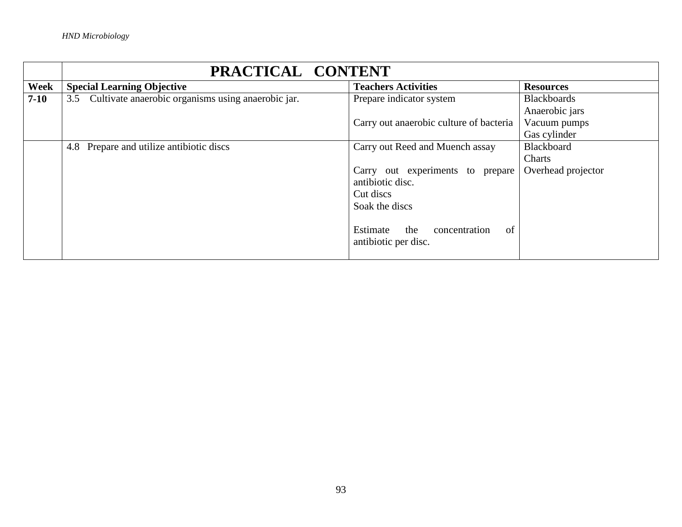|        | PRACTICAL CONTENT                                      |                                         |                    |  |
|--------|--------------------------------------------------------|-----------------------------------------|--------------------|--|
| Week   | <b>Special Learning Objective</b>                      | <b>Teachers Activities</b>              | <b>Resources</b>   |  |
| $7-10$ | 3.5 Cultivate anaerobic organisms using anaerobic jar. | Prepare indicator system                | <b>Blackboards</b> |  |
|        |                                                        |                                         | Anaerobic jars     |  |
|        |                                                        | Carry out anaerobic culture of bacteria | Vacuum pumps       |  |
|        |                                                        |                                         | Gas cylinder       |  |
|        | 4.8 Prepare and utilize antibiotic discs               | Carry out Reed and Muench assay         | Blackboard         |  |
|        |                                                        |                                         | Charts             |  |
|        |                                                        | Carry out experiments to prepare        | Overhead projector |  |
|        | antibiotic disc.                                       |                                         |                    |  |
|        |                                                        | Cut discs                               |                    |  |
|        |                                                        | Soak the discs                          |                    |  |
|        |                                                        |                                         |                    |  |
|        |                                                        | the<br>Estimate<br>concentration<br>of  |                    |  |
|        |                                                        | antibiotic per disc.                    |                    |  |
|        |                                                        |                                         |                    |  |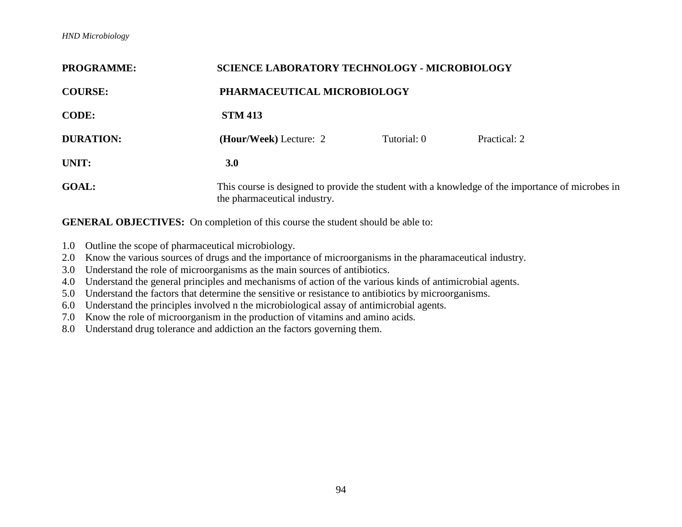| <b>PROGRAMME:</b>                                                                                                                                |                        | <b>SCIENCE LABORATORY TECHNOLOGY - MICROBIOLOGY</b> |              |  |  |
|--------------------------------------------------------------------------------------------------------------------------------------------------|------------------------|-----------------------------------------------------|--------------|--|--|
| <b>COURSE:</b>                                                                                                                                   |                        | PHARMACEUTICAL MICROBIOLOGY                         |              |  |  |
| <b>CODE:</b>                                                                                                                                     | <b>STM 413</b>         |                                                     |              |  |  |
| <b>DURATION:</b>                                                                                                                                 | (Hour/Week) Lecture: 2 | Tutorial: 0                                         | Practical: 2 |  |  |
| UNIT:                                                                                                                                            | 3.0                    |                                                     |              |  |  |
| <b>GOAL:</b><br>This course is designed to provide the student with a knowledge of the importance of microbes in<br>the pharmaceutical industry. |                        |                                                     |              |  |  |

- 1.0 Outline the scope of pharmaceutical microbiology.
- 2.0 Know the various sources of drugs and the importance of microorganisms in the pharamaceutical industry.
- 3.0 Understand the role of microorganisms as the main sources of antibiotics.
- 4.0 Understand the general principles and mechanisms of action of the various kinds of antimicrobial agents.
- 5.0 Understand the factors that determine the sensitive or resistance to antibiotics by microorganisms.
- 6.0 Understand the principles involved n the microbiological assay of antimicrobial agents.
- 7.0 Know the role of microorganism in the production of vitamins and amino acids.
- 8.0 Understand drug tolerance and addiction an the factors governing them.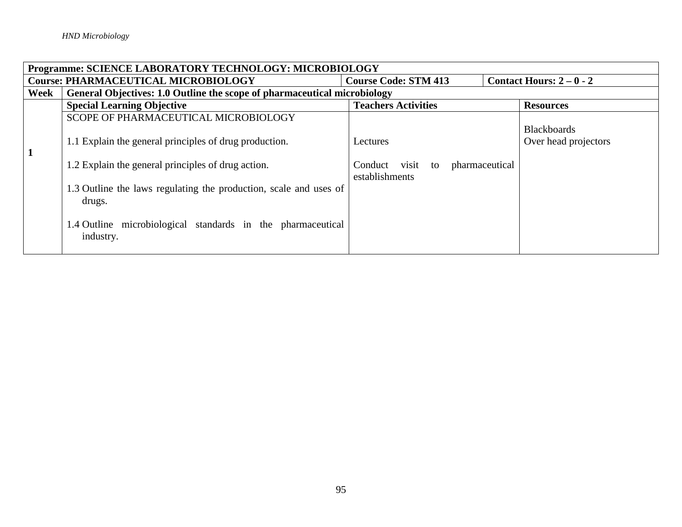|      | Programme: SCIENCE LABORATORY TECHNOLOGY: MICROBIOLOGY                                              |                                                         |                                            |  |  |
|------|-----------------------------------------------------------------------------------------------------|---------------------------------------------------------|--------------------------------------------|--|--|
|      | <b>Course: PHARMACEUTICAL MICROBIOLOGY</b><br><b>Course Code: STM 413</b><br>Contact Hours: $2-0-2$ |                                                         |                                            |  |  |
| Week | General Objectives: 1.0 Outline the scope of pharmaceutical microbiology                            |                                                         |                                            |  |  |
|      | <b>Special Learning Objective</b>                                                                   | <b>Teachers Activities</b>                              | <b>Resources</b>                           |  |  |
|      | SCOPE OF PHARMACEUTICAL MICROBIOLOGY                                                                |                                                         |                                            |  |  |
|      | 1.1 Explain the general principles of drug production.                                              | Lectures                                                | <b>Blackboards</b><br>Over head projectors |  |  |
|      | 1.2 Explain the general principles of drug action.                                                  | visit to<br>pharmaceutical<br>Conduct<br>establishments |                                            |  |  |
|      | 1.3 Outline the laws regulating the production, scale and uses of<br>drugs.                         |                                                         |                                            |  |  |
|      | 1.4 Outline microbiological standards in the pharmaceutical<br>industry.                            |                                                         |                                            |  |  |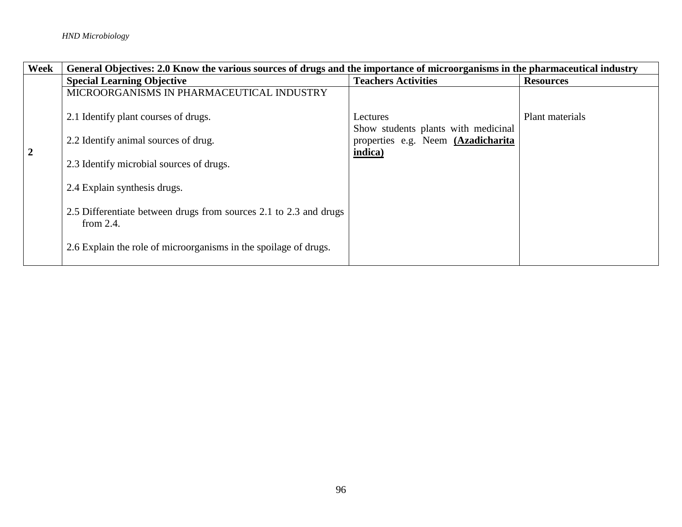| <b>Week</b>    | General Objectives: 2.0 Know the various sources of drugs and the importance of microorganisms in the pharmaceutical industry |                                                                                      |                  |  |
|----------------|-------------------------------------------------------------------------------------------------------------------------------|--------------------------------------------------------------------------------------|------------------|--|
|                | <b>Special Learning Objective</b>                                                                                             | <b>Teachers Activities</b>                                                           | <b>Resources</b> |  |
|                | MICROORGANISMS IN PHARMACEUTICAL INDUSTRY                                                                                     |                                                                                      |                  |  |
|                | 2.1 Identify plant courses of drugs.                                                                                          | Lectures                                                                             | Plant materials  |  |
| $\overline{2}$ | 2.2 Identify animal sources of drug.                                                                                          | Show students plants with medicinal<br>properties e.g. Neem (Azadicharita<br>indica) |                  |  |
|                | 2.3 Identify microbial sources of drugs.                                                                                      |                                                                                      |                  |  |
|                | 2.4 Explain synthesis drugs.                                                                                                  |                                                                                      |                  |  |
|                | 2.5 Differentiate between drugs from sources 2.1 to 2.3 and drugs<br>from $2.4$ .                                             |                                                                                      |                  |  |
|                | 2.6 Explain the role of microorganisms in the spoilage of drugs.                                                              |                                                                                      |                  |  |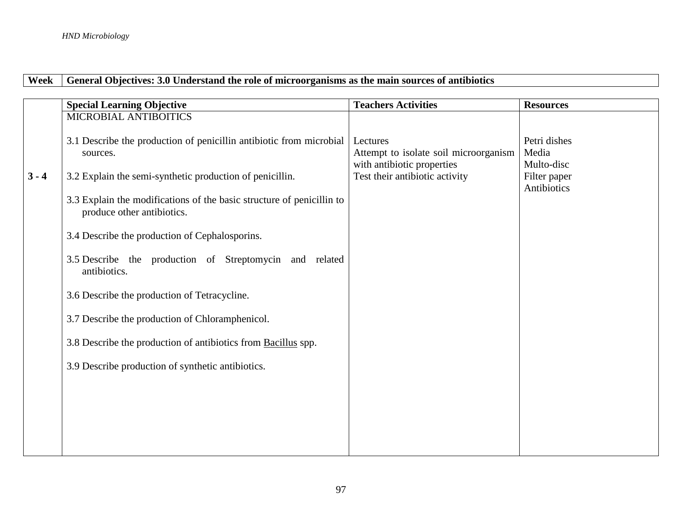## Week General Objectives: 3.0 Understand the role of microorganisms as the main sources of antibiotics

| <b>Special Learning Objective</b>                                                                   | <b>Teachers Activities</b>                        | <b>Resources</b>                    |
|-----------------------------------------------------------------------------------------------------|---------------------------------------------------|-------------------------------------|
| MICROBIAL ANTIBOITICS                                                                               |                                                   |                                     |
| 3.1 Describe the production of penicillin antibiotic from microbial<br>sources.                     | Lectures<br>Attempt to isolate soil microorganism | Petri dishes<br>Media<br>Multo-disc |
| 3.2 Explain the semi-synthetic production of penicillin.                                            | Test their antibiotic activity                    | Filter paper<br>Antibiotics         |
| 3.3 Explain the modifications of the basic structure of penicillin to<br>produce other antibiotics. |                                                   |                                     |
| 3.4 Describe the production of Cephalosporins.                                                      |                                                   |                                     |
| 3.5 Describe the production of Streptomycin and related<br>antibiotics.                             |                                                   |                                     |
| 3.6 Describe the production of Tetracycline.                                                        |                                                   |                                     |
| 3.7 Describe the production of Chloramphenicol.                                                     |                                                   |                                     |
| 3.8 Describe the production of antibiotics from Bacillus spp.                                       |                                                   |                                     |
| 3.9 Describe production of synthetic antibiotics.                                                   |                                                   |                                     |
|                                                                                                     |                                                   |                                     |
|                                                                                                     |                                                   |                                     |
|                                                                                                     |                                                   |                                     |
|                                                                                                     |                                                   | with antibiotic properties          |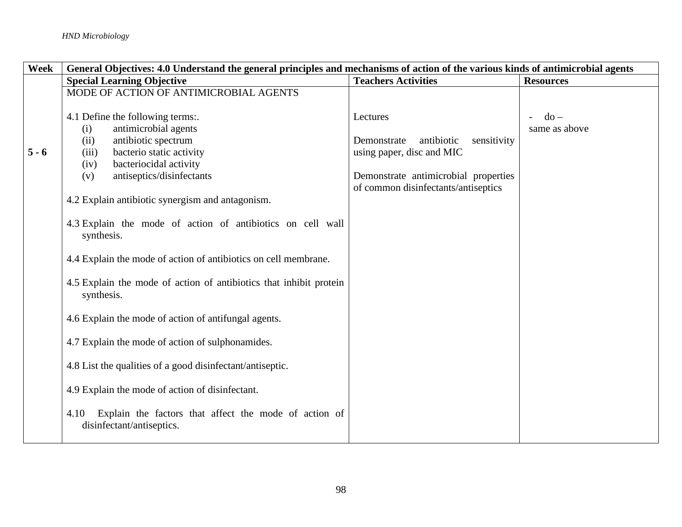| Week    | General Objectives: 4.0 Understand the general principles and mechanisms of action of the various kinds of antimicrobial agents |                                          |                  |
|---------|---------------------------------------------------------------------------------------------------------------------------------|------------------------------------------|------------------|
|         | <b>Special Learning Objective</b>                                                                                               | <b>Teachers Activities</b>               | <b>Resources</b> |
|         | MODE OF ACTION OF ANTIMICROBIAL AGENTS                                                                                          |                                          |                  |
|         |                                                                                                                                 |                                          |                  |
|         | 4.1 Define the following terms:.                                                                                                | Lectures                                 | $do -$           |
|         | antimicrobial agents<br>(i)                                                                                                     |                                          | same as above    |
|         | (ii)<br>antibiotic spectrum                                                                                                     | sensitivity<br>antibiotic<br>Demonstrate |                  |
| $5 - 6$ | bacterio static activity<br>(iii)                                                                                               | using paper, disc and MIC                |                  |
|         | bacteriocidal activity<br>(iv)                                                                                                  |                                          |                  |
|         | antiseptics/disinfectants<br>(v)                                                                                                | Demonstrate antimicrobial properties     |                  |
|         |                                                                                                                                 | of common disinfectants/antiseptics      |                  |
|         | 4.2 Explain antibiotic synergism and antagonism.                                                                                |                                          |                  |
|         |                                                                                                                                 |                                          |                  |
|         | 4.3 Explain the mode of action of antibiotics on cell wall<br>synthesis.                                                        |                                          |                  |
|         | 4.4 Explain the mode of action of antibiotics on cell membrane.                                                                 |                                          |                  |
|         | 4.5 Explain the mode of action of antibiotics that inhibit protein<br>synthesis.                                                |                                          |                  |
|         | 4.6 Explain the mode of action of antifungal agents.                                                                            |                                          |                  |
|         | 4.7 Explain the mode of action of sulphonamides.                                                                                |                                          |                  |
|         | 4.8 List the qualities of a good disinfectant/antiseptic.                                                                       |                                          |                  |
|         | 4.9 Explain the mode of action of disinfectant.                                                                                 |                                          |                  |
|         | Explain the factors that affect the mode of action of<br>4.10<br>disinfectant/antiseptics.                                      |                                          |                  |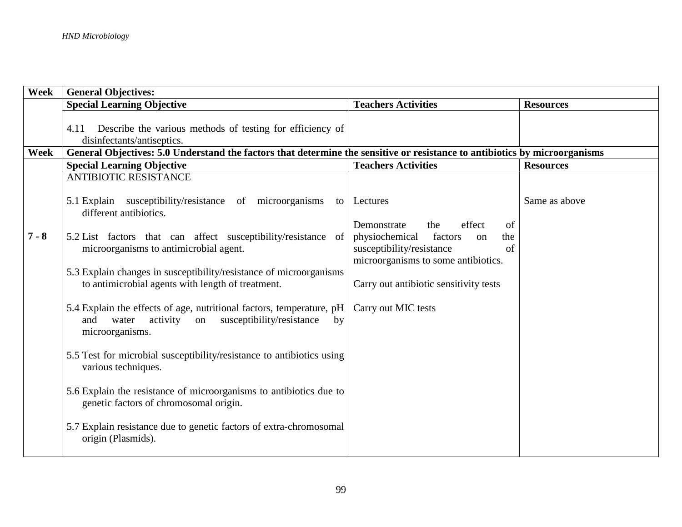| Week    | <b>General Objectives:</b>                                                                                                                                |                                                   |                  |
|---------|-----------------------------------------------------------------------------------------------------------------------------------------------------------|---------------------------------------------------|------------------|
|         | <b>Special Learning Objective</b>                                                                                                                         | <b>Teachers Activities</b>                        | <b>Resources</b> |
|         |                                                                                                                                                           |                                                   |                  |
|         | Describe the various methods of testing for efficiency of<br>4.11                                                                                         |                                                   |                  |
|         | disinfectants/antiseptics.                                                                                                                                |                                                   |                  |
| Week    | General Objectives: 5.0 Understand the factors that determine the sensitive or resistance to antibiotics by microorganisms                                |                                                   |                  |
|         | <b>Special Learning Objective</b>                                                                                                                         | <b>Teachers Activities</b>                        | <b>Resources</b> |
|         | <b>ANTIBIOTIC RESISTANCE</b>                                                                                                                              |                                                   |                  |
|         | 5.1 Explain susceptibility/resistance of microorganisms<br>to<br>different antibiotics.                                                                   | Lectures                                          | Same as above    |
|         |                                                                                                                                                           | effect<br>Demonstrate<br>the<br>of                |                  |
| $7 - 8$ | 5.2 List factors that can affect susceptibility/resistance<br>of                                                                                          | physiochemical<br>factors<br>the<br><sub>on</sub> |                  |
|         | microorganisms to antimicrobial agent.                                                                                                                    | susceptibility/resistance<br>of                   |                  |
|         |                                                                                                                                                           | microorganisms to some antibiotics.               |                  |
|         | 5.3 Explain changes in susceptibility/resistance of microorganisms<br>to antimicrobial agents with length of treatment.                                   | Carry out antibiotic sensitivity tests            |                  |
|         |                                                                                                                                                           |                                                   |                  |
|         | 5.4 Explain the effects of age, nutritional factors, temperature, pH<br>activity on<br>susceptibility/resistance<br>and<br>water<br>by<br>microorganisms. | Carry out MIC tests                               |                  |
|         | 5.5 Test for microbial susceptibility/resistance to antibiotics using<br>various techniques.                                                              |                                                   |                  |
|         | 5.6 Explain the resistance of microorganisms to antibiotics due to<br>genetic factors of chromosomal origin.                                              |                                                   |                  |
|         | 5.7 Explain resistance due to genetic factors of extra-chromosomal<br>origin (Plasmids).                                                                  |                                                   |                  |
|         |                                                                                                                                                           |                                                   |                  |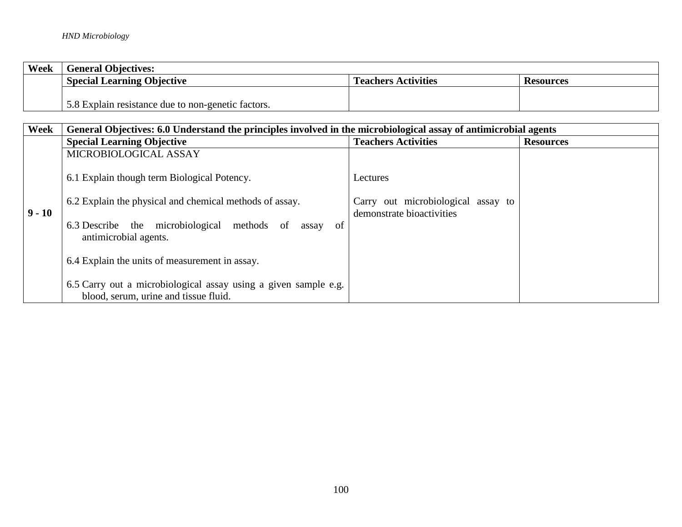| Week | <b>General Objectives:</b>                                                          |  |  |  |
|------|-------------------------------------------------------------------------------------|--|--|--|
|      | <b>Special Learning Objective</b><br><b>Teachers Activities</b><br><b>Resources</b> |  |  |  |
|      |                                                                                     |  |  |  |
|      | 5.8 Explain resistance due to non-genetic factors.                                  |  |  |  |

| Week     | General Objectives: 6.0 Understand the principles involved in the microbiological assay of antimicrobial agents                                                                                      |                                                                             |                  |  |
|----------|------------------------------------------------------------------------------------------------------------------------------------------------------------------------------------------------------|-----------------------------------------------------------------------------|------------------|--|
|          | <b>Special Learning Objective</b>                                                                                                                                                                    | <b>Teachers Activities</b>                                                  | <b>Resources</b> |  |
|          | MICROBIOLOGICAL ASSAY                                                                                                                                                                                |                                                                             |                  |  |
| $9 - 10$ | 6.1 Explain though term Biological Potency.<br>6.2 Explain the physical and chemical methods of assay.<br>6.3 Describe the microbiological<br>methods<br>-of<br>of<br>assav<br>antimicrobial agents. | Lectures<br>Carry out microbiological assay to<br>demonstrate bioactivities |                  |  |
|          | 6.4 Explain the units of measurement in assay.                                                                                                                                                       |                                                                             |                  |  |
|          | 6.5 Carry out a microbiological assay using a given sample e.g.<br>blood, serum, urine and tissue fluid.                                                                                             |                                                                             |                  |  |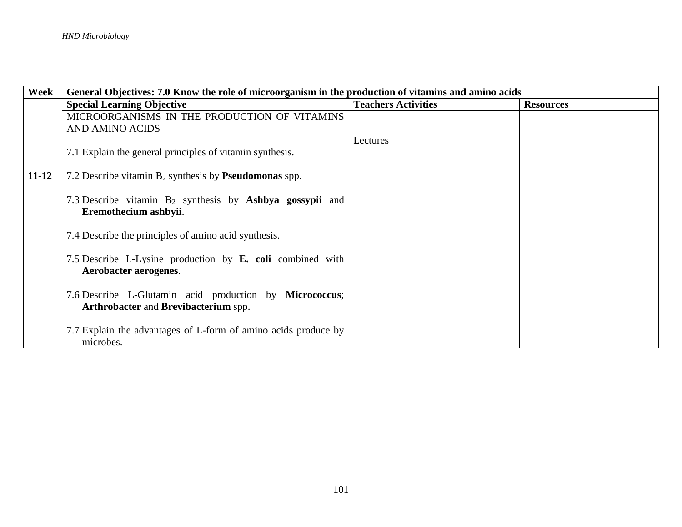| Week      | General Objectives: 7.0 Know the role of microorganism in the production of vitamins and amino acids   |                            |                  |
|-----------|--------------------------------------------------------------------------------------------------------|----------------------------|------------------|
|           | <b>Special Learning Objective</b>                                                                      | <b>Teachers Activities</b> | <b>Resources</b> |
|           | MICROORGANISMS IN THE PRODUCTION OF VITAMINS                                                           |                            |                  |
|           | <b>AND AMINO ACIDS</b>                                                                                 |                            |                  |
|           |                                                                                                        | Lectures                   |                  |
|           | 7.1 Explain the general principles of vitamin synthesis.                                               |                            |                  |
| $11 - 12$ | 7.2 Describe vitamin $B_2$ synthesis by <b>Pseudomonas</b> spp.                                        |                            |                  |
|           | 7.3 Describe vitamin $B_2$ synthesis by Ashbya gossypii and<br>Eremothecium ashbyii.                   |                            |                  |
|           | 7.4 Describe the principles of amino acid synthesis.                                                   |                            |                  |
|           | 7.5 Describe L-Lysine production by <b>E. coli</b> combined with<br>Aerobacter aerogenes.              |                            |                  |
|           | 7.6 Describe L-Glutamin acid production by Micrococcus;<br><b>Arthrobacter and Brevibacterium spp.</b> |                            |                  |
|           | 7.7 Explain the advantages of L-form of amino acids produce by<br>microbes.                            |                            |                  |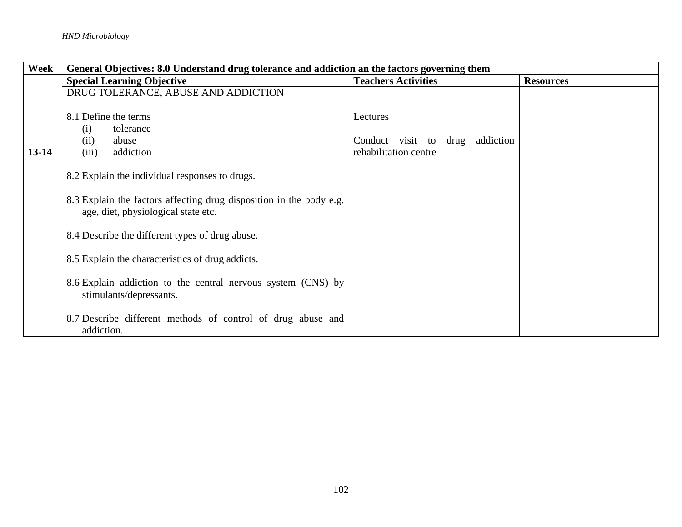| Week    | General Objectives: 8.0 Understand drug tolerance and addiction an the factors governing them              |                                    |                  |
|---------|------------------------------------------------------------------------------------------------------------|------------------------------------|------------------|
|         | <b>Special Learning Objective</b>                                                                          | <b>Teachers Activities</b>         | <b>Resources</b> |
|         | DRUG TOLERANCE, ABUSE AND ADDICTION                                                                        |                                    |                  |
|         | 8.1 Define the terms                                                                                       | Lectures                           |                  |
|         | tolerance<br>(i)                                                                                           |                                    |                  |
|         | abuse<br>(ii)                                                                                              | addiction<br>Conduct visit to drug |                  |
| $13-14$ | (iii)<br>addiction                                                                                         | rehabilitation centre              |                  |
|         | 8.2 Explain the individual responses to drugs.                                                             |                                    |                  |
|         | 8.3 Explain the factors affecting drug disposition in the body e.g.<br>age, diet, physiological state etc. |                                    |                  |
|         | 8.4 Describe the different types of drug abuse.                                                            |                                    |                  |
|         | 8.5 Explain the characteristics of drug addicts.                                                           |                                    |                  |
|         | 8.6 Explain addiction to the central nervous system (CNS) by<br>stimulants/depressants.                    |                                    |                  |
|         | 8.7 Describe different methods of control of drug abuse and<br>addiction.                                  |                                    |                  |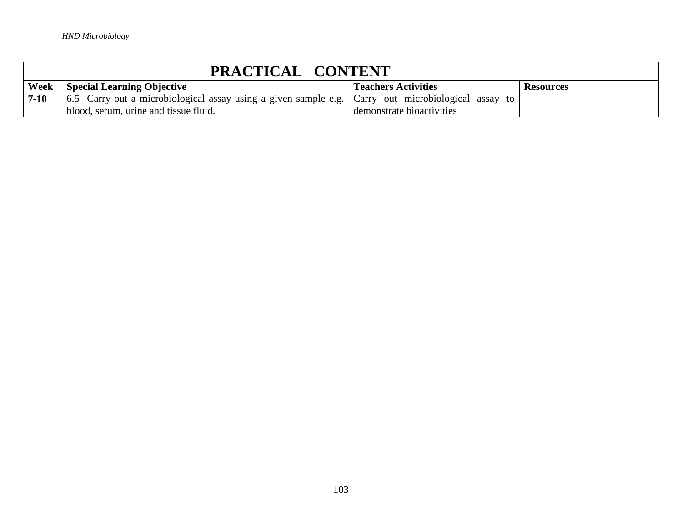|          | PRACTICAL CONTENT                                                                                  |                           |  |  |
|----------|----------------------------------------------------------------------------------------------------|---------------------------|--|--|
| Week     | <b>Special Learning Objective</b><br><b>Teachers Activities</b><br>Resources                       |                           |  |  |
| $7 - 10$ | 6.5 Carry out a microbiological assay using a given sample e.g. Carry out microbiological assay to |                           |  |  |
|          | blood, serum, urine and tissue fluid.                                                              | demonstrate bioactivities |  |  |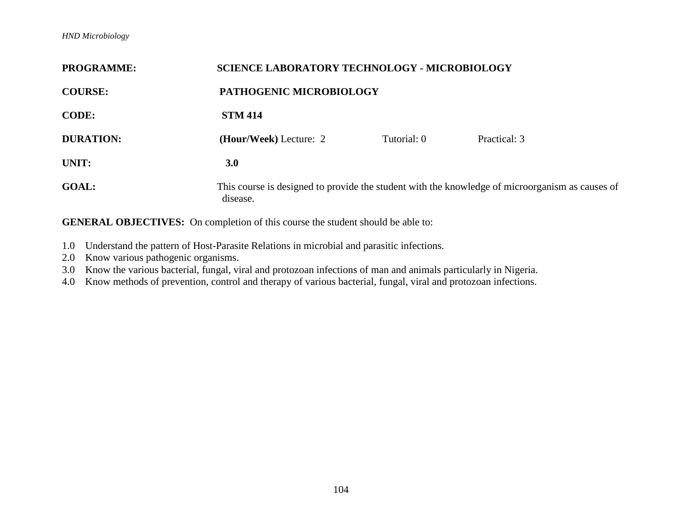| <b>PROGRAMME:</b> | <b>SCIENCE LABORATORY TECHNOLOGY - MICROBIOLOGY</b>                                                         |             |              |
|-------------------|-------------------------------------------------------------------------------------------------------------|-------------|--------------|
| <b>COURSE:</b>    | PATHOGENIC MICROBIOLOGY                                                                                     |             |              |
| <b>CODE:</b>      | <b>STM 414</b>                                                                                              |             |              |
| <b>DURATION:</b>  | (Hour/Week) Lecture: 2                                                                                      | Tutorial: 0 | Practical: 3 |
| UNIT:             | 3.0                                                                                                         |             |              |
| <b>GOAL:</b>      | This course is designed to provide the student with the knowledge of microorganism as causes of<br>disease. |             |              |

- 1.0 Understand the pattern of Host-Parasite Relations in microbial and parasitic infections.
- 2.0 Know various pathogenic organisms.
- 3.0 Know the various bacterial, fungal, viral and protozoan infections of man and animals particularly in Nigeria.
- 4.0 Know methods of prevention, control and therapy of various bacterial, fungal, viral and protozoan infections.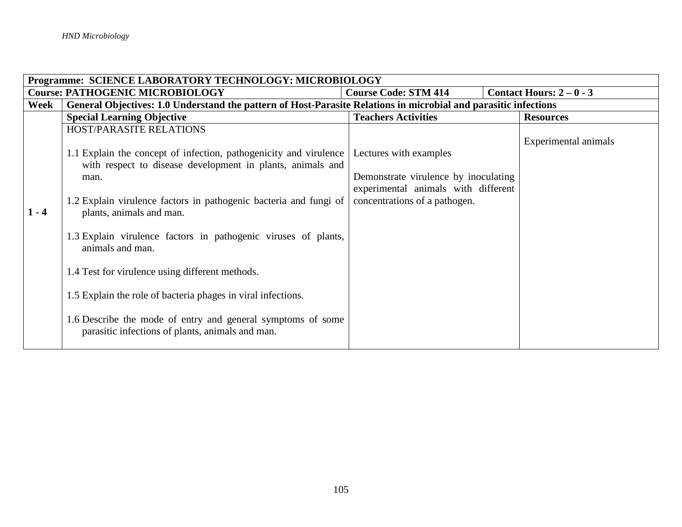|         | Programme: SCIENCE LABORATORY TECHNOLOGY: MICROBIOLOGY                                                          |                                      |                        |  |
|---------|-----------------------------------------------------------------------------------------------------------------|--------------------------------------|------------------------|--|
|         | <b>Course: PATHOGENIC MICROBIOLOGY</b>                                                                          | <b>Course Code: STM 414</b>          | Contact Hours: $2-0-3$ |  |
| Week    | General Objectives: 1.0 Understand the pattern of Host-Parasite Relations in microbial and parasitic infections |                                      |                        |  |
|         | <b>Special Learning Objective</b>                                                                               | <b>Teachers Activities</b>           | <b>Resources</b>       |  |
|         | HOST/PARASITE RELATIONS                                                                                         |                                      |                        |  |
|         |                                                                                                                 |                                      | Experimental animals   |  |
|         | 1.1 Explain the concept of infection, pathogenicity and virulence                                               | Lectures with examples               |                        |  |
|         | with respect to disease development in plants, animals and                                                      |                                      |                        |  |
|         | man.                                                                                                            | Demonstrate virulence by inoculating |                        |  |
|         |                                                                                                                 | experimental animals with different  |                        |  |
|         | 1.2 Explain virulence factors in pathogenic bacteria and fungi of                                               | concentrations of a pathogen.        |                        |  |
| $1 - 4$ | plants, animals and man.                                                                                        |                                      |                        |  |
|         |                                                                                                                 |                                      |                        |  |
|         | 1.3 Explain virulence factors in pathogenic viruses of plants,                                                  |                                      |                        |  |
|         | animals and man.                                                                                                |                                      |                        |  |
|         | 1.4 Test for virulence using different methods.                                                                 |                                      |                        |  |
|         |                                                                                                                 |                                      |                        |  |
|         | 1.5 Explain the role of bacteria phages in viral infections.                                                    |                                      |                        |  |
|         |                                                                                                                 |                                      |                        |  |
|         | 1.6 Describe the mode of entry and general symptoms of some                                                     |                                      |                        |  |
|         | parasitic infections of plants, animals and man.                                                                |                                      |                        |  |
|         |                                                                                                                 |                                      |                        |  |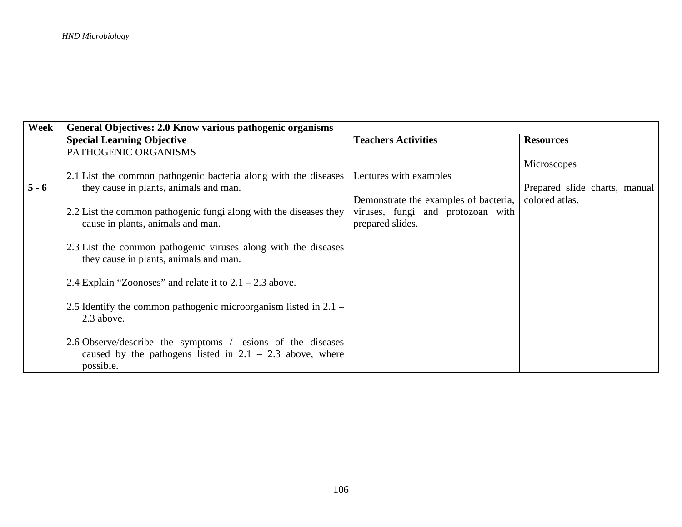| Week    | General Objectives: 2.0 Know various pathogenic organisms          |                                       |                               |
|---------|--------------------------------------------------------------------|---------------------------------------|-------------------------------|
|         | <b>Special Learning Objective</b>                                  | <b>Teachers Activities</b>            | <b>Resources</b>              |
|         | PATHOGENIC ORGANISMS                                               |                                       |                               |
|         |                                                                    |                                       | Microscopes                   |
|         | 2.1 List the common pathogenic bacteria along with the diseases    | Lectures with examples                |                               |
| $5 - 6$ | they cause in plants, animals and man.                             |                                       | Prepared slide charts, manual |
|         |                                                                    | Demonstrate the examples of bacteria, | colored atlas.                |
|         | 2.2 List the common pathogenic fungi along with the diseases they  | viruses, fungi and protozoan with     |                               |
|         | cause in plants, animals and man.                                  | prepared slides.                      |                               |
|         |                                                                    |                                       |                               |
|         | 2.3 List the common pathogenic viruses along with the diseases     |                                       |                               |
|         | they cause in plants, animals and man.                             |                                       |                               |
|         | 2.4 Explain "Zoonoses" and relate it to $2.1 - 2.3$ above.         |                                       |                               |
|         |                                                                    |                                       |                               |
|         | 2.5 Identify the common pathogenic microorganism listed in $2.1 -$ |                                       |                               |
|         | 2.3 above.                                                         |                                       |                               |
|         |                                                                    |                                       |                               |
|         | 2.6 Observe/describe the symptoms / lesions of the diseases        |                                       |                               |
|         | caused by the pathogens listed in $2.1 - 2.3$ above, where         |                                       |                               |
|         | possible.                                                          |                                       |                               |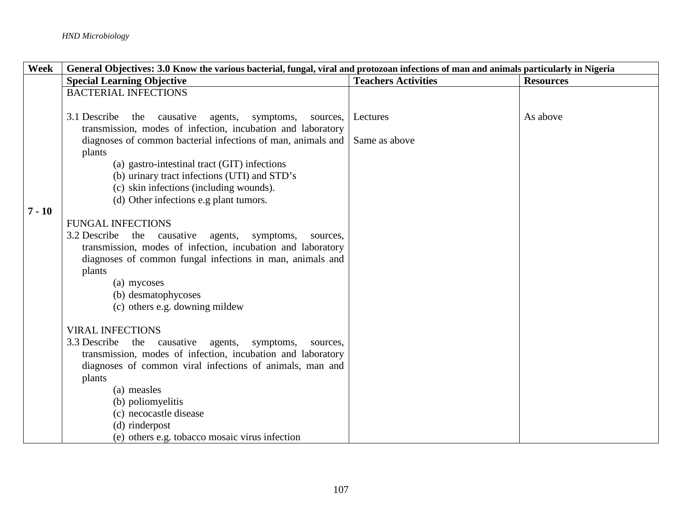| Week     | General Objectives: 3.0 Know the various bacterial, fungal, viral and protozoan infections of man and animals particularly in Nigeria |                            |                  |  |
|----------|---------------------------------------------------------------------------------------------------------------------------------------|----------------------------|------------------|--|
|          | <b>Special Learning Objective</b>                                                                                                     | <b>Teachers Activities</b> | <b>Resources</b> |  |
|          | <b>BACTERIAL INFECTIONS</b>                                                                                                           |                            |                  |  |
|          | 3.1 Describe<br>the causative<br>agents,<br>symptoms,<br>sources,<br>transmission, modes of infection, incubation and laboratory      | Lectures                   | As above         |  |
|          | diagnoses of common bacterial infections of man, animals and<br>plants                                                                | Same as above              |                  |  |
|          | (a) gastro-intestinal tract (GIT) infections<br>(b) urinary tract infections (UTI) and STD's                                          |                            |                  |  |
|          | (c) skin infections (including wounds).                                                                                               |                            |                  |  |
| $7 - 10$ | (d) Other infections e.g plant tumors.                                                                                                |                            |                  |  |
|          | <b>FUNGAL INFECTIONS</b>                                                                                                              |                            |                  |  |
|          | the causative<br>3.2 Describe<br>agents,<br>symptoms,<br>sources,                                                                     |                            |                  |  |
|          | transmission, modes of infection, incubation and laboratory                                                                           |                            |                  |  |
|          | diagnoses of common fungal infections in man, animals and<br>plants                                                                   |                            |                  |  |
|          | (a) mycoses                                                                                                                           |                            |                  |  |
|          | (b) desmatophycoses                                                                                                                   |                            |                  |  |
|          | (c) others e.g. downing mildew                                                                                                        |                            |                  |  |
|          | <b>VIRAL INFECTIONS</b>                                                                                                               |                            |                  |  |
|          | 3.3 Describe the causative<br>agents,<br>symptoms,<br>sources,                                                                        |                            |                  |  |
|          | transmission, modes of infection, incubation and laboratory                                                                           |                            |                  |  |
|          | diagnoses of common viral infections of animals, man and                                                                              |                            |                  |  |
|          | plants<br>(a) measles                                                                                                                 |                            |                  |  |
|          | (b) poliomyelitis                                                                                                                     |                            |                  |  |
|          | (c) necocastle disease                                                                                                                |                            |                  |  |
|          | (d) rinderpost                                                                                                                        |                            |                  |  |
|          | (e) others e.g. tobacco mosaic virus infection                                                                                        |                            |                  |  |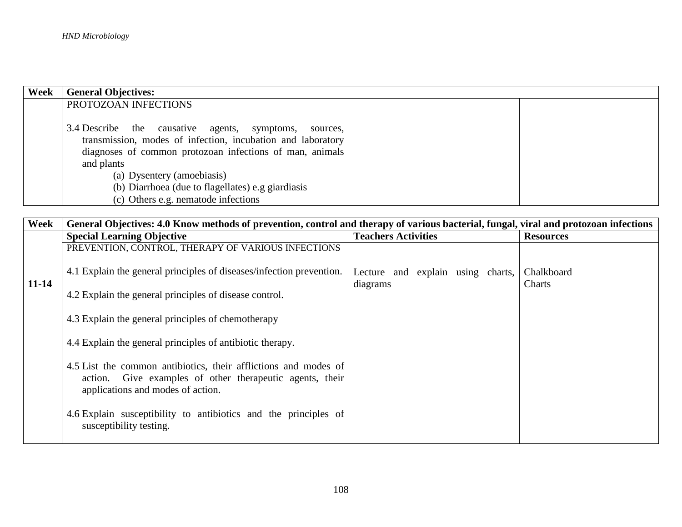| Week | <b>General Objectives:</b>                                  |  |
|------|-------------------------------------------------------------|--|
|      | PROTOZOAN INFECTIONS                                        |  |
|      |                                                             |  |
|      | 3.4 Describe the causative agents, symptoms,<br>sources,    |  |
|      | transmission, modes of infection, incubation and laboratory |  |
|      | diagnoses of common protozoan infections of man, animals    |  |
|      | and plants                                                  |  |
|      | (a) Dysentery (amoebiasis)                                  |  |
|      | (b) Diarrhoea (due to flagellates) e.g giardiasis           |  |
|      | (c) Others e.g. nematode infections                         |  |

| Week      | General Objectives: 4.0 Know methods of prevention, control and therapy of various bacterial, fungal, viral and protozoan infections                             |                                               |                      |  |  |
|-----------|------------------------------------------------------------------------------------------------------------------------------------------------------------------|-----------------------------------------------|----------------------|--|--|
|           | <b>Special Learning Objective</b>                                                                                                                                | <b>Teachers Activities</b>                    | <b>Resources</b>     |  |  |
|           | PREVENTION, CONTROL, THERAPY OF VARIOUS INFECTIONS                                                                                                               |                                               |                      |  |  |
| $11 - 14$ | 4.1 Explain the general principles of diseases/infection prevention.                                                                                             | Lecture and explain using charts,<br>diagrams | Chalkboard<br>Charts |  |  |
|           | 4.2 Explain the general principles of disease control.                                                                                                           |                                               |                      |  |  |
|           | 4.3 Explain the general principles of chemotherapy                                                                                                               |                                               |                      |  |  |
|           | 4.4 Explain the general principles of antibiotic therapy.                                                                                                        |                                               |                      |  |  |
|           | 4.5 List the common antibiotics, their afflictions and modes of<br>action. Give examples of other therapeutic agents, their<br>applications and modes of action. |                                               |                      |  |  |
|           | 4.6 Explain susceptibility to antibiotics and the principles of<br>susceptibility testing.                                                                       |                                               |                      |  |  |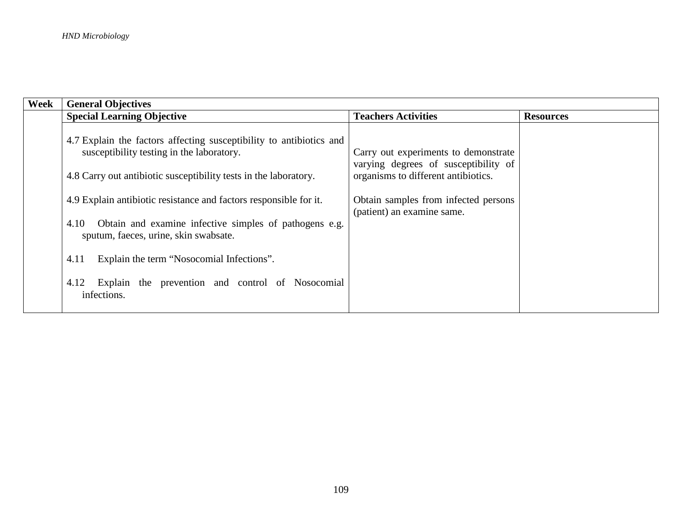| Week | <b>General Objectives</b>                                                                                                                                                            |                                                                                                                     |                  |  |
|------|--------------------------------------------------------------------------------------------------------------------------------------------------------------------------------------|---------------------------------------------------------------------------------------------------------------------|------------------|--|
|      | <b>Special Learning Objective</b>                                                                                                                                                    | <b>Teachers Activities</b>                                                                                          | <b>Resources</b> |  |
|      | 4.7 Explain the factors affecting susceptibility to antibiotics and<br>susceptibility testing in the laboratory.<br>4.8 Carry out antibiotic susceptibility tests in the laboratory. | Carry out experiments to demonstrate<br>varying degrees of susceptibility of<br>organisms to different antibiotics. |                  |  |
|      | 4.9 Explain antibiotic resistance and factors responsible for it.                                                                                                                    | Obtain samples from infected persons<br>(patient) an examine same.                                                  |                  |  |
|      | Obtain and examine infective simples of pathogens e.g.<br>4.10<br>sputum, faeces, urine, skin swabsate.                                                                              |                                                                                                                     |                  |  |
|      | Explain the term "Nosocomial Infections".<br>4.11                                                                                                                                    |                                                                                                                     |                  |  |
|      | Explain the prevention and control of Nosocomial<br>4.12<br>infections.                                                                                                              |                                                                                                                     |                  |  |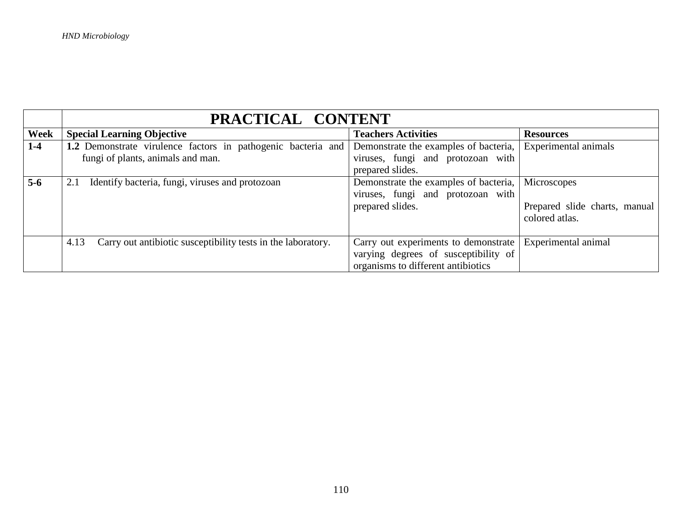|                  | PRACTICAL CONTENT                                                    |                                       |                               |  |
|------------------|----------------------------------------------------------------------|---------------------------------------|-------------------------------|--|
| Week             | <b>Special Learning Objective</b>                                    | <b>Teachers Activities</b>            | <b>Resources</b>              |  |
| $1-4$            | 1.2 Demonstrate virulence factors in pathogenic bacteria and         | Demonstrate the examples of bacteria, | Experimental animals          |  |
|                  | fungi of plants, animals and man.                                    | viruses, fungi and protozoan with     |                               |  |
|                  |                                                                      | prepared slides.                      |                               |  |
| $\overline{5-6}$ | Identify bacteria, fungi, viruses and protozoan<br>2.1               | Demonstrate the examples of bacteria, | Microscopes                   |  |
|                  |                                                                      | viruses, fungi and protozoan with     |                               |  |
|                  | prepared slides.                                                     |                                       | Prepared slide charts, manual |  |
|                  |                                                                      |                                       | colored atlas.                |  |
|                  |                                                                      |                                       |                               |  |
|                  | Carry out antibiotic susceptibility tests in the laboratory.<br>4.13 | Carry out experiments to demonstrate  | Experimental animal           |  |
|                  |                                                                      | varying degrees of susceptibility of  |                               |  |
|                  |                                                                      | organisms to different antibiotics    |                               |  |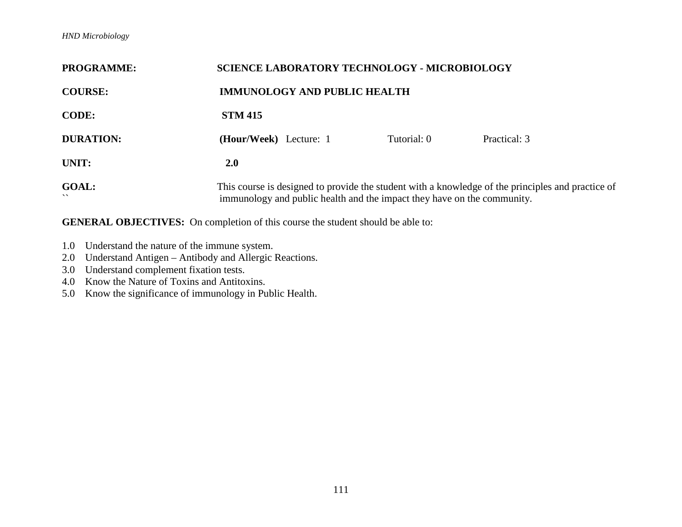## *HND Microbiology*

| <b>PROGRAMME:</b>                        | <b>SCIENCE LABORATORY TECHNOLOGY - MICROBIOLOGY</b>                                                                                                                          |             |              |  |
|------------------------------------------|------------------------------------------------------------------------------------------------------------------------------------------------------------------------------|-------------|--------------|--|
| <b>COURSE:</b>                           | <b>IMMUNOLOGY AND PUBLIC HEALTH</b>                                                                                                                                          |             |              |  |
| <b>CODE:</b>                             | <b>STM 415</b>                                                                                                                                                               |             |              |  |
| <b>DURATION:</b>                         | ( <b>Hour/Week</b> ) Lecture: 1                                                                                                                                              | Tutorial: 0 | Practical: 3 |  |
| UNIT:                                    | <b>2.0</b>                                                                                                                                                                   |             |              |  |
| <b>GOAL:</b><br>$\overline{\phantom{0}}$ | This course is designed to provide the student with a knowledge of the principles and practice of<br>immunology and public health and the impact they have on the community. |             |              |  |

- 1.0 Understand the nature of the immune system.
- 2.0 Understand Antigen Antibody and Allergic Reactions.
- 3.0 Understand complement fixation tests.
- 4.0 Know the Nature of Toxins and Antitoxins.
- 5.0 Know the significance of immunology in Public Health.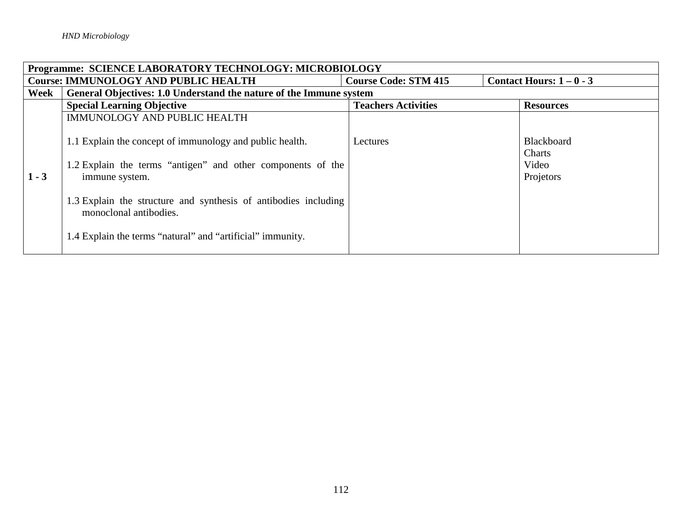|         | <b>Programme: SCIENCE LABORATORY TECHNOLOGY: MICROBIOLOGY</b>                                                                                                                                                                                                                                        |                            |                                                   |  |  |
|---------|------------------------------------------------------------------------------------------------------------------------------------------------------------------------------------------------------------------------------------------------------------------------------------------------------|----------------------------|---------------------------------------------------|--|--|
|         | <b>Course: IMMUNOLOGY AND PUBLIC HEALTH</b><br>Contact Hours: $1 - 0 - 3$<br><b>Course Code: STM 415</b>                                                                                                                                                                                             |                            |                                                   |  |  |
| Week    | General Objectives: 1.0 Understand the nature of the Immune system                                                                                                                                                                                                                                   |                            |                                                   |  |  |
|         | <b>Special Learning Objective</b>                                                                                                                                                                                                                                                                    | <b>Teachers Activities</b> | <b>Resources</b>                                  |  |  |
|         | <b>IMMUNOLOGY AND PUBLIC HEALTH</b>                                                                                                                                                                                                                                                                  |                            |                                                   |  |  |
| $1 - 3$ | 1.1 Explain the concept of immunology and public health.<br>1.2 Explain the terms "antigen" and other components of the<br>immune system.<br>1.3 Explain the structure and synthesis of antibodies including<br>monoclonal antibodies.<br>1.4 Explain the terms "natural" and "artificial" immunity. | Lectures                   | <b>Blackboard</b><br>Charts<br>Video<br>Projetors |  |  |
|         |                                                                                                                                                                                                                                                                                                      |                            |                                                   |  |  |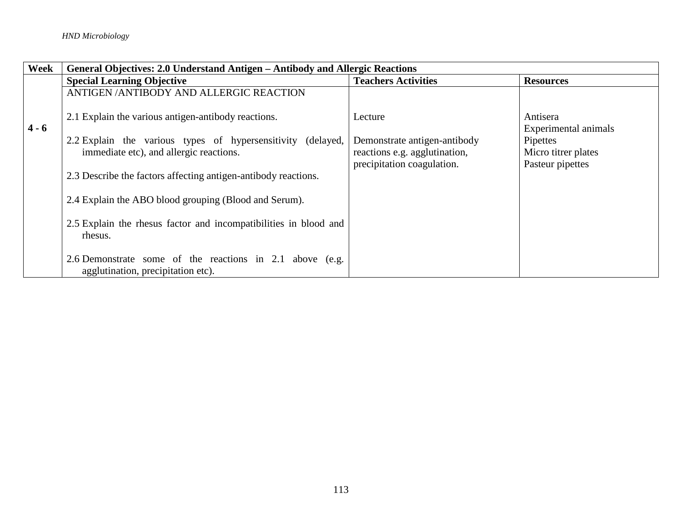| Week    | General Objectives: 2.0 Understand Antigen – Antibody and Allergic Reactions                           |                                                                                             |                                                     |
|---------|--------------------------------------------------------------------------------------------------------|---------------------------------------------------------------------------------------------|-----------------------------------------------------|
|         | <b>Special Learning Objective</b>                                                                      | <b>Teachers Activities</b>                                                                  | <b>Resources</b>                                    |
|         | ANTIGEN / ANTIBODY AND ALLERGIC REACTION                                                               |                                                                                             |                                                     |
| $4 - 6$ | 2.1 Explain the various antigen-antibody reactions.                                                    | Lecture                                                                                     | Antisera<br>Experimental animals                    |
|         | 2.2 Explain the various types of hypersensitivity (delayed,<br>immediate etc), and allergic reactions. | Demonstrate antigen-antibody<br>reactions e.g. agglutination,<br>precipitation coagulation. | Pipettes<br>Micro titrer plates<br>Pasteur pipettes |
|         | 2.3 Describe the factors affecting antigen-antibody reactions.                                         |                                                                                             |                                                     |
|         | 2.4 Explain the ABO blood grouping (Blood and Serum).                                                  |                                                                                             |                                                     |
|         | 2.5 Explain the rhesus factor and incompatibilities in blood and<br>rhesus.                            |                                                                                             |                                                     |
|         | 2.6 Demonstrate some of the reactions in 2.1 above (e.g.<br>agglutination, precipitation etc).         |                                                                                             |                                                     |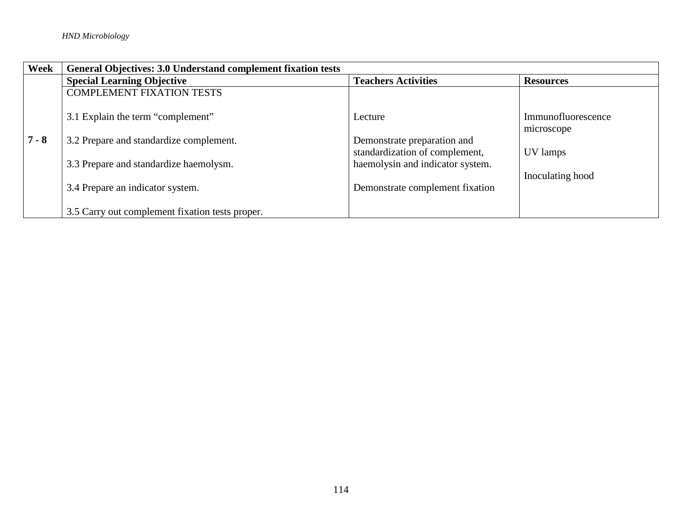| Week    | <b>General Objectives: 3.0 Understand complement fixation tests</b> |                                                               |                                  |
|---------|---------------------------------------------------------------------|---------------------------------------------------------------|----------------------------------|
|         | <b>Special Learning Objective</b>                                   | <b>Teachers Activities</b>                                    | <b>Resources</b>                 |
|         | <b>COMPLEMENT FIXATION TESTS</b>                                    |                                                               |                                  |
|         | 3.1 Explain the term "complement"                                   | Lecture                                                       | Immunofluorescence<br>microscope |
| $7 - 8$ | 3.2 Prepare and standardize complement.                             | Demonstrate preparation and<br>standardization of complement, |                                  |
|         | 3.3 Prepare and standardize haemolysm.                              | haemolysin and indicator system.                              | UV lamps                         |
|         | 3.4 Prepare an indicator system.                                    | Demonstrate complement fixation                               | Inoculating hood                 |
|         | 3.5 Carry out complement fixation tests proper.                     |                                                               |                                  |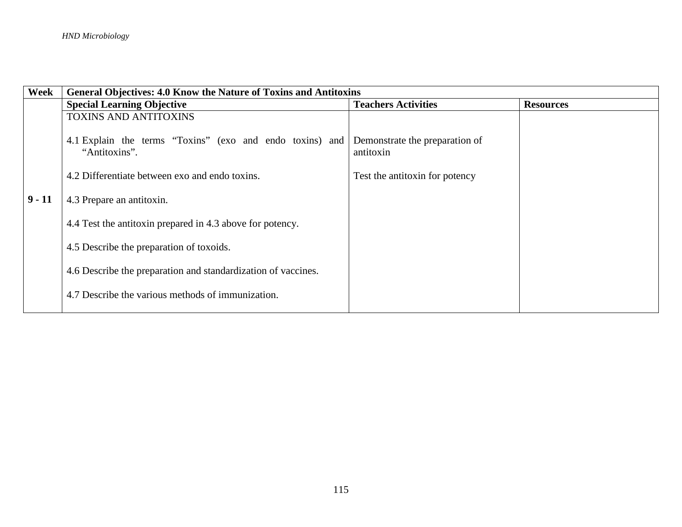| Week     | General Objectives: 4.0 Know the Nature of Toxins and Antitoxins                    |                                             |  |  |
|----------|-------------------------------------------------------------------------------------|---------------------------------------------|--|--|
|          | <b>Special Learning Objective</b><br><b>Teachers Activities</b><br><b>Resources</b> |                                             |  |  |
|          | <b>TOXINS AND ANTITOXINS</b>                                                        |                                             |  |  |
|          | 4.1 Explain the terms "Toxins" (exo and endo toxins) and<br>"Antitoxins".           | Demonstrate the preparation of<br>antitoxin |  |  |
|          | 4.2 Differentiate between exo and endo toxins.                                      | Test the antitoxin for potency              |  |  |
| $9 - 11$ | 4.3 Prepare an antitoxin.                                                           |                                             |  |  |
|          | 4.4 Test the antitoxin prepared in 4.3 above for potency.                           |                                             |  |  |
|          | 4.5 Describe the preparation of toxoids.                                            |                                             |  |  |
|          | 4.6 Describe the preparation and standardization of vaccines.                       |                                             |  |  |
|          | 4.7 Describe the various methods of immunization.                                   |                                             |  |  |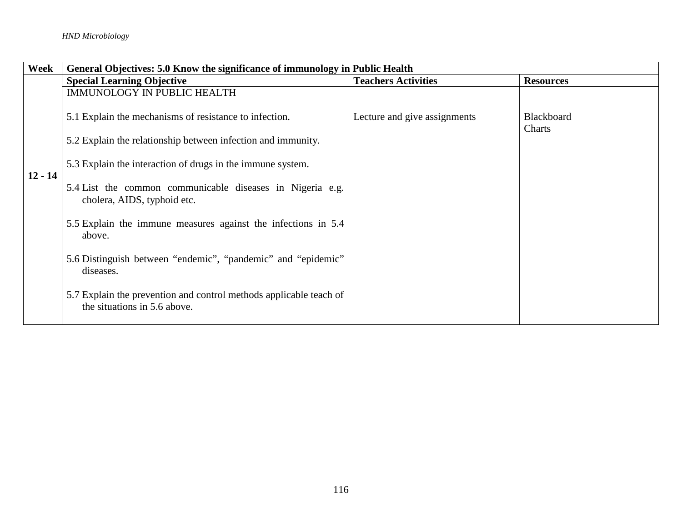| Week      | General Objectives: 5.0 Know the significance of immunology in Public Health                       |                              |                             |
|-----------|----------------------------------------------------------------------------------------------------|------------------------------|-----------------------------|
|           | <b>Special Learning Objective</b>                                                                  | <b>Teachers Activities</b>   | <b>Resources</b>            |
|           | <b>IMMUNOLOGY IN PUBLIC HEALTH</b>                                                                 |                              |                             |
|           | 5.1 Explain the mechanisms of resistance to infection.                                             | Lecture and give assignments | <b>Blackboard</b><br>Charts |
|           | 5.2 Explain the relationship between infection and immunity.                                       |                              |                             |
| $12 - 14$ | 5.3 Explain the interaction of drugs in the immune system.                                         |                              |                             |
|           | 5.4 List the common communicable diseases in Nigeria e.g.<br>cholera, AIDS, typhoid etc.           |                              |                             |
|           | 5.5 Explain the immune measures against the infections in 5.4<br>above.                            |                              |                             |
|           | 5.6 Distinguish between "endemic", "pandemic" and "epidemic"<br>diseases.                          |                              |                             |
|           | 5.7 Explain the prevention and control methods applicable teach of<br>the situations in 5.6 above. |                              |                             |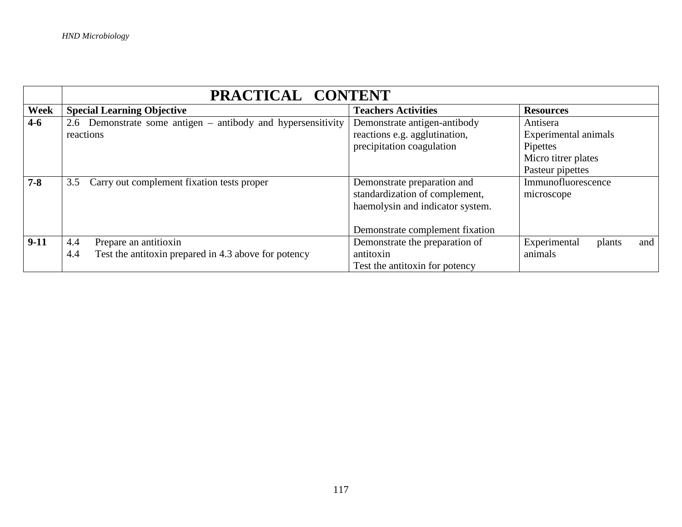|             | PRACTICAL CONTENT                                            |                                  |                               |  |
|-------------|--------------------------------------------------------------|----------------------------------|-------------------------------|--|
| <b>Week</b> | <b>Special Learning Objective</b>                            | <b>Teachers Activities</b>       | <b>Resources</b>              |  |
| $4 - 6$     | 2.6 Demonstrate some antigen – antibody and hypersensitivity | Demonstrate antigen-antibody     | Antisera                      |  |
|             | reactions                                                    | reactions e.g. agglutination,    | Experimental animals          |  |
|             |                                                              | precipitation coagulation        | Pipettes                      |  |
|             |                                                              |                                  | Micro titrer plates           |  |
|             |                                                              |                                  | Pasteur pipettes              |  |
| $7 - 8$     | 3.5 Carry out complement fixation tests proper               | Demonstrate preparation and      | Immunofluorescence            |  |
|             |                                                              | standardization of complement,   | microscope                    |  |
|             |                                                              | haemolysin and indicator system. |                               |  |
|             |                                                              |                                  |                               |  |
|             |                                                              | Demonstrate complement fixation  |                               |  |
| $9-11$      | Prepare an antitioxin<br>4.4                                 | Demonstrate the preparation of   | Experimental<br>and<br>plants |  |
|             | Test the antitoxin prepared in 4.3 above for potency<br>4.4  | antitoxin                        | animals                       |  |
|             |                                                              | Test the antitoxin for potency   |                               |  |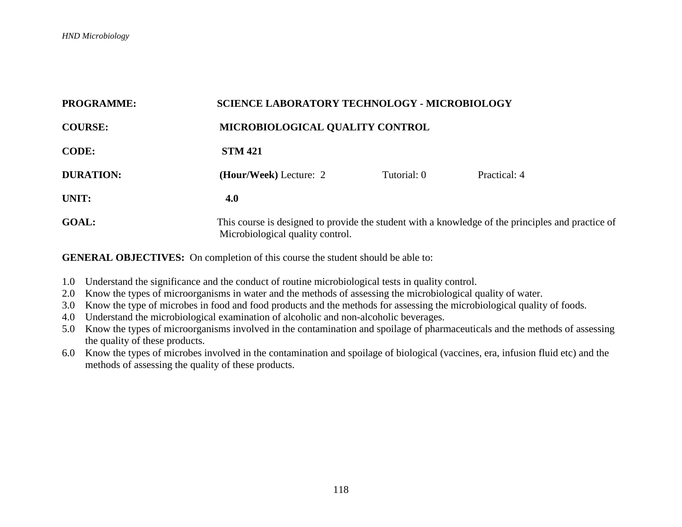| <b>PROGRAMME:</b> |                        | <b>SCIENCE LABORATORY TECHNOLOGY - MICROBIOLOGY</b>                                                                                   |              |  |
|-------------------|------------------------|---------------------------------------------------------------------------------------------------------------------------------------|--------------|--|
| <b>COURSE:</b>    |                        | MICROBIOLOGICAL QUALITY CONTROL                                                                                                       |              |  |
| <b>CODE:</b>      | <b>STM 421</b>         |                                                                                                                                       |              |  |
| <b>DURATION:</b>  | (Hour/Week) Lecture: 2 | Tutorial: 0                                                                                                                           | Practical: 4 |  |
| UNIT:             | 4.0                    |                                                                                                                                       |              |  |
| <b>GOAL:</b>      |                        | This course is designed to provide the student with a knowledge of the principles and practice of<br>Microbiological quality control. |              |  |

- 1.0 Understand the significance and the conduct of routine microbiological tests in quality control.
- 2.0 Know the types of microorganisms in water and the methods of assessing the microbiological quality of water.
- 3.0 Know the type of microbes in food and food products and the methods for assessing the microbiological quality of foods.
- 4.0 Understand the microbiological examination of alcoholic and non-alcoholic beverages.
- 5.0 Know the types of microorganisms involved in the contamination and spoilage of pharmaceuticals and the methods of assessing the quality of these products.
- 6.0 Know the types of microbes involved in the contamination and spoilage of biological (vaccines, era, infusion fluid etc) and the methods of assessing the quality of these products.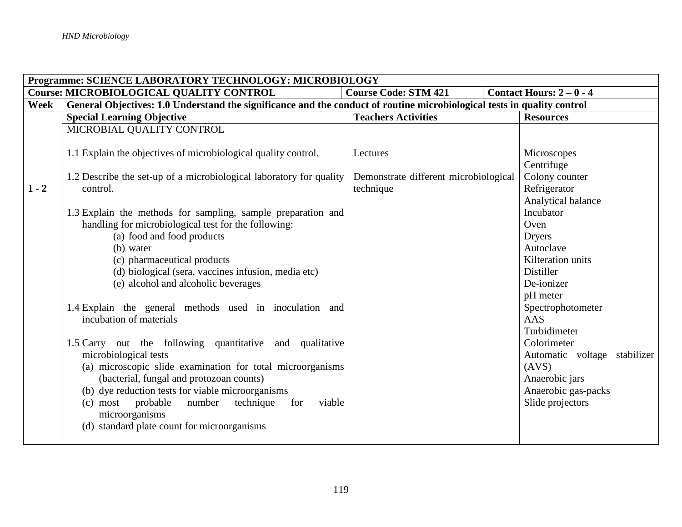|         | Programme: SCIENCE LABORATORY TECHNOLOGY: MICROBIOLOGY                                                                  |                                       |                              |  |  |
|---------|-------------------------------------------------------------------------------------------------------------------------|---------------------------------------|------------------------------|--|--|
|         | <b>Course Code: STM 421</b><br>Contact Hours: $2-0-4$<br><b>Course: MICROBIOLOGICAL QUALITY CONTROL</b>                 |                                       |                              |  |  |
| Week    | General Objectives: 1.0 Understand the significance and the conduct of routine microbiological tests in quality control |                                       |                              |  |  |
|         | <b>Special Learning Objective</b>                                                                                       | <b>Teachers Activities</b>            | <b>Resources</b>             |  |  |
|         | MICROBIAL QUALITY CONTROL                                                                                               |                                       |                              |  |  |
|         |                                                                                                                         |                                       |                              |  |  |
|         | 1.1 Explain the objectives of microbiological quality control.                                                          | Lectures                              | Microscopes                  |  |  |
|         |                                                                                                                         |                                       | Centrifuge                   |  |  |
|         | 1.2 Describe the set-up of a microbiological laboratory for quality                                                     | Demonstrate different microbiological | Colony counter               |  |  |
| $1 - 2$ | control.                                                                                                                | technique                             | Refrigerator                 |  |  |
|         |                                                                                                                         |                                       | Analytical balance           |  |  |
|         | 1.3 Explain the methods for sampling, sample preparation and                                                            |                                       | Incubator                    |  |  |
|         | handling for microbiological test for the following:                                                                    |                                       | Oven                         |  |  |
|         | (a) food and food products                                                                                              |                                       | <b>Dryers</b>                |  |  |
|         | (b) water                                                                                                               |                                       | Autoclave                    |  |  |
|         | (c) pharmaceutical products                                                                                             |                                       | Kilteration units            |  |  |
|         | (d) biological (sera, vaccines infusion, media etc)                                                                     |                                       | Distiller<br>De-ionizer      |  |  |
|         | (e) alcohol and alcoholic beverages                                                                                     |                                       |                              |  |  |
|         | 1.4 Explain the general methods used in inoculation and                                                                 |                                       | pH meter                     |  |  |
|         | incubation of materials                                                                                                 |                                       | Spectrophotometer<br>AAS     |  |  |
|         |                                                                                                                         |                                       | Turbidimeter                 |  |  |
|         | 1.5 Carry out the following quantitative and qualitative                                                                |                                       | Colorimeter                  |  |  |
|         | microbiological tests                                                                                                   |                                       | Automatic voltage stabilizer |  |  |
|         | (a) microscopic slide examination for total microorganisms                                                              |                                       | (AVS)                        |  |  |
|         | (bacterial, fungal and protozoan counts)                                                                                |                                       | Anaerobic jars               |  |  |
|         | (b) dye reduction tests for viable microorganisms                                                                       |                                       | Anaerobic gas-packs          |  |  |
|         | (c) most probable<br>technique<br>viable<br>number<br>for                                                               |                                       | Slide projectors             |  |  |
|         | microorganisms                                                                                                          |                                       |                              |  |  |
|         | (d) standard plate count for microorganisms                                                                             |                                       |                              |  |  |
|         |                                                                                                                         |                                       |                              |  |  |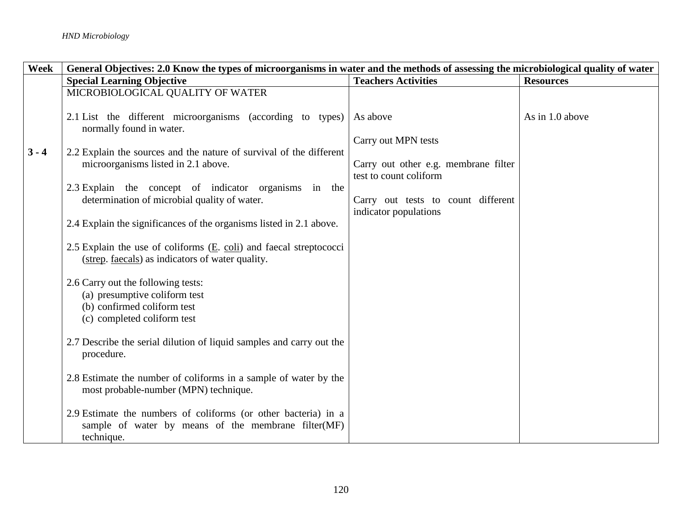| <b>Week</b> | General Objectives: 2.0 Know the types of microorganisms in water and the methods of assessing the microbiological quality of water |                                                                |                  |
|-------------|-------------------------------------------------------------------------------------------------------------------------------------|----------------------------------------------------------------|------------------|
|             | <b>Special Learning Objective</b>                                                                                                   | <b>Teachers Activities</b>                                     | <b>Resources</b> |
|             | MICROBIOLOGICAL QUALITY OF WATER                                                                                                    |                                                                |                  |
|             | 2.1 List the different microorganisms (according to types)<br>normally found in water.                                              | As above                                                       | As in 1.0 above  |
| $3 - 4$     | 2.2 Explain the sources and the nature of survival of the different                                                                 | Carry out MPN tests                                            |                  |
|             | microorganisms listed in 2.1 above.                                                                                                 | Carry out other e.g. membrane filter<br>test to count coliform |                  |
|             | 2.3 Explain the concept of indicator organisms in the<br>determination of microbial quality of water.                               | Carry out tests to count different                             |                  |
|             | 2.4 Explain the significances of the organisms listed in 2.1 above.                                                                 | indicator populations                                          |                  |
|             | 2.5 Explain the use of coliforms $(E. \text{ coli})$ and faecal streptococci<br>(strep. faecals) as indicators of water quality.    |                                                                |                  |
|             | 2.6 Carry out the following tests:<br>(a) presumptive coliform test<br>(b) confirmed coliform test<br>(c) completed coliform test   |                                                                |                  |
|             | 2.7 Describe the serial dilution of liquid samples and carry out the<br>procedure.                                                  |                                                                |                  |
|             | 2.8 Estimate the number of coliforms in a sample of water by the<br>most probable-number (MPN) technique.                           |                                                                |                  |
|             | 2.9 Estimate the numbers of coliforms (or other bacteria) in a<br>sample of water by means of the membrane filter(MF)<br>technique. |                                                                |                  |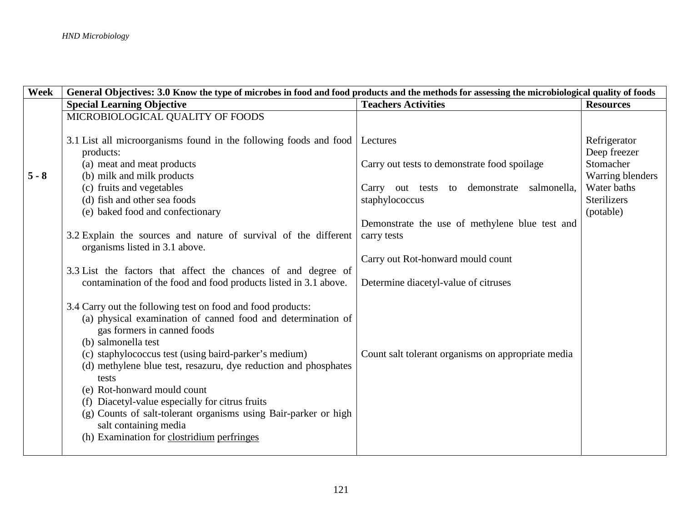| Week    | General Objectives: 3.0 Know the type of microbes in food and food products and the methods for assessing the microbiological quality of foods |                                                    |                    |  |
|---------|------------------------------------------------------------------------------------------------------------------------------------------------|----------------------------------------------------|--------------------|--|
|         | <b>Special Learning Objective</b>                                                                                                              | <b>Teachers Activities</b>                         | <b>Resources</b>   |  |
|         | MICROBIOLOGICAL QUALITY OF FOODS                                                                                                               |                                                    |                    |  |
|         |                                                                                                                                                |                                                    |                    |  |
|         | 3.1 List all microorganisms found in the following foods and food                                                                              | Lectures                                           | Refrigerator       |  |
|         | products:                                                                                                                                      |                                                    | Deep freezer       |  |
|         | (a) meat and meat products                                                                                                                     | Carry out tests to demonstrate food spoilage       | Stomacher          |  |
| $5 - 8$ | (b) milk and milk products                                                                                                                     |                                                    | Warring blenders   |  |
|         | (c) fruits and vegetables                                                                                                                      | Carry out tests to demonstrate salmonella,         | Water baths        |  |
|         | (d) fish and other sea foods                                                                                                                   | staphylococcus                                     | <b>Sterilizers</b> |  |
|         | (e) baked food and confectionary                                                                                                               |                                                    | (potable)          |  |
|         |                                                                                                                                                | Demonstrate the use of methylene blue test and     |                    |  |
|         | 3.2 Explain the sources and nature of survival of the different                                                                                | carry tests                                        |                    |  |
|         | organisms listed in 3.1 above.                                                                                                                 |                                                    |                    |  |
|         |                                                                                                                                                | Carry out Rot-honward mould count                  |                    |  |
|         | 3.3 List the factors that affect the chances of and degree of                                                                                  |                                                    |                    |  |
|         | contamination of the food and food products listed in 3.1 above.                                                                               | Determine diacetyl-value of citruses               |                    |  |
|         |                                                                                                                                                |                                                    |                    |  |
|         | 3.4 Carry out the following test on food and food products:                                                                                    |                                                    |                    |  |
|         | (a) physical examination of canned food and determination of                                                                                   |                                                    |                    |  |
|         | gas formers in canned foods                                                                                                                    |                                                    |                    |  |
|         | (b) salmonella test                                                                                                                            |                                                    |                    |  |
|         | (c) staphylococcus test (using baird-parker's medium)                                                                                          | Count salt tolerant organisms on appropriate media |                    |  |
|         | (d) methylene blue test, resazuru, dye reduction and phosphates                                                                                |                                                    |                    |  |
|         | tests                                                                                                                                          |                                                    |                    |  |
|         | (e) Rot-honward mould count                                                                                                                    |                                                    |                    |  |
|         | (f) Diacetyl-value especially for citrus fruits                                                                                                |                                                    |                    |  |
|         | (g) Counts of salt-tolerant organisms using Bair-parker or high                                                                                |                                                    |                    |  |
|         | salt containing media                                                                                                                          |                                                    |                    |  |
|         | (h) Examination for clostridium perfringes                                                                                                     |                                                    |                    |  |
|         |                                                                                                                                                |                                                    |                    |  |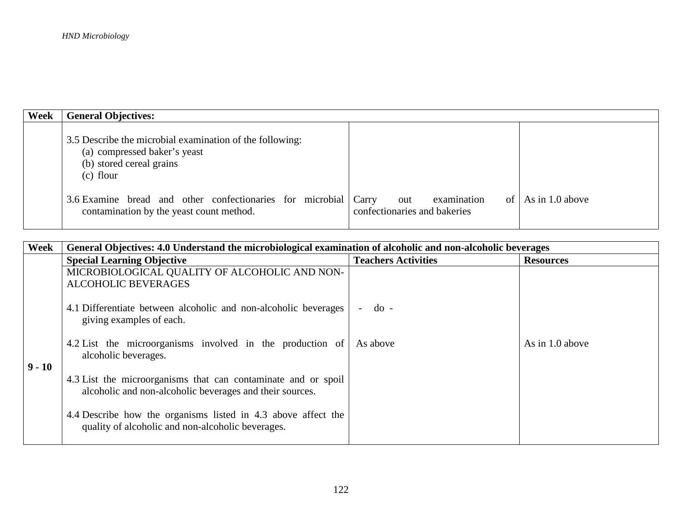| Week | <b>General Objectives:</b>                                                                                                          |                                                                   |                   |
|------|-------------------------------------------------------------------------------------------------------------------------------------|-------------------------------------------------------------------|-------------------|
|      | 3.5 Describe the microbial examination of the following:<br>(a) compressed baker's yeast<br>(b) stored cereal grains<br>$(c)$ flour |                                                                   |                   |
|      | 3.6 Examine bread and other confectionaries for microbial<br>contamination by the yeast count method.                               | examination<br>Carry<br>out<br>of<br>confectionaries and bakeries | As in $1.0$ above |

| Week     | General Objectives: 4.0 Understand the microbiological examination of alcoholic and non-alcoholic beverages               |                            |                  |
|----------|---------------------------------------------------------------------------------------------------------------------------|----------------------------|------------------|
|          | <b>Special Learning Objective</b>                                                                                         | <b>Teachers Activities</b> | <b>Resources</b> |
|          | MICROBIOLOGICAL QUALITY OF ALCOHOLIC AND NON-                                                                             |                            |                  |
|          | <b>ALCOHOLIC BEVERAGES</b>                                                                                                |                            |                  |
|          | 4.1 Differentiate between alcoholic and non-alcoholic beverages<br>giving examples of each.                               | $d_{0}$ -                  |                  |
| $9 - 10$ | 4.2 List the microorganisms involved in the production of<br>alcoholic beverages.                                         | As above                   | As in 1.0 above  |
|          | 4.3 List the microorganisms that can contaminate and or spoil<br>alcoholic and non-alcoholic beverages and their sources. |                            |                  |
|          | 4.4 Describe how the organisms listed in 4.3 above affect the<br>quality of alcoholic and non-alcoholic beverages.        |                            |                  |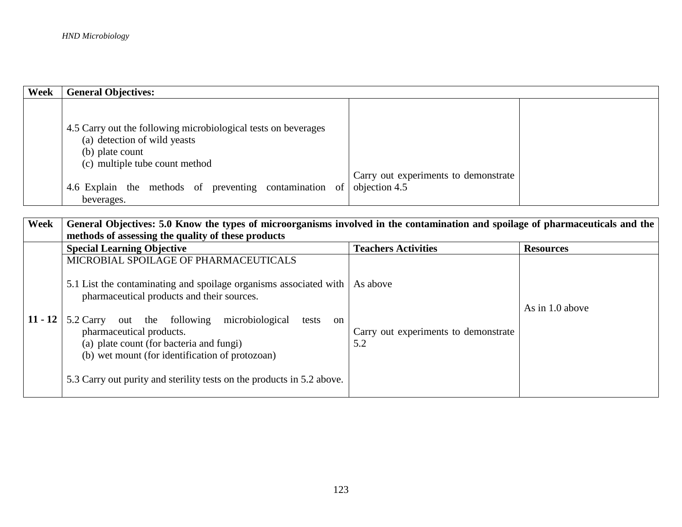| Week | <b>General Objectives:</b>                                                                                                                          |                                                       |  |
|------|-----------------------------------------------------------------------------------------------------------------------------------------------------|-------------------------------------------------------|--|
|      | 4.5 Carry out the following microbiological tests on beverages<br>(a) detection of wild yeasts<br>(b) plate count<br>(c) multiple tube count method |                                                       |  |
|      | 4.6 Explain the methods of preventing contamination of<br>beverages.                                                                                | Carry out experiments to demonstrate<br>objection 4.5 |  |

| Week      | General Objectives: 5.0 Know the types of microorganisms involved in the contamination and spoilage of pharmaceuticals and the<br>methods of assessing the quality of these products                                                                                                                                                                                                  |                                                         |                  |
|-----------|---------------------------------------------------------------------------------------------------------------------------------------------------------------------------------------------------------------------------------------------------------------------------------------------------------------------------------------------------------------------------------------|---------------------------------------------------------|------------------|
|           | <b>Special Learning Objective</b>                                                                                                                                                                                                                                                                                                                                                     | <b>Teachers Activities</b>                              | <b>Resources</b> |
|           | MICROBIAL SPOILAGE OF PHARMACEUTICALS                                                                                                                                                                                                                                                                                                                                                 |                                                         |                  |
| $11 - 12$ | 5.1 List the contaminating and spoilage organisms associated with<br>pharmaceutical products and their sources.<br>5.2 Carry out the following<br>microbiological<br>tests<br>on<br>pharmaceutical products.<br>(a) plate count (for bacteria and fungi)<br>(b) wet mount (for identification of protozoan)<br>5.3 Carry out purity and sterility tests on the products in 5.2 above. | As above<br>Carry out experiments to demonstrate<br>5.2 | As in 1.0 above  |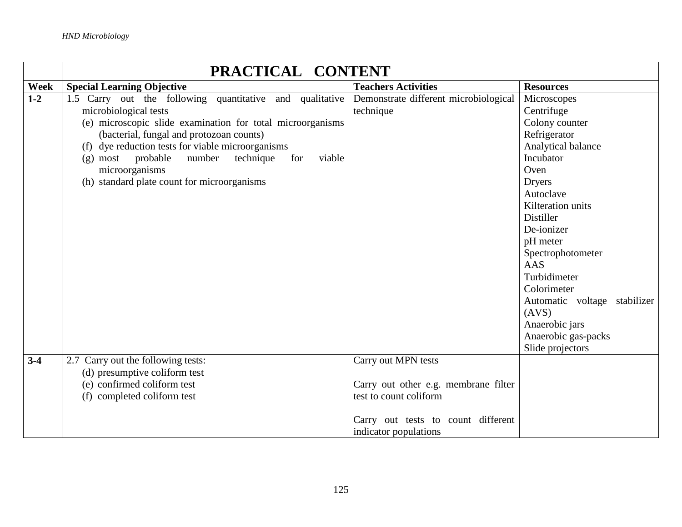|         | PRACTICAL CONTENT                                          |                                       |                              |
|---------|------------------------------------------------------------|---------------------------------------|------------------------------|
| Week    | <b>Special Learning Objective</b>                          | <b>Teachers Activities</b>            | <b>Resources</b>             |
| $1 - 2$ | 1.5 Carry out the following quantitative and qualitative   | Demonstrate different microbiological | Microscopes                  |
|         | microbiological tests                                      | technique                             | Centrifuge                   |
|         | (e) microscopic slide examination for total microorganisms |                                       | Colony counter               |
|         | (bacterial, fungal and protozoan counts)                   |                                       | Refrigerator                 |
|         | (f) dye reduction tests for viable microorganisms          |                                       | Analytical balance           |
|         | (g) most probable<br>number<br>technique<br>viable<br>for  |                                       | Incubator                    |
|         | microorganisms                                             |                                       | Oven                         |
|         | (h) standard plate count for microorganisms                |                                       | <b>Dryers</b>                |
|         |                                                            |                                       | Autoclave                    |
|         |                                                            |                                       | Kilteration units            |
|         |                                                            |                                       | Distiller                    |
|         |                                                            |                                       | De-ionizer                   |
|         |                                                            |                                       | pH meter                     |
|         |                                                            |                                       | Spectrophotometer            |
|         |                                                            |                                       | AAS                          |
|         |                                                            |                                       | Turbidimeter                 |
|         |                                                            |                                       | Colorimeter                  |
|         |                                                            |                                       | Automatic voltage stabilizer |
|         |                                                            |                                       | (AVS)                        |
|         |                                                            |                                       | Anaerobic jars               |
|         |                                                            |                                       | Anaerobic gas-packs          |
|         |                                                            |                                       | Slide projectors             |
| $3-4$   | 2.7 Carry out the following tests:                         | Carry out MPN tests                   |                              |
|         | (d) presumptive coliform test                              |                                       |                              |
|         | (e) confirmed coliform test                                | Carry out other e.g. membrane filter  |                              |
|         | (f) completed coliform test                                | test to count coliform                |                              |
|         |                                                            |                                       |                              |
|         |                                                            | Carry out tests to count different    |                              |
|         |                                                            | indicator populations                 |                              |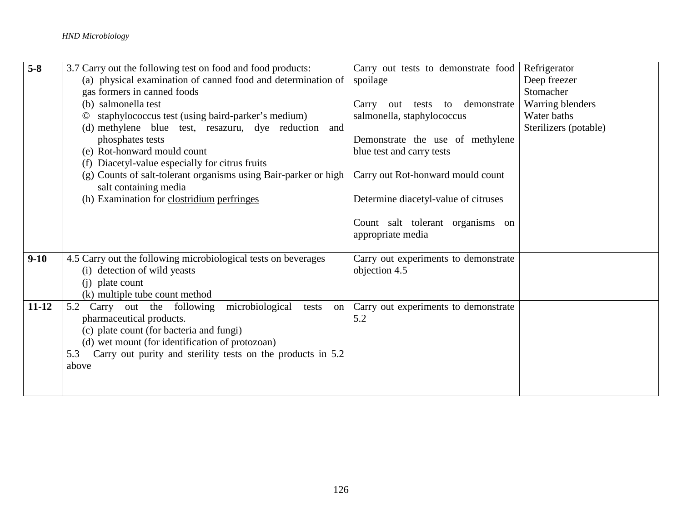| $5-8$     | 3.7 Carry out the following test on food and food products:        | Carry out tests to demonstrate food  | Refrigerator          |
|-----------|--------------------------------------------------------------------|--------------------------------------|-----------------------|
|           | (a) physical examination of canned food and determination of       | spoilage                             | Deep freezer          |
|           | gas formers in canned foods                                        |                                      | Stomacher             |
|           | (b) salmonella test                                                | Carry out tests to demonstrate       | Warring blenders      |
|           | staphylococcus test (using baird-parker's medium)<br>©             | salmonella, staphylococcus           | Water baths           |
|           | (d) methylene blue test, resazuru, dye reduction and               |                                      | Sterilizers (potable) |
|           | phosphates tests                                                   | Demonstrate the use of methylene     |                       |
|           | (e) Rot-honward mould count                                        | blue test and carry tests            |                       |
|           | (f) Diacetyl-value especially for citrus fruits                    |                                      |                       |
|           | (g) Counts of salt-tolerant organisms using Bair-parker or high    | Carry out Rot-honward mould count    |                       |
|           | salt containing media                                              |                                      |                       |
|           | (h) Examination for clostridium perfringes                         | Determine diacetyl-value of citruses |                       |
|           |                                                                    |                                      |                       |
|           |                                                                    | Count salt tolerant organisms on     |                       |
|           |                                                                    | appropriate media                    |                       |
|           |                                                                    |                                      |                       |
| $9-10$    | 4.5 Carry out the following microbiological tests on beverages     | Carry out experiments to demonstrate |                       |
|           | (i) detection of wild yeasts                                       | objection 4.5                        |                       |
|           | (i) plate count                                                    |                                      |                       |
|           | (k) multiple tube count method                                     |                                      |                       |
| $11 - 12$ | microbiological<br>5.2<br>Carry out the following<br>tests<br>on   | Carry out experiments to demonstrate |                       |
|           | pharmaceutical products.                                           | 5.2                                  |                       |
|           | (c) plate count (for bacteria and fungi)                           |                                      |                       |
|           | (d) wet mount (for identification of protozoan)                    |                                      |                       |
|           | Carry out purity and sterility tests on the products in 5.2<br>5.3 |                                      |                       |
|           | above                                                              |                                      |                       |
|           |                                                                    |                                      |                       |
|           |                                                                    |                                      |                       |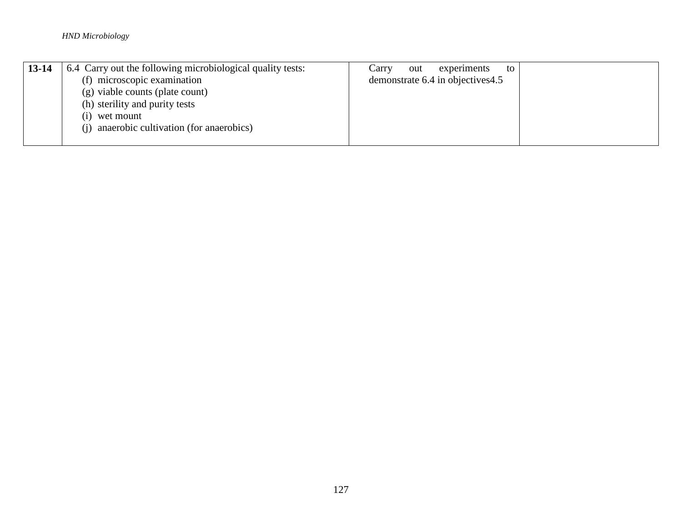| $13 - 14$ | 6.4 Carry out the following microbiological quality tests: | experiments<br>Carry<br>out<br>to |  |
|-----------|------------------------------------------------------------|-----------------------------------|--|
|           | (f) microscopic examination                                | demonstrate 6.4 in objectives 4.5 |  |
|           | (g) viable counts (plate count)                            |                                   |  |
|           | (h) sterility and purity tests                             |                                   |  |
|           | wet mount<br>(1)                                           |                                   |  |
|           | (i) anaerobic cultivation (for anaerobics)                 |                                   |  |
|           |                                                            |                                   |  |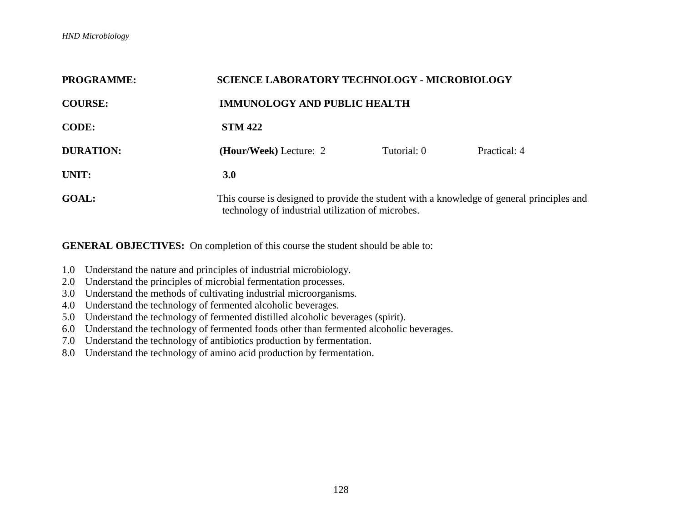| <b>PROGRAMME:</b> | <b>SCIENCE LABORATORY TECHNOLOGY - MICROBIOLOGY</b>                                                                                            |             |              |
|-------------------|------------------------------------------------------------------------------------------------------------------------------------------------|-------------|--------------|
| <b>COURSE:</b>    | <b>IMMUNOLOGY AND PUBLIC HEALTH</b>                                                                                                            |             |              |
| <b>CODE:</b>      | <b>STM 422</b>                                                                                                                                 |             |              |
| <b>DURATION:</b>  | (Hour/Week) Lecture: 2                                                                                                                         | Tutorial: 0 | Practical: 4 |
| UNIT:             | 3.0                                                                                                                                            |             |              |
| <b>GOAL:</b>      | This course is designed to provide the student with a knowledge of general principles and<br>technology of industrial utilization of microbes. |             |              |

- 1.0 Understand the nature and principles of industrial microbiology.
- 2.0 Understand the principles of microbial fermentation processes.
- 3.0 Understand the methods of cultivating industrial microorganisms.
- 4.0 Understand the technology of fermented alcoholic beverages.
- 5.0 Understand the technology of fermented distilled alcoholic beverages (spirit).
- 6.0 Understand the technology of fermented foods other than fermented alcoholic beverages.
- 7.0 Understand the technology of antibiotics production by fermentation.
- 8.0 Understand the technology of amino acid production by fermentation.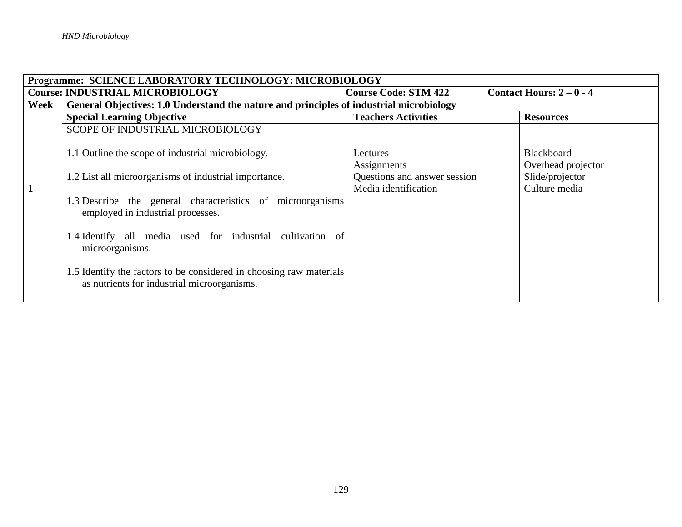| Programme: SCIENCE LABORATORY TECHNOLOGY: MICROBIOLOGY |                                                                                                                    |                              |                                         |
|--------------------------------------------------------|--------------------------------------------------------------------------------------------------------------------|------------------------------|-----------------------------------------|
|                                                        | <b>Course: INDUSTRIAL MICROBIOLOGY</b>                                                                             | <b>Course Code: STM 422</b>  | Contact Hours: $2-0-4$                  |
| Week                                                   | General Objectives: 1.0 Understand the nature and principles of industrial microbiology                            |                              |                                         |
|                                                        | <b>Special Learning Objective</b>                                                                                  | <b>Teachers Activities</b>   | <b>Resources</b>                        |
|                                                        | SCOPE OF INDUSTRIAL MICROBIOLOGY                                                                                   |                              |                                         |
|                                                        | 1.1 Outline the scope of industrial microbiology.                                                                  | Lectures<br>Assignments      | <b>Blackboard</b><br>Overhead projector |
|                                                        | 1.2 List all microorganisms of industrial importance.                                                              | Questions and answer session | Slide/projector                         |
| $\mathbf{1}$                                           | 1.3 Describe the general characteristics of microorganisms<br>employed in industrial processes.                    | Media identification         | Culture media                           |
|                                                        | 1.4 Identify all media used for industrial cultivation of<br>microorganisms.                                       |                              |                                         |
|                                                        | 1.5 Identify the factors to be considered in choosing raw materials<br>as nutrients for industrial microorganisms. |                              |                                         |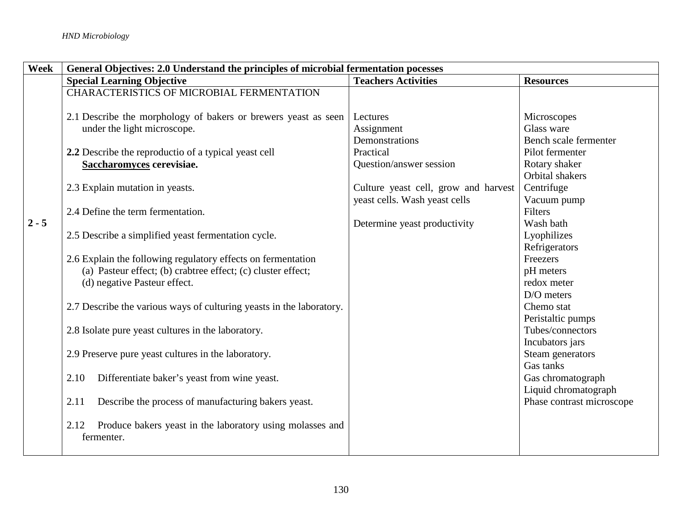| Week    | General Objectives: 2.0 Understand the principles of microbial fermentation pocesses |                                      |                           |
|---------|--------------------------------------------------------------------------------------|--------------------------------------|---------------------------|
|         | <b>Special Learning Objective</b>                                                    | <b>Teachers Activities</b>           | <b>Resources</b>          |
|         | CHARACTERISTICS OF MICROBIAL FERMENTATION                                            |                                      |                           |
|         | 2.1 Describe the morphology of bakers or brewers yeast as seen                       | Lectures                             | Microscopes               |
|         | under the light microscope.                                                          | Assignment                           | Glass ware                |
|         |                                                                                      | Demonstrations                       | Bench scale fermenter     |
|         | 2.2 Describe the reproductio of a typical yeast cell                                 | Practical                            | Pilot fermenter           |
|         | Saccharomyces cerevisiae.                                                            | Question/answer session              | Rotary shaker             |
|         |                                                                                      |                                      | <b>Orbital</b> shakers    |
|         | 2.3 Explain mutation in yeasts.                                                      | Culture yeast cell, grow and harvest | Centrifuge                |
|         |                                                                                      | yeast cells. Wash yeast cells        | Vacuum pump               |
|         | 2.4 Define the term fermentation.                                                    |                                      | Filters                   |
| $2 - 5$ |                                                                                      | Determine yeast productivity         | Wash bath                 |
|         | 2.5 Describe a simplified yeast fermentation cycle.                                  |                                      | Lyophilizes               |
|         |                                                                                      |                                      | Refrigerators             |
|         | 2.6 Explain the following regulatory effects on fermentation                         |                                      | Freezers                  |
|         | (a) Pasteur effect; (b) crabtree effect; (c) cluster effect;                         |                                      | pH meters                 |
|         | (d) negative Pasteur effect.                                                         |                                      | redox meter               |
|         |                                                                                      |                                      | D/O meters                |
|         | 2.7 Describe the various ways of culturing yeasts in the laboratory.                 |                                      | Chemo stat                |
|         |                                                                                      |                                      | Peristaltic pumps         |
|         | 2.8 Isolate pure yeast cultures in the laboratory.                                   |                                      | Tubes/connectors          |
|         |                                                                                      |                                      | Incubators jars           |
|         | 2.9 Preserve pure yeast cultures in the laboratory.                                  |                                      | Steam generators          |
|         |                                                                                      |                                      | Gas tanks                 |
|         | 2.10<br>Differentiate baker's yeast from wine yeast.                                 |                                      | Gas chromatograph         |
|         |                                                                                      |                                      | Liquid chromatograph      |
|         | Describe the process of manufacturing bakers yeast.<br>2.11                          |                                      | Phase contrast microscope |
|         | Produce bakers yeast in the laboratory using molasses and<br>2.12<br>fermenter.      |                                      |                           |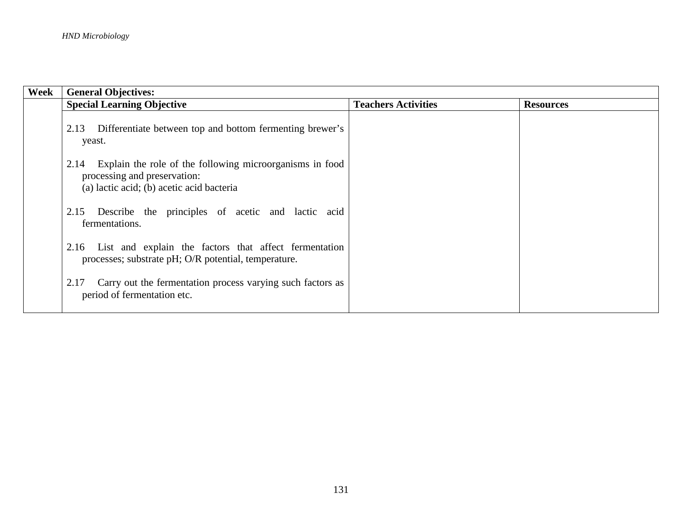| Week | <b>General Objectives:</b>                                                                                                                    |                            |                  |  |
|------|-----------------------------------------------------------------------------------------------------------------------------------------------|----------------------------|------------------|--|
|      | <b>Special Learning Objective</b>                                                                                                             | <b>Teachers Activities</b> | <b>Resources</b> |  |
|      | Differentiate between top and bottom fermenting brewer's<br>2.13<br>yeast.                                                                    |                            |                  |  |
|      | Explain the role of the following microorganisms in food<br>2.14<br>processing and preservation:<br>(a) lactic acid; (b) acetic acid bacteria |                            |                  |  |
|      | Describe the principles of acetic and lactic acid<br>2.15<br>fermentations.                                                                   |                            |                  |  |
|      | List and explain the factors that affect fermentation<br>2.16<br>processes; substrate pH; O/R potential, temperature.                         |                            |                  |  |
|      | Carry out the fermentation process varying such factors as<br>2.17<br>period of fermentation etc.                                             |                            |                  |  |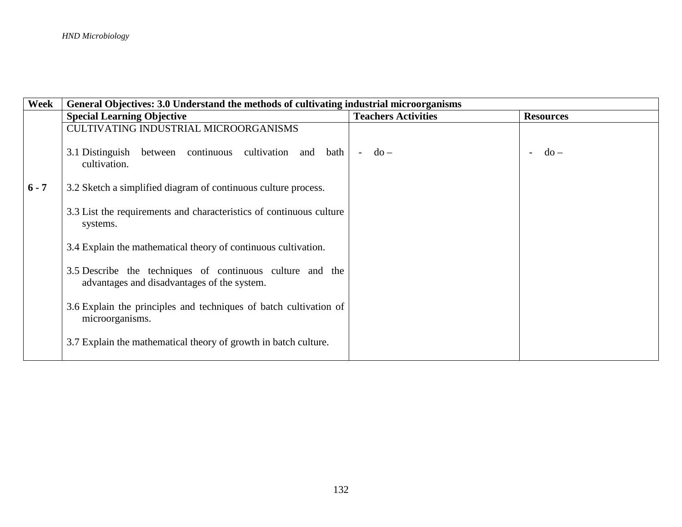| Week    | General Objectives: 3.0 Understand the methods of cultivating industrial microorganisms                  |                            |                  |  |  |
|---------|----------------------------------------------------------------------------------------------------------|----------------------------|------------------|--|--|
|         | <b>Special Learning Objective</b>                                                                        | <b>Teachers Activities</b> | <b>Resources</b> |  |  |
|         | <b>CULTIVATING INDUSTRIAL MICROORGANISMS</b>                                                             |                            |                  |  |  |
|         | 3.1 Distinguish<br>between continuous cultivation and bath<br>cultivation.                               | $do -$<br>$\sim$           | $d\sigma$ –      |  |  |
| $6 - 7$ | 3.2 Sketch a simplified diagram of continuous culture process.                                           |                            |                  |  |  |
|         | 3.3 List the requirements and characteristics of continuous culture<br>systems.                          |                            |                  |  |  |
|         | 3.4 Explain the mathematical theory of continuous cultivation.                                           |                            |                  |  |  |
|         | 3.5 Describe the techniques of continuous culture and the<br>advantages and disadvantages of the system. |                            |                  |  |  |
|         | 3.6 Explain the principles and techniques of batch cultivation of<br>microorganisms.                     |                            |                  |  |  |
|         | 3.7 Explain the mathematical theory of growth in batch culture.                                          |                            |                  |  |  |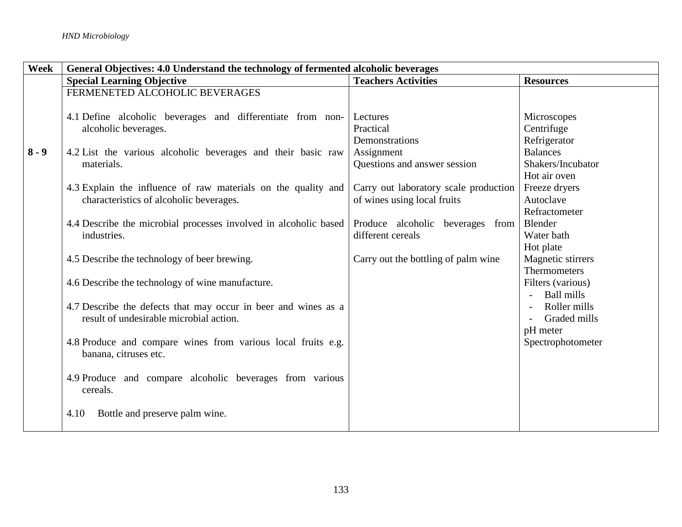| Week    | General Objectives: 4.0 Understand the technology of fermented alcoholic beverages |                                       |                   |  |
|---------|------------------------------------------------------------------------------------|---------------------------------------|-------------------|--|
|         | <b>Special Learning Objective</b>                                                  | <b>Teachers Activities</b>            | <b>Resources</b>  |  |
|         | FERMENETED ALCOHOLIC BEVERAGES                                                     |                                       |                   |  |
|         |                                                                                    |                                       |                   |  |
|         | 4.1 Define alcoholic beverages and differentiate from non-                         | Lectures                              | Microscopes       |  |
|         | alcoholic beverages.                                                               | Practical                             | Centrifuge        |  |
|         |                                                                                    | Demonstrations                        | Refrigerator      |  |
| $8 - 9$ | 4.2 List the various alcoholic beverages and their basic raw                       | Assignment                            | <b>Balances</b>   |  |
|         | materials.                                                                         | Questions and answer session          | Shakers/Incubator |  |
|         |                                                                                    |                                       | Hot air oven      |  |
|         | 4.3 Explain the influence of raw materials on the quality and                      | Carry out laboratory scale production | Freeze dryers     |  |
|         | characteristics of alcoholic beverages.                                            | of wines using local fruits           | Autoclave         |  |
|         |                                                                                    |                                       | Refractometer     |  |
|         | 4.4 Describe the microbial processes involved in alcoholic based                   | Produce alcoholic beverages from      | Blender           |  |
|         | industries.                                                                        | different cereals                     | Water bath        |  |
|         |                                                                                    |                                       | Hot plate         |  |
|         | 4.5 Describe the technology of beer brewing.                                       | Carry out the bottling of palm wine   | Magnetic stirrers |  |
|         |                                                                                    |                                       | Thermometers      |  |
|         | 4.6 Describe the technology of wine manufacture.                                   |                                       | Filters (various) |  |
|         |                                                                                    |                                       | <b>Ball mills</b> |  |
|         | 4.7 Describe the defects that may occur in beer and wines as a                     |                                       | Roller mills      |  |
|         | result of undesirable microbial action.                                            |                                       | Graded mills      |  |
|         |                                                                                    |                                       | pH meter          |  |
|         | 4.8 Produce and compare wines from various local fruits e.g.                       |                                       | Spectrophotometer |  |
|         | banana, citruses etc.                                                              |                                       |                   |  |
|         |                                                                                    |                                       |                   |  |
|         | 4.9 Produce and compare alcoholic beverages from various                           |                                       |                   |  |
|         | cereals.                                                                           |                                       |                   |  |
|         |                                                                                    |                                       |                   |  |
|         | Bottle and preserve palm wine.<br>4.10                                             |                                       |                   |  |
|         |                                                                                    |                                       |                   |  |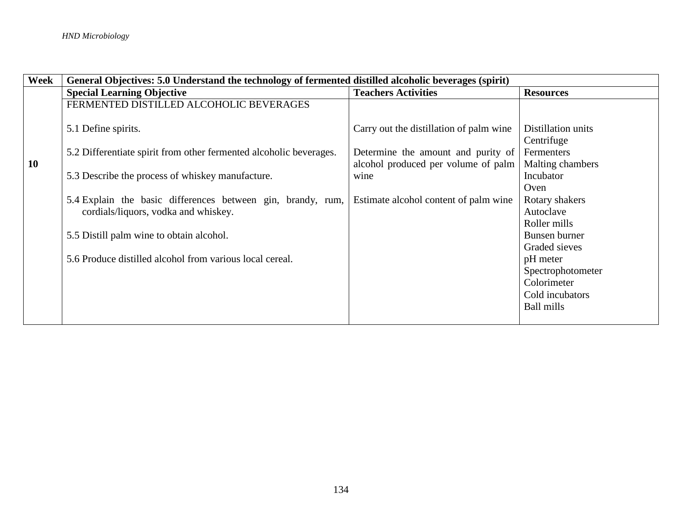| Week | General Objectives: 5.0 Understand the technology of fermented distilled alcoholic beverages (spirit) |                                         |                    |  |
|------|-------------------------------------------------------------------------------------------------------|-----------------------------------------|--------------------|--|
|      | <b>Special Learning Objective</b>                                                                     | <b>Teachers Activities</b>              | <b>Resources</b>   |  |
|      | FERMENTED DISTILLED ALCOHOLIC BEVERAGES                                                               |                                         |                    |  |
|      |                                                                                                       |                                         |                    |  |
|      | 5.1 Define spirits.                                                                                   | Carry out the distillation of palm wine | Distillation units |  |
|      |                                                                                                       |                                         | Centrifuge         |  |
|      | 5.2 Differentiate spirit from other fermented alcoholic beverages.                                    | Determine the amount and purity of      | Fermenters         |  |
| 10   |                                                                                                       | alcohol produced per volume of palm     | Malting chambers   |  |
|      | 5.3 Describe the process of whiskey manufacture.                                                      | wine                                    | Incubator          |  |
|      |                                                                                                       |                                         | Oven               |  |
|      | 5.4 Explain the basic differences between gin, brandy, rum,                                           | Estimate alcohol content of palm wine   | Rotary shakers     |  |
|      | cordials/liquors, vodka and whiskey.                                                                  |                                         | Autoclave          |  |
|      |                                                                                                       |                                         | Roller mills       |  |
|      | 5.5 Distill palm wine to obtain alcohol.                                                              |                                         | Bunsen burner      |  |
|      |                                                                                                       |                                         | Graded sieves      |  |
|      | 5.6 Produce distilled alcohol from various local cereal.                                              |                                         | pH meter           |  |
|      |                                                                                                       |                                         | Spectrophotometer  |  |
|      |                                                                                                       |                                         | Colorimeter        |  |
|      |                                                                                                       |                                         | Cold incubators    |  |
|      |                                                                                                       |                                         | <b>Ball mills</b>  |  |
|      |                                                                                                       |                                         |                    |  |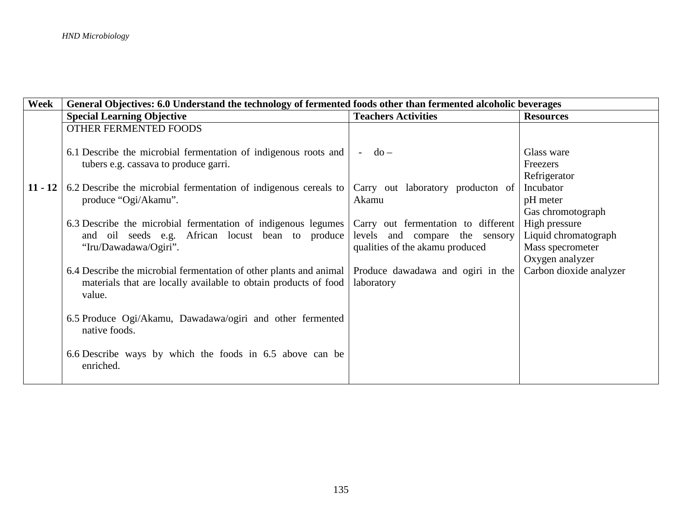| Week      | General Objectives: 6.0 Understand the technology of fermented foods other than fermented alcoholic beverages                                   |                                                                                                          |                                                                              |  |
|-----------|-------------------------------------------------------------------------------------------------------------------------------------------------|----------------------------------------------------------------------------------------------------------|------------------------------------------------------------------------------|--|
|           | <b>Special Learning Objective</b>                                                                                                               | <b>Teachers Activities</b>                                                                               | <b>Resources</b>                                                             |  |
|           | OTHER FERMENTED FOODS                                                                                                                           |                                                                                                          |                                                                              |  |
|           | 6.1 Describe the microbial fermentation of indigenous roots and<br>tubers e.g. cassava to produce garri.                                        | $do -$<br>$\sim$                                                                                         | Glass ware<br>Freezers<br>Refrigerator                                       |  |
| $11 - 12$ | 6.2 Describe the microbial fermentation of indigenous cereals to<br>produce "Ogi/Akamu".                                                        | Carry out laboratory producton of<br>Akamu                                                               | Incubator<br>pH meter<br>Gas chromotograph                                   |  |
|           | 6.3 Describe the microbial fermentation of indigenous legumes<br>and oil seeds e.g. African locust bean to produce<br>"Iru/Dawadawa/Ogiri".     | Carry out fermentation to different<br>levels and compare the sensory<br>qualities of the akamu produced | High pressure<br>Liquid chromatograph<br>Mass specrometer<br>Oxygen analyzer |  |
|           | 6.4 Describe the microbial fermentation of other plants and animal<br>materials that are locally available to obtain products of food<br>value. | Produce dawadawa and ogiri in the<br>laboratory                                                          | Carbon dioxide analyzer                                                      |  |
|           | 6.5 Produce Ogi/Akamu, Dawadawa/ogiri and other fermented<br>native foods.                                                                      |                                                                                                          |                                                                              |  |
|           | 6.6 Describe ways by which the foods in 6.5 above can be<br>enriched.                                                                           |                                                                                                          |                                                                              |  |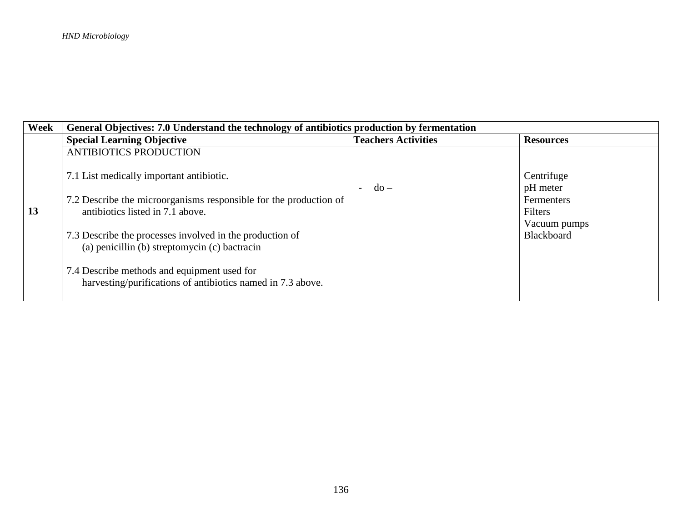| Week | General Objectives: 7.0 Understand the technology of antibiotics production by fermentation                                                                                                                                                                                                                                                                                  |                            |                                                                                      |  |
|------|------------------------------------------------------------------------------------------------------------------------------------------------------------------------------------------------------------------------------------------------------------------------------------------------------------------------------------------------------------------------------|----------------------------|--------------------------------------------------------------------------------------|--|
|      | <b>Special Learning Objective</b>                                                                                                                                                                                                                                                                                                                                            | <b>Teachers Activities</b> | <b>Resources</b>                                                                     |  |
|      | <b>ANTIBIOTICS PRODUCTION</b>                                                                                                                                                                                                                                                                                                                                                |                            |                                                                                      |  |
| 13   | 7.1 List medically important antibiotic.<br>7.2 Describe the microorganisms responsible for the production of<br>antibiotics listed in 7.1 above.<br>7.3 Describe the processes involved in the production of<br>(a) penicillin (b) streptomycin (c) bactracin<br>7.4 Describe methods and equipment used for<br>harvesting/purifications of antibiotics named in 7.3 above. | $-do-$                     | Centrifuge<br>pH meter<br>Fermenters<br>Filters<br>Vacuum pumps<br><b>Blackboard</b> |  |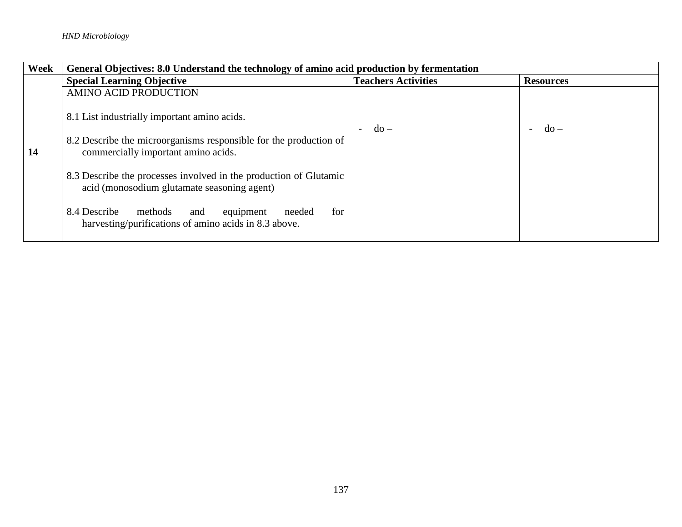| Week | General Objectives: 8.0 Understand the technology of amino acid production by fermentation                            |                            |                  |  |
|------|-----------------------------------------------------------------------------------------------------------------------|----------------------------|------------------|--|
|      | <b>Special Learning Objective</b>                                                                                     | <b>Teachers Activities</b> | <b>Resources</b> |  |
|      | <b>AMINO ACID PRODUCTION</b>                                                                                          |                            |                  |  |
|      | 8.1 List industrially important amino acids.                                                                          | $-do-$                     | $-do$ –          |  |
| 14   | 8.2 Describe the microorganisms responsible for the production of<br>commercially important amino acids.              |                            |                  |  |
|      | 8.3 Describe the processes involved in the production of Glutamic<br>acid (monosodium glutamate seasoning agent)      |                            |                  |  |
|      | 8.4 Describe<br>methods<br>for<br>equipment<br>and<br>needed<br>harvesting/purifications of amino acids in 8.3 above. |                            |                  |  |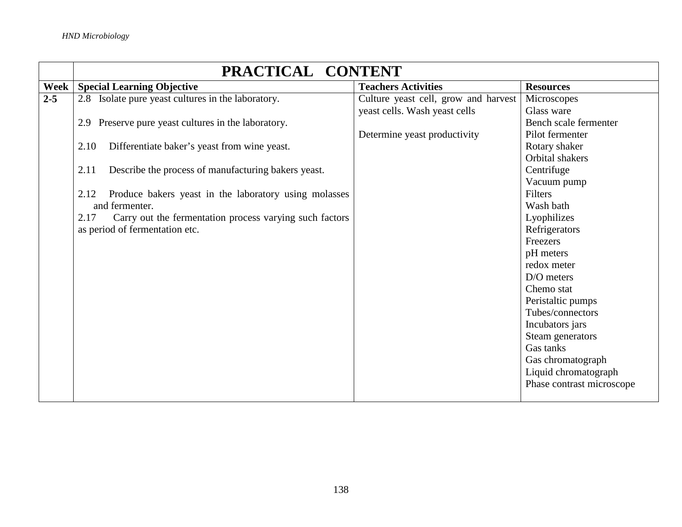|         | PRACTICAL CONTENT                                               |                                      |                           |  |
|---------|-----------------------------------------------------------------|--------------------------------------|---------------------------|--|
| Week    | <b>Special Learning Objective</b>                               | <b>Teachers Activities</b>           | <b>Resources</b>          |  |
| $2 - 5$ | 2.8 Isolate pure yeast cultures in the laboratory.              | Culture yeast cell, grow and harvest | Microscopes               |  |
|         |                                                                 | yeast cells. Wash yeast cells        | Glass ware                |  |
|         | 2.9 Preserve pure yeast cultures in the laboratory.             |                                      | Bench scale fermenter     |  |
|         |                                                                 | Determine yeast productivity         | Pilot fermenter           |  |
|         | 2.10<br>Differentiate baker's yeast from wine yeast.            |                                      | Rotary shaker             |  |
|         |                                                                 |                                      | Orbital shakers           |  |
|         | Describe the process of manufacturing bakers yeast.<br>2.11     |                                      | Centrifuge                |  |
|         |                                                                 |                                      | Vacuum pump               |  |
|         | Produce bakers yeast in the laboratory using molasses<br>2.12   |                                      | <b>Filters</b>            |  |
|         | and fermenter.                                                  |                                      | Wash bath                 |  |
|         | Carry out the fermentation process varying such factors<br>2.17 |                                      | Lyophilizes               |  |
|         | as period of fermentation etc.                                  |                                      | Refrigerators             |  |
|         |                                                                 |                                      | Freezers                  |  |
|         |                                                                 |                                      | pH meters                 |  |
|         |                                                                 |                                      | redox meter               |  |
|         |                                                                 |                                      | D/O meters                |  |
|         |                                                                 |                                      | Chemo stat                |  |
|         |                                                                 |                                      | Peristaltic pumps         |  |
|         |                                                                 |                                      | Tubes/connectors          |  |
|         |                                                                 |                                      | Incubators jars           |  |
|         |                                                                 |                                      | Steam generators          |  |
|         |                                                                 |                                      | Gas tanks                 |  |
|         |                                                                 |                                      | Gas chromatograph         |  |
|         |                                                                 |                                      | Liquid chromatograph      |  |
|         |                                                                 |                                      | Phase contrast microscope |  |
|         |                                                                 |                                      |                           |  |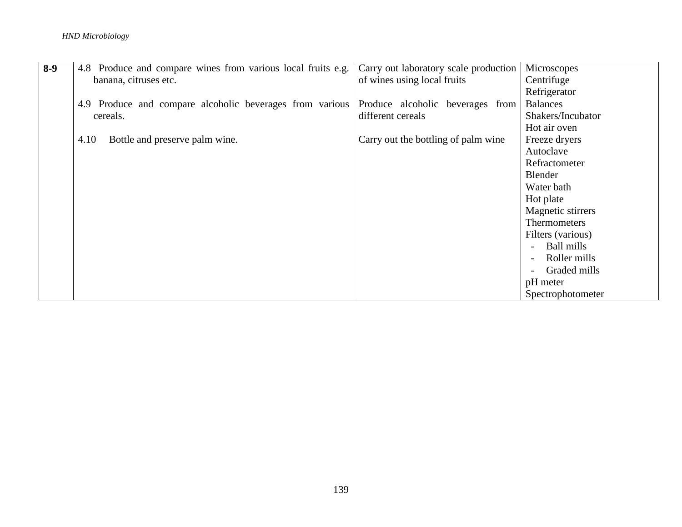## *HND Microbiology*

| $8-9$ | 4.8 Produce and compare wines from various local fruits e.g. | Carry out laboratory scale production | Microscopes                              |
|-------|--------------------------------------------------------------|---------------------------------------|------------------------------------------|
|       | banana, citruses etc.                                        | of wines using local fruits           | Centrifuge                               |
|       |                                                              |                                       | Refrigerator                             |
|       | 4.9 Produce and compare alcoholic beverages from various     | Produce alcoholic beverages from      | <b>Balances</b>                          |
|       | cereals.                                                     | different cereals                     | Shakers/Incubator                        |
|       |                                                              |                                       | Hot air oven                             |
|       | Bottle and preserve palm wine.<br>4.10                       | Carry out the bottling of palm wine   | Freeze dryers                            |
|       |                                                              |                                       | Autoclave                                |
|       |                                                              |                                       | Refractometer                            |
|       |                                                              |                                       | Blender                                  |
|       |                                                              |                                       | Water bath                               |
|       |                                                              |                                       | Hot plate                                |
|       |                                                              |                                       | Magnetic stirrers                        |
|       |                                                              |                                       | <b>Thermometers</b>                      |
|       |                                                              |                                       | Filters (various)                        |
|       |                                                              |                                       | Ball mills                               |
|       |                                                              |                                       | Roller mills<br>$\overline{\phantom{0}}$ |
|       |                                                              |                                       | Graded mills                             |
|       |                                                              |                                       | pH meter                                 |
|       |                                                              |                                       | Spectrophotometer                        |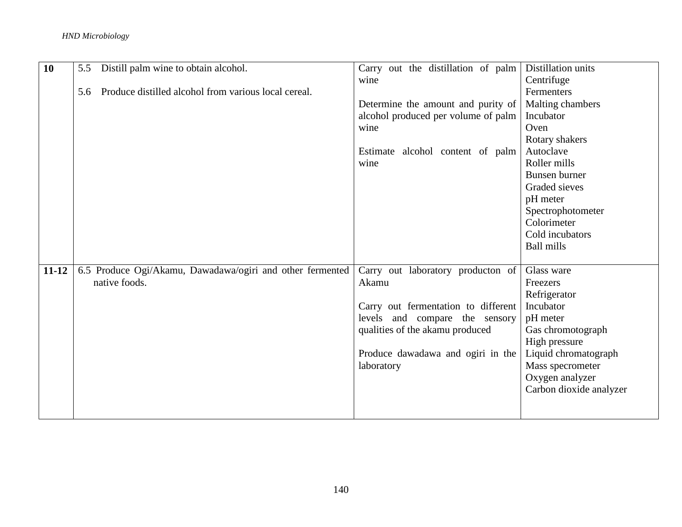## *HND Microbiology*

| 10        | 5.5 | Distill palm wine to obtain alcohol.                      | Carry out the distillation of palm  | Distillation units      |
|-----------|-----|-----------------------------------------------------------|-------------------------------------|-------------------------|
|           |     |                                                           | wine                                | Centrifuge              |
|           | 5.6 | Produce distilled alcohol from various local cereal.      |                                     | Fermenters              |
|           |     |                                                           | Determine the amount and purity of  | Malting chambers        |
|           |     |                                                           | alcohol produced per volume of palm | Incubator               |
|           |     |                                                           | wine                                | Oven                    |
|           |     |                                                           |                                     | Rotary shakers          |
|           |     |                                                           | Estimate alcohol content of palm    | Autoclave               |
|           |     |                                                           | wine                                | Roller mills            |
|           |     |                                                           |                                     | Bunsen burner           |
|           |     |                                                           |                                     | Graded sieves           |
|           |     |                                                           |                                     | pH meter                |
|           |     |                                                           |                                     | Spectrophotometer       |
|           |     |                                                           |                                     | Colorimeter             |
|           |     |                                                           |                                     | Cold incubators         |
|           |     |                                                           |                                     | <b>Ball mills</b>       |
|           |     |                                                           |                                     |                         |
| $11 - 12$ |     | 6.5 Produce Ogi/Akamu, Dawadawa/ogiri and other fermented | Carry out laboratory producton of   | Glass ware              |
|           |     | native foods.                                             | Akamu                               | Freezers                |
|           |     |                                                           |                                     | Refrigerator            |
|           |     |                                                           | Carry out fermentation to different | Incubator               |
|           |     |                                                           | levels and compare the sensory      | pH meter                |
|           |     |                                                           | qualities of the akamu produced     | Gas chromotograph       |
|           |     |                                                           |                                     | High pressure           |
|           |     |                                                           | Produce dawadawa and ogiri in the   | Liquid chromatograph    |
|           |     |                                                           | laboratory                          | Mass specrometer        |
|           |     |                                                           |                                     | Oxygen analyzer         |
|           |     |                                                           |                                     | Carbon dioxide analyzer |
|           |     |                                                           |                                     |                         |
|           |     |                                                           |                                     |                         |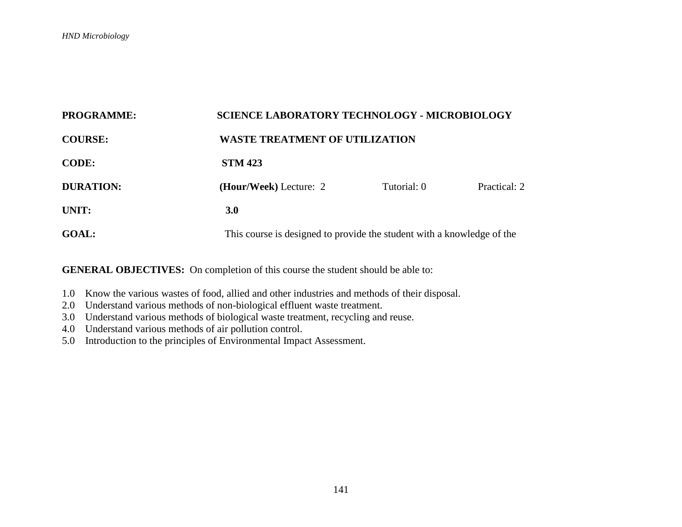| <b>PROGRAMME:</b> |                                                                        | <b>SCIENCE LABORATORY TECHNOLOGY - MICROBIOLOGY</b> |              |  |  |
|-------------------|------------------------------------------------------------------------|-----------------------------------------------------|--------------|--|--|
| <b>COURSE:</b>    |                                                                        | <b>WASTE TREATMENT OF UTILIZATION</b>               |              |  |  |
| <b>CODE:</b>      | <b>STM 423</b>                                                         |                                                     |              |  |  |
| <b>DURATION:</b>  | (Hour/Week) Lecture: 2                                                 | Tutorial: 0                                         | Practical: 2 |  |  |
| UNIT:             | 3.0                                                                    |                                                     |              |  |  |
| <b>GOAL:</b>      | This course is designed to provide the student with a knowledge of the |                                                     |              |  |  |

- 1.0 Know the various wastes of food, allied and other industries and methods of their disposal.
- 2.0 Understand various methods of non-biological effluent waste treatment.
- 3.0 Understand various methods of biological waste treatment, recycling and reuse.
- 4.0 Understand various methods of air pollution control.
- 5.0 Introduction to the principles of Environmental Impact Assessment.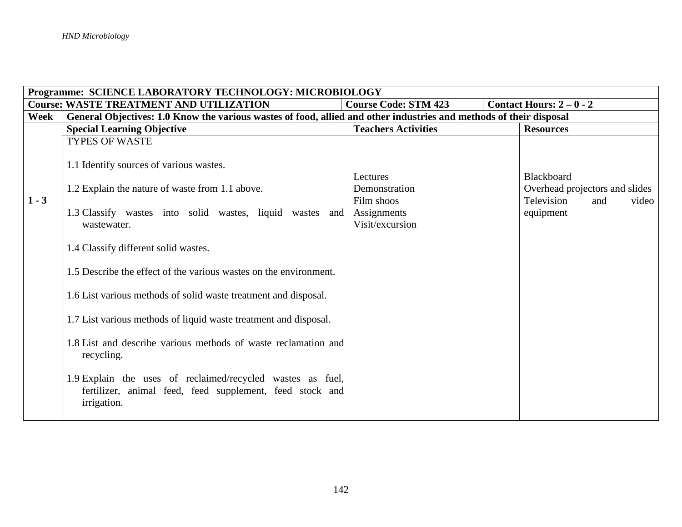|         | Programme: SCIENCE LABORATORY TECHNOLOGY: MICROBIOLOGY                                                                                                                                                        |                                                                           |                                                                                         |  |  |
|---------|---------------------------------------------------------------------------------------------------------------------------------------------------------------------------------------------------------------|---------------------------------------------------------------------------|-----------------------------------------------------------------------------------------|--|--|
|         | <b>Course: WASTE TREATMENT AND UTILIZATION</b>                                                                                                                                                                | <b>Course Code: STM 423</b>                                               | Contact Hours: $2-0-2$                                                                  |  |  |
| Week    | General Objectives: 1.0 Know the various wastes of food, allied and other industries and methods of their disposal                                                                                            |                                                                           |                                                                                         |  |  |
|         | <b>Special Learning Objective</b>                                                                                                                                                                             | <b>Teachers Activities</b>                                                | <b>Resources</b>                                                                        |  |  |
|         | <b>TYPES OF WASTE</b>                                                                                                                                                                                         |                                                                           |                                                                                         |  |  |
| $1 - 3$ | 1.1 Identify sources of various wastes.<br>1.2 Explain the nature of waste from 1.1 above.<br>1.3 Classify wastes into solid wastes, liquid wastes and<br>wastewater.<br>1.4 Classify different solid wastes. | Lectures<br>Demonstration<br>Film shoos<br>Assignments<br>Visit/excursion | Blackboard<br>Overhead projectors and slides<br>Television<br>video<br>and<br>equipment |  |  |
|         | 1.5 Describe the effect of the various wastes on the environment.                                                                                                                                             |                                                                           |                                                                                         |  |  |
|         | 1.6 List various methods of solid waste treatment and disposal.                                                                                                                                               |                                                                           |                                                                                         |  |  |
|         | 1.7 List various methods of liquid waste treatment and disposal.                                                                                                                                              |                                                                           |                                                                                         |  |  |
|         | 1.8 List and describe various methods of waste reclamation and<br>recycling.                                                                                                                                  |                                                                           |                                                                                         |  |  |
|         | 1.9 Explain the uses of reclaimed/recycled wastes as fuel,<br>fertilizer, animal feed, feed supplement, feed stock and<br>irrigation.                                                                         |                                                                           |                                                                                         |  |  |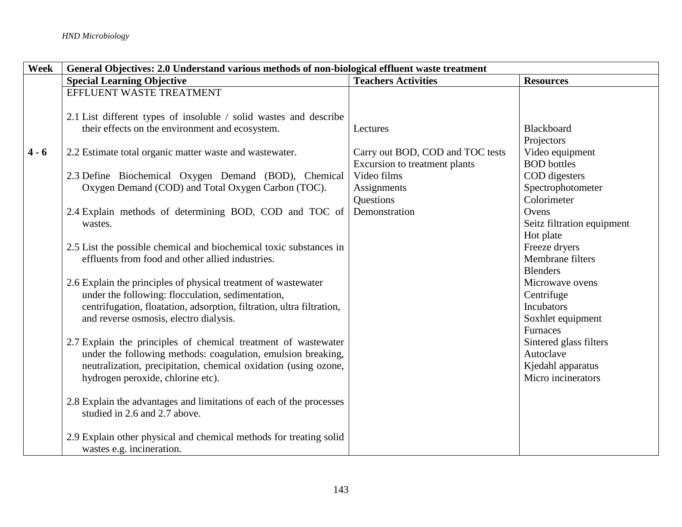| Week    | General Objectives: 2.0 Understand various methods of non-biological effluent waste treatment |                                  |                            |
|---------|-----------------------------------------------------------------------------------------------|----------------------------------|----------------------------|
|         | <b>Special Learning Objective</b>                                                             | <b>Teachers Activities</b>       | <b>Resources</b>           |
|         | EFFLUENT WASTE TREATMENT                                                                      |                                  |                            |
|         |                                                                                               |                                  |                            |
|         | 2.1 List different types of insoluble / solid wastes and describe                             |                                  |                            |
|         | their effects on the environment and ecosystem.                                               | Lectures                         | Blackboard                 |
|         |                                                                                               |                                  | Projectors                 |
| $4 - 6$ | 2.2 Estimate total organic matter waste and wastewater.                                       | Carry out BOD, COD and TOC tests | Video equipment            |
|         |                                                                                               | Excursion to treatment plants    | <b>BOD</b> bottles         |
|         | 2.3 Define Biochemical Oxygen Demand (BOD), Chemical                                          | Video films                      | COD digesters              |
|         | Oxygen Demand (COD) and Total Oxygen Carbon (TOC).                                            | Assignments                      | Spectrophotometer          |
|         |                                                                                               | Questions                        | Colorimeter                |
|         | 2.4 Explain methods of determining BOD, COD and TOC of                                        | Demonstration                    | Ovens                      |
|         | wastes.                                                                                       |                                  | Seitz filtration equipment |
|         |                                                                                               |                                  | Hot plate                  |
|         | 2.5 List the possible chemical and biochemical toxic substances in                            |                                  | Freeze dryers              |
|         | effluents from food and other allied industries.                                              |                                  | Membrane filters           |
|         |                                                                                               |                                  | <b>Blenders</b>            |
|         | 2.6 Explain the principles of physical treatment of wastewater                                |                                  | Microwave ovens            |
|         | under the following: flocculation, sedimentation,                                             |                                  | Centrifuge                 |
|         | centrifugation, floatation, adsorption, filtration, ultra filtration,                         |                                  | Incubators                 |
|         | and reverse osmosis, electro dialysis.                                                        |                                  | Soxhlet equipment          |
|         |                                                                                               |                                  | Furnaces                   |
|         | 2.7 Explain the principles of chemical treatment of wastewater                                |                                  | Sintered glass filters     |
|         | under the following methods: coagulation, emulsion breaking,                                  |                                  | Autoclave                  |
|         | neutralization, precipitation, chemical oxidation (using ozone,                               |                                  | Kjedahl apparatus          |
|         | hydrogen peroxide, chlorine etc).                                                             |                                  | Micro incinerators         |
|         |                                                                                               |                                  |                            |
|         | 2.8 Explain the advantages and limitations of each of the processes                           |                                  |                            |
|         | studied in 2.6 and 2.7 above.                                                                 |                                  |                            |
|         |                                                                                               |                                  |                            |
|         | 2.9 Explain other physical and chemical methods for treating solid                            |                                  |                            |
|         | wastes e.g. incineration.                                                                     |                                  |                            |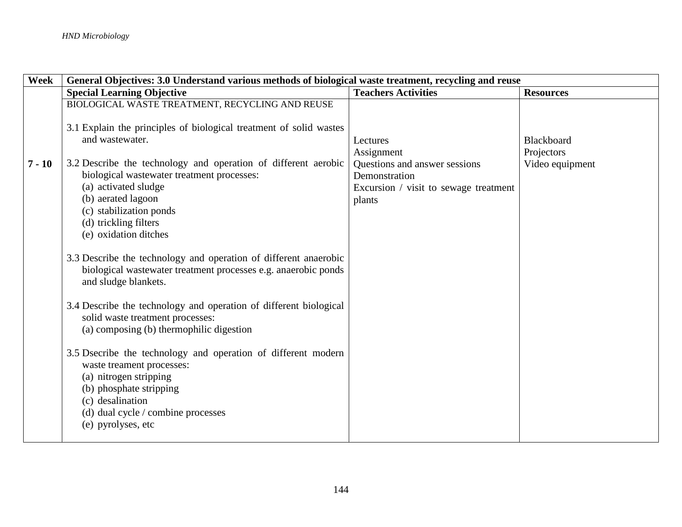| Week     | General Objectives: 3.0 Understand various methods of biological waste treatment, recycling and reuse                                                                                                                           |                                       |                          |
|----------|---------------------------------------------------------------------------------------------------------------------------------------------------------------------------------------------------------------------------------|---------------------------------------|--------------------------|
|          | <b>Special Learning Objective</b>                                                                                                                                                                                               | <b>Teachers Activities</b>            | <b>Resources</b>         |
|          | BIOLOGICAL WASTE TREATMENT, RECYCLING AND REUSE                                                                                                                                                                                 |                                       |                          |
|          | 3.1 Explain the principles of biological treatment of solid wastes<br>and wastewater.                                                                                                                                           | Lectures<br>Assignment                | Blackboard<br>Projectors |
| $7 - 10$ | 3.2 Describe the technology and operation of different aerobic                                                                                                                                                                  | Questions and answer sessions         | Video equipment          |
|          | biological wastewater treatment processes:                                                                                                                                                                                      | Demonstration                         |                          |
|          | (a) activated sludge                                                                                                                                                                                                            | Excursion / visit to sewage treatment |                          |
|          | (b) aerated lagoon                                                                                                                                                                                                              | plants                                |                          |
|          | (c) stabilization ponds                                                                                                                                                                                                         |                                       |                          |
|          | (d) trickling filters<br>(e) oxidation ditches                                                                                                                                                                                  |                                       |                          |
|          |                                                                                                                                                                                                                                 |                                       |                          |
|          | 3.3 Describe the technology and operation of different anaerobic<br>biological wastewater treatment processes e.g. anaerobic ponds<br>and sludge blankets.                                                                      |                                       |                          |
|          | 3.4 Describe the technology and operation of different biological<br>solid waste treatment processes:<br>(a) composing (b) thermophilic digestion                                                                               |                                       |                          |
|          | 3.5 Dsecribe the technology and operation of different modern<br>waste treament processes:<br>(a) nitrogen stripping<br>(b) phosphate stripping<br>(c) desalination<br>(d) dual cycle / combine processes<br>(e) pyrolyses, etc |                                       |                          |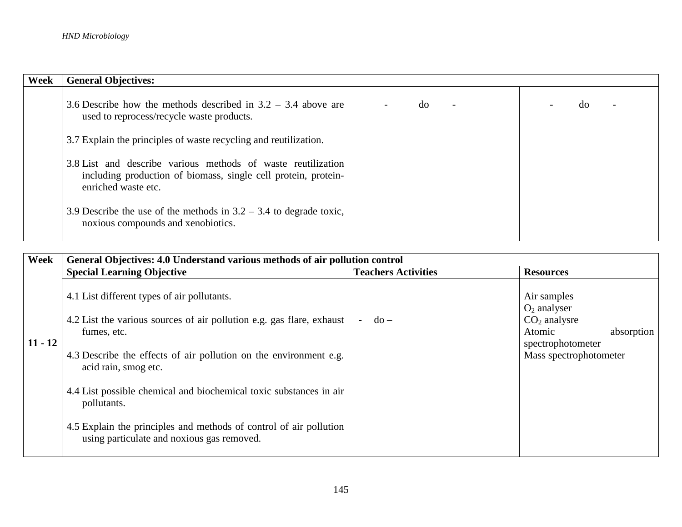| Week | <b>General Objectives:</b>                                                                                                                            |    |    |
|------|-------------------------------------------------------------------------------------------------------------------------------------------------------|----|----|
|      | 3.6 Describe how the methods described in $3.2 - 3.4$ above are<br>used to reprocess/recycle waste products.                                          | do | do |
|      | 3.7 Explain the principles of waste recycling and reutilization.                                                                                      |    |    |
|      | 3.8 List and describe various methods of waste reutilization<br>including production of biomass, single cell protein, protein-<br>enriched waste etc. |    |    |
|      | 3.9 Describe the use of the methods in $3.2 - 3.4$ to degrade toxic,<br>noxious compounds and xenobiotics.                                            |    |    |

| Week      | General Objectives: 4.0 Understand various methods of air pollution control                                                                                                                                                                                                                                                                                                                                                               |                                         |                                                                                                                        |
|-----------|-------------------------------------------------------------------------------------------------------------------------------------------------------------------------------------------------------------------------------------------------------------------------------------------------------------------------------------------------------------------------------------------------------------------------------------------|-----------------------------------------|------------------------------------------------------------------------------------------------------------------------|
|           | <b>Special Learning Objective</b>                                                                                                                                                                                                                                                                                                                                                                                                         | <b>Teachers Activities</b>              | <b>Resources</b>                                                                                                       |
| $11 - 12$ | 4.1 List different types of air pollutants.<br>4.2 List the various sources of air pollution e.g. gas flare, exhaust<br>fumes, etc.<br>4.3 Describe the effects of air pollution on the environment e.g.<br>acid rain, smog etc.<br>4.4 List possible chemical and biochemical toxic substances in air<br>pollutants.<br>4.5 Explain the principles and methods of control of air pollution<br>using particulate and noxious gas removed. | $d\Omega -$<br>$\overline{\phantom{0}}$ | Air samples<br>$O_2$ analyser<br>$CO2$ analysre<br>Atomic<br>absorption<br>spectrophotometer<br>Mass spectrophotometer |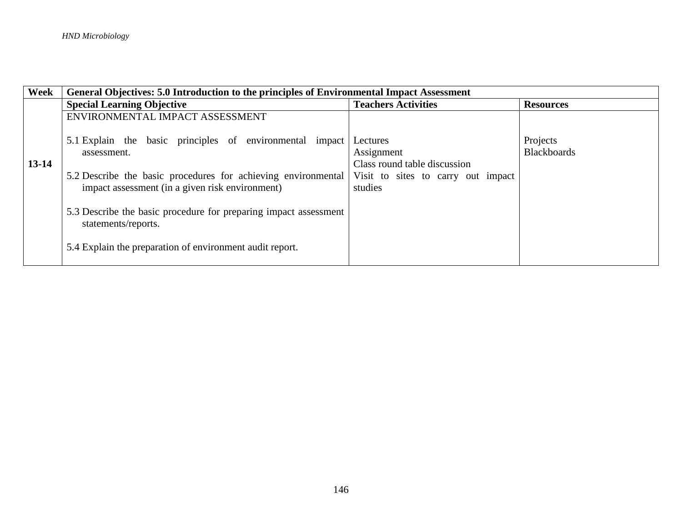| Week    | General Objectives: 5.0 Introduction to the principles of Environmental Impact Assessment |                                    |                    |
|---------|-------------------------------------------------------------------------------------------|------------------------------------|--------------------|
|         | <b>Special Learning Objective</b>                                                         | <b>Teachers Activities</b>         | <b>Resources</b>   |
|         | ENVIRONMENTAL IMPACT ASSESSMENT                                                           |                                    |                    |
|         | 5.1 Explain the basic principles of environmental impact                                  | Lectures                           | Projects           |
|         | assessment.                                                                               | Assignment                         | <b>Blackboards</b> |
| $13-14$ |                                                                                           | Class round table discussion       |                    |
|         | 5.2 Describe the basic procedures for achieving environmental                             | Visit to sites to carry out impact |                    |
|         | impact assessment (in a given risk environment)                                           | studies                            |                    |
|         | 5.3 Describe the basic procedure for preparing impact assessment<br>statements/reports.   |                                    |                    |
|         | 5.4 Explain the preparation of environment audit report.                                  |                                    |                    |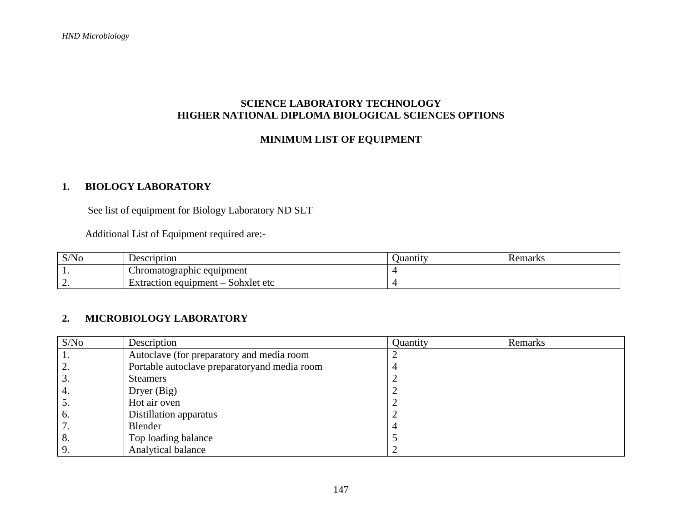### **SCIENCE LABORATORY TECHNOLOGY HIGHER NATIONAL DIPLOMA BIOLOGICAL SCIENCES OPTIONS**

### **MINIMUM LIST OF EQUIPMENT**

# **1. BIOLOGY LABORATORY**

See list of equipment for Biology Laboratory ND SLT

Additional List of Equipment required are:-

| S/No     | Description                                     | Juantity | Remarks |
|----------|-------------------------------------------------|----------|---------|
|          | Chromatographic equipment                       |          |         |
| <u>.</u> | Sohxlet etc<br>Extraction equipment $-\sqrt{ }$ |          |         |

## **2. MICROBIOLOGY LABORATORY**

| S/No | Description                                  | Quantity | Remarks |
|------|----------------------------------------------|----------|---------|
|      | Autoclave (for preparatory and media room    |          |         |
| 2.   | Portable autoclave preparatoryand media room |          |         |
| 3.   | <b>Steamers</b>                              |          |         |
| 4.   | Dryer (Big)                                  |          |         |
| 5.   | Hot air oven                                 |          |         |
| -6.  | Distillation apparatus                       |          |         |
|      | Blender                                      |          |         |
| 8.   | Top loading balance                          |          |         |
| 9.   | Analytical balance                           |          |         |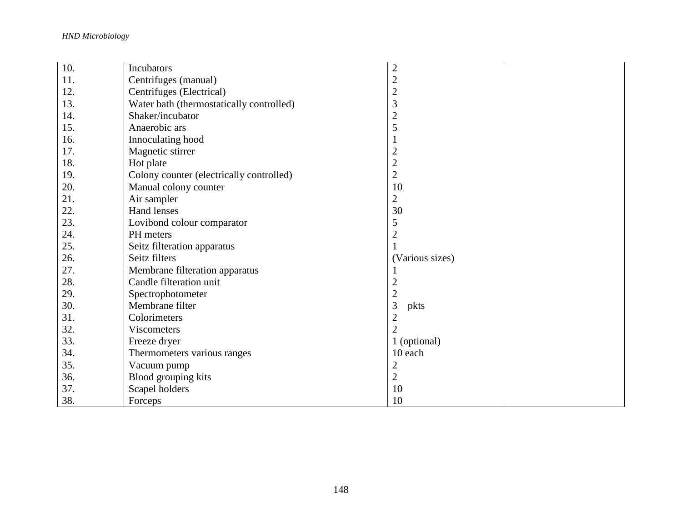*HND Microbiology*

| 10. | Incubators                               | $\overline{2}$  |  |
|-----|------------------------------------------|-----------------|--|
| 11. | Centrifuges (manual)                     | $\overline{c}$  |  |
| 12. | Centrifuges (Electrical)                 | $\overline{c}$  |  |
| 13. | Water bath (thermostatically controlled) | 3               |  |
| 14. | Shaker/incubator                         | $\overline{c}$  |  |
| 15. | Anaerobic ars                            | 5               |  |
| 16. | Innoculating hood                        | 1               |  |
| 17. | Magnetic stirrer                         | $\overline{2}$  |  |
| 18. | Hot plate                                | $\overline{c}$  |  |
| 19. | Colony counter (electrically controlled) | $\sqrt{2}$      |  |
| 20. | Manual colony counter                    | 10              |  |
| 21. | Air sampler                              | $\mathbf{2}$    |  |
| 22. | Hand lenses                              | 30              |  |
| 23. | Lovibond colour comparator               | 5               |  |
| 24. | PH meters                                | $\overline{2}$  |  |
| 25. | Seitz filteration apparatus              |                 |  |
| 26. | Seitz filters                            | (Various sizes) |  |
| 27. | Membrane filteration apparatus           |                 |  |
| 28. | Candle filteration unit                  | $\overline{2}$  |  |
| 29. | Spectrophotometer                        | $\overline{c}$  |  |
| 30. | Membrane filter                          | 3<br>pkts       |  |
| 31. | Colorimeters                             | $\overline{2}$  |  |
| 32. | <b>Viscometers</b>                       | $\overline{2}$  |  |
| 33. | Freeze dryer                             | 1 (optional)    |  |
| 34. | Thermometers various ranges              | 10 each         |  |
| 35. | Vacuum pump                              | $\overline{2}$  |  |
| 36. | Blood grouping kits                      | $\overline{2}$  |  |
| 37. | Scapel holders                           | 10              |  |
| 38. | Forceps                                  | 10              |  |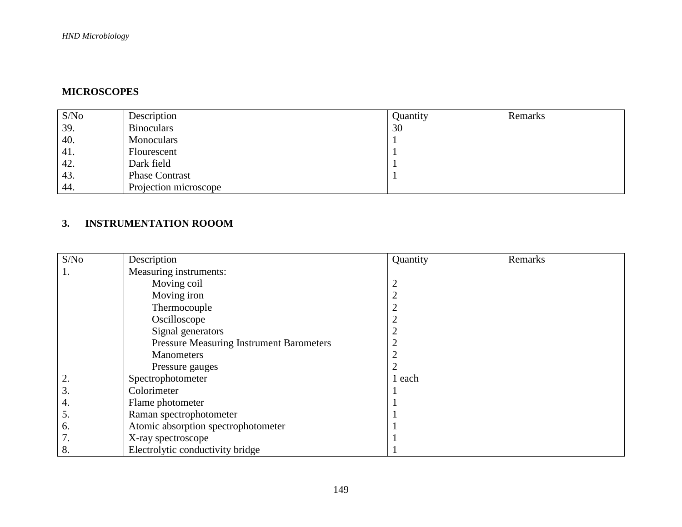# **MICROSCOPES**

| S/No | Description           | Ouantity | Remarks |
|------|-----------------------|----------|---------|
| 39.  | <b>Binoculars</b>     | 30       |         |
| 40.  | Monoculars            |          |         |
| 41.  | Flourescent           |          |         |
| 42.  | Dark field            |          |         |
| 43.  | <b>Phase Contrast</b> |          |         |
| 44.  | Projection microscope |          |         |

## **3. INSTRUMENTATION ROOOM**

| S/No | Description                                     | Quantity       | Remarks |
|------|-------------------------------------------------|----------------|---------|
| 1.   | Measuring instruments:                          |                |         |
|      | Moving coil                                     | $\overline{2}$ |         |
|      | Moving iron                                     | ി              |         |
|      | Thermocouple                                    |                |         |
|      | Oscilloscope                                    |                |         |
|      | Signal generators                               |                |         |
|      | <b>Pressure Measuring Instrument Barometers</b> | ◠              |         |
|      | <b>Manometers</b>                               |                |         |
|      | Pressure gauges                                 | $\overline{2}$ |         |
| 2.   | Spectrophotometer                               | each           |         |
| 3.   | Colorimeter                                     |                |         |
| 4.   | Flame photometer                                |                |         |
| 5.   | Raman spectrophotometer                         |                |         |
| 6.   | Atomic absorption spectrophotometer             |                |         |
|      | X-ray spectroscope                              |                |         |
| 8.   | Electrolytic conductivity bridge                |                |         |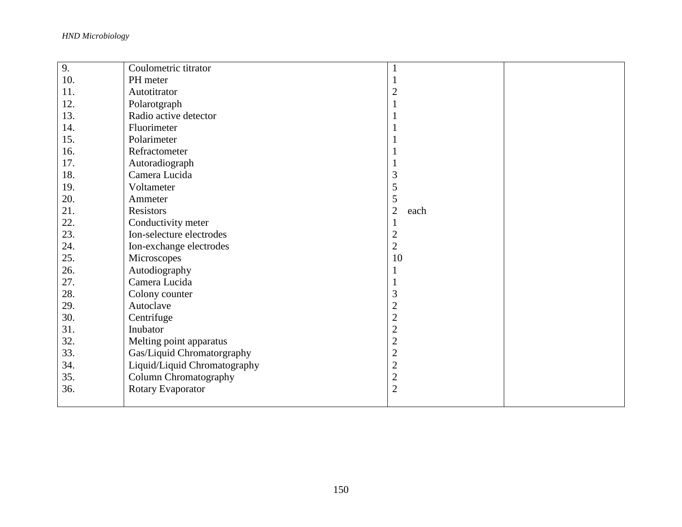*HND Microbiology*

| 9.  | Coulometric titrator         |                      |  |
|-----|------------------------------|----------------------|--|
| 10. | PH meter                     |                      |  |
| 11. | Autotitrator                 | $\overline{2}$       |  |
| 12. | Polarotgraph                 |                      |  |
| 13. | Radio active detector        |                      |  |
| 14. | Fluorimeter                  |                      |  |
| 15. | Polarimeter                  |                      |  |
| 16. | Refractometer                |                      |  |
| 17. | Autoradiograph               |                      |  |
| 18. | Camera Lucida                | 3                    |  |
| 19. | Voltameter                   | 5                    |  |
| 20. | Ammeter                      | 5                    |  |
| 21. | Resistors                    | $\mathbf{2}$<br>each |  |
| 22. | Conductivity meter           |                      |  |
| 23. | Ion-selecture electrodes     | $\overline{2}$       |  |
| 24. | Ion-exchange electrodes      | $\overline{2}$       |  |
| 25. | Microscopes                  | 10                   |  |
| 26. | Autodiography                |                      |  |
| 27. | Camera Lucida                |                      |  |
| 28. | Colony counter               | 3                    |  |
| 29. | Autoclave                    | $\overline{c}$       |  |
| 30. | Centrifuge                   | $\overline{c}$       |  |
| 31. | Inubator                     | $\overline{c}$       |  |
| 32. | Melting point apparatus      | $\overline{c}$       |  |
| 33. | Gas/Liquid Chromatorgraphy   | $\overline{c}$       |  |
| 34. | Liquid/Liquid Chromatography | $\overline{c}$       |  |
| 35. | Column Chromatography        | $\overline{2}$       |  |
| 36. | Rotary Evaporator            | $\overline{2}$       |  |
|     |                              |                      |  |